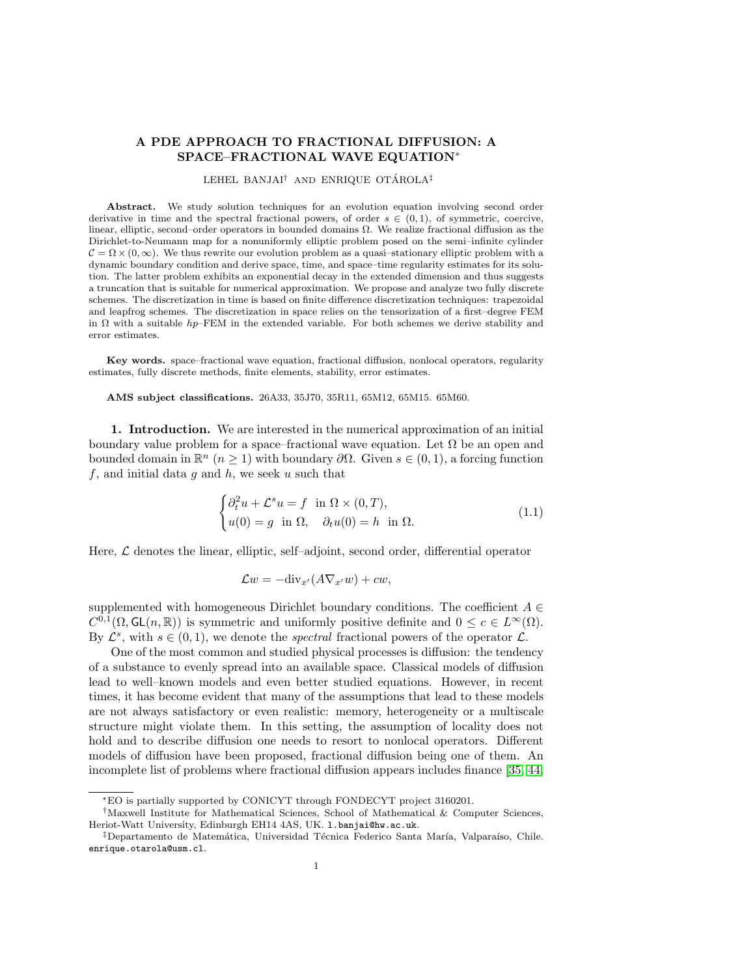# A PDE APPROACH TO FRACTIONAL DIFFUSION: A SPACE–FRACTIONAL WAVE EQUATION<sup>∗</sup>

#### LEHEL BANJAI<sup>†</sup> AND ENRIQUE OTÁROLA<sup>‡</sup>

Abstract. We study solution techniques for an evolution equation involving second order derivative in time and the spectral fractional powers, of order  $s \in (0,1)$ , of symmetric, coercive, linear, elliptic, second–order operators in bounded domains Ω. We realize fractional diffusion as the Dirichlet-to-Neumann map for a nonuniformly elliptic problem posed on the semi–infinite cylinder  $C = \Omega \times (0, \infty)$ . We thus rewrite our evolution problem as a quasi-stationary elliptic problem with a dynamic boundary condition and derive space, time, and space–time regularity estimates for its solution. The latter problem exhibits an exponential decay in the extended dimension and thus suggests a truncation that is suitable for numerical approximation. We propose and analyze two fully discrete schemes. The discretization in time is based on finite difference discretization techniques: trapezoidal and leapfrog schemes. The discretization in space relies on the tensorization of a first–degree FEM in  $\Omega$  with a suitable hp–FEM in the extended variable. For both schemes we derive stability and error estimates.

Key words. space–fractional wave equation, fractional diffusion, nonlocal operators, regularity estimates, fully discrete methods, finite elements, stability, error estimates.

AMS subject classifications. 26A33, 35J70, 35R11, 65M12, 65M15. 65M60.

1. Introduction. We are interested in the numerical approximation of an initial boundary value problem for a space–fractional wave equation. Let  $\Omega$  be an open and bounded domain in  $\mathbb{R}^n$   $(n \geq 1)$  with boundary  $\partial \Omega$ . Given  $s \in (0, 1)$ , a forcing function  $f$ , and initial data  $g$  and  $h$ , we seek  $u$  such that

<span id="page-0-0"></span>
$$
\begin{cases} \partial_t^2 u + \mathcal{L}^s u = f & \text{in } \Omega \times (0, T), \\ u(0) = g & \text{in } \Omega, \quad \partial_t u(0) = h & \text{in } \Omega. \end{cases}
$$
 (1.1)

Here,  $\mathcal L$  denotes the linear, elliptic, self–adjoint, second order, differential operator

$$
\mathcal{L}w = -\text{div}_{x'}(A\nabla_{x'}w) + cw,
$$

supplemented with homogeneous Dirichlet boundary conditions. The coefficient  $A \in$  $C^{0,1}(\Omega,\mathsf{GL}(n,\mathbb{R}))$  is symmetric and uniformly positive definite and  $0 \leq c \in L^{\infty}(\Omega)$ . By  $\mathcal{L}^s$ , with  $s \in (0,1)$ , we denote the *spectral* fractional powers of the operator  $\mathcal{L}$ .

One of the most common and studied physical processes is diffusion: the tendency of a substance to evenly spread into an available space. Classical models of diffusion lead to well–known models and even better studied equations. However, in recent times, it has become evident that many of the assumptions that lead to these models are not always satisfactory or even realistic: memory, heterogeneity or a multiscale structure might violate them. In this setting, the assumption of locality does not hold and to describe diffusion one needs to resort to nonlocal operators. Different models of diffusion have been proposed, fractional diffusion being one of them. An incomplete list of problems where fractional diffusion appears includes finance [\[35,](#page-29-0) [44,](#page-29-1)

<sup>∗</sup>EO is partially supported by CONICYT through FONDECYT project 3160201.

<sup>†</sup>Maxwell Institute for Mathematical Sciences, School of Mathematical & Computer Sciences, Heriot-Watt University, Edinburgh EH14 4AS, UK. l.banjai@hw.ac.uk.

<sup>&</sup>lt;sup>‡</sup>Departamento de Matemática, Universidad Técnica Federico Santa María, Valparaíso, Chile. enrique.otarola@usm.cl.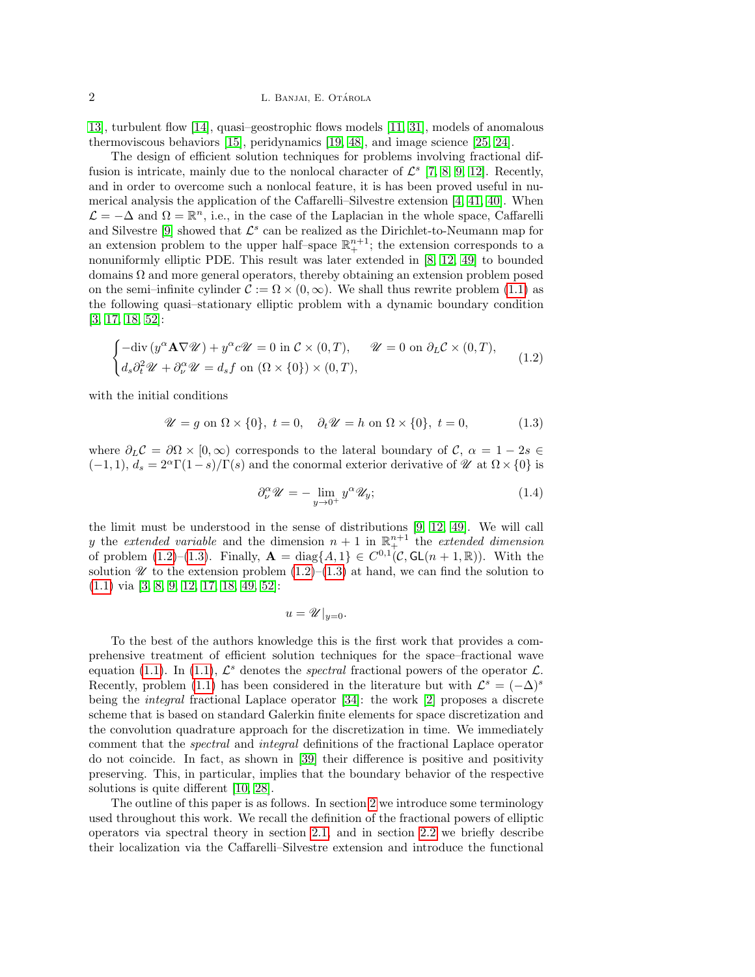[13\]](#page-28-0), turbulent flow [\[14\]](#page-28-1), quasi–geostrophic flows models [\[11,](#page-28-2) [31\]](#page-29-2), models of anomalous thermoviscous behaviors [\[15\]](#page-28-3), peridynamics [\[19,](#page-28-4) [48\]](#page-29-3), and image science [\[25,](#page-28-5) [24\]](#page-28-6).

The design of efficient solution techniques for problems involving fractional diffusion is intricate, mainly due to the nonlocal character of  $\mathcal{L}^s$  [\[7,](#page-27-0) [8,](#page-28-7) [9,](#page-28-8) [12\]](#page-28-9). Recently, and in order to overcome such a nonlocal feature, it is has been proved useful in numerical analysis the application of the Caffarelli–Silvestre extension [\[4,](#page-27-1) [41,](#page-29-4) [40\]](#page-29-5). When  $\mathcal{L} = -\Delta$  and  $\Omega = \mathbb{R}^n$ , i.e., in the case of the Laplacian in the whole space, Caffarelli and Silvestre [\[9\]](#page-28-8) showed that  $\mathcal{L}^s$  can be realized as the Dirichlet-to-Neumann map for an extension problem to the upper half-space  $\mathbb{R}^{n+1}_+$ ; the extension corresponds to a nonuniformly elliptic PDE. This result was later extended in [\[8,](#page-28-7) [12,](#page-28-9) [49\]](#page-29-6) to bounded domains  $\Omega$  and more general operators, thereby obtaining an extension problem posed on the semi–infinite cylinder  $\mathcal{C} := \Omega \times (0, \infty)$ . We shall thus rewrite problem [\(1.1\)](#page-0-0) as the following quasi–stationary elliptic problem with a dynamic boundary condition [\[3,](#page-27-2) [17,](#page-28-10) [18,](#page-28-11) [52\]](#page-29-7):

<span id="page-1-0"></span>
$$
\begin{cases}\n-\text{div}\left(y^{\alpha}\mathbf{A}\nabla\mathcal{U}\right) + y^{\alpha}c\mathcal{U} = 0 \text{ in } \mathcal{C} \times (0,T), \qquad \mathcal{U} = 0 \text{ on } \partial_L \mathcal{C} \times (0,T), \\
d_s \partial_t^2 \mathcal{U} + \partial_\nu^{\alpha} \mathcal{U} = d_s f \text{ on } (\Omega \times \{0\}) \times (0,T),\n\end{cases} (1.2)
$$

with the initial conditions

<span id="page-1-1"></span>
$$
\mathscr{U} = g \text{ on } \Omega \times \{0\}, \ t = 0, \quad \partial_t \mathscr{U} = h \text{ on } \Omega \times \{0\}, \ t = 0,
$$
 (1.3)

where  $\partial_L C = \partial \Omega \times [0, \infty)$  corresponds to the lateral boundary of C,  $\alpha = 1 - 2s \in$  $(-1, 1), d_s = 2^{\alpha} \Gamma(1-s)/\Gamma(s)$  and the conormal exterior derivative of  $\mathcal{U}$  at  $\Omega \times \{0\}$  is

$$
\partial_{\nu}^{\alpha} \mathscr{U} = -\lim_{y \to 0^{+}} y^{\alpha} \mathscr{U}_{y};\tag{1.4}
$$

the limit must be understood in the sense of distributions [\[9,](#page-28-8) [12,](#page-28-9) [49\]](#page-29-6). We will call y the extended variable and the dimension  $n + 1$  in  $\mathbb{R}^{n+1}$  the extended dimension of problem [\(1.2\)](#page-1-0)–[\(1.3\)](#page-1-1). Finally,  $\mathbf{A} = \text{diag}\{A, 1\} \in C^{0,1}(\mathcal{C}, GL(n+1,\mathbb{R}))$ . With the solution  $\mathscr U$  to the extension problem  $(1.2)$ – $(1.3)$  at hand, we can find the solution to [\(1.1\)](#page-0-0) via [\[3,](#page-27-2) [8,](#page-28-7) [9,](#page-28-8) [12,](#page-28-9) [17,](#page-28-10) [18,](#page-28-11) [49,](#page-29-6) [52\]](#page-29-7):

 $u = \mathscr{U}|_{u=0}.$ 

To the best of the authors knowledge this is the first work that provides a comprehensive treatment of efficient solution techniques for the space–fractional wave equation [\(1.1\)](#page-0-0). In (1.1),  $\mathcal{L}^s$  denotes the *spectral* fractional powers of the operator  $\mathcal{L}$ . Recently, problem [\(1.1\)](#page-0-0) has been considered in the literature but with  $\mathcal{L}^s = (-\Delta)^s$ being the integral fractional Laplace operator [\[34\]](#page-29-8): the work [\[2\]](#page-27-3) proposes a discrete scheme that is based on standard Galerkin finite elements for space discretization and the convolution quadrature approach for the discretization in time. We immediately comment that the spectral and integral definitions of the fractional Laplace operator do not coincide. In fact, as shown in [\[39\]](#page-29-9) their difference is positive and positivity preserving. This, in particular, implies that the boundary behavior of the respective solutions is quite different [\[10,](#page-28-12) [28\]](#page-29-10).

The outline of this paper is as follows. In section [2](#page-2-0) we introduce some terminology used throughout this work. We recall the definition of the fractional powers of elliptic operators via spectral theory in section [2.1,](#page-2-1) and in section [2.2](#page-3-0) we briefly describe their localization via the Caffarelli–Silvestre extension and introduce the functional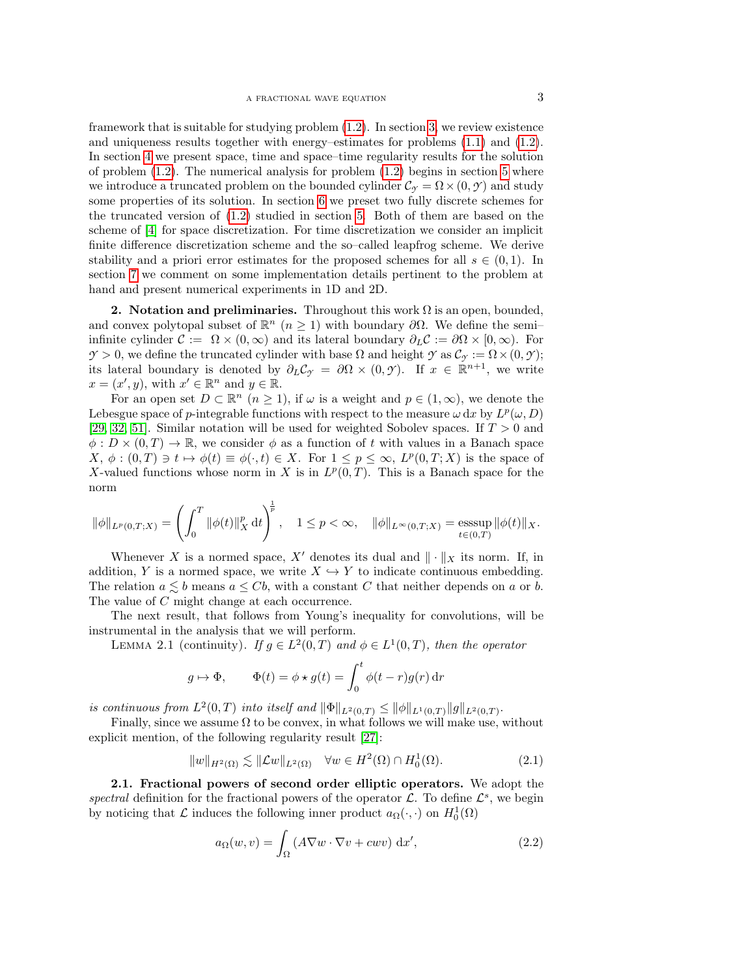framework that is suitable for studying problem [\(1.2\)](#page-1-0). In section [3,](#page-4-0) we review existence and uniqueness results together with energy–estimates for problems [\(1.1\)](#page-0-0) and [\(1.2\)](#page-1-0). In section [4](#page-6-0) we present space, time and space–time regularity results for the solution of problem  $(1.2)$ . The numerical analysis for problem  $(1.2)$  begins in section [5](#page-9-0) where we introduce a truncated problem on the bounded cylinder  $\mathcal{C}_{\gamma} = \Omega \times (0, \gamma)$  and study some properties of its solution. In section [6](#page-11-0) we preset two fully discrete schemes for the truncated version of [\(1.2\)](#page-1-0) studied in section [5.](#page-9-0) Both of them are based on the scheme of [\[4\]](#page-27-1) for space discretization. For time discretization we consider an implicit finite difference discretization scheme and the so–called leapfrog scheme. We derive stability and a priori error estimates for the proposed schemes for all  $s \in (0,1)$ . In section [7](#page-24-0) we comment on some implementation details pertinent to the problem at hand and present numerical experiments in 1D and 2D.

<span id="page-2-0"></span>2. Notation and preliminaries. Throughout this work  $\Omega$  is an open, bounded, and convex polytopal subset of  $\mathbb{R}^n$   $(n \geq 1)$  with boundary  $\partial\Omega$ . We define the semiinfinite cylinder  $\mathcal{C} := \Omega \times (0, \infty)$  and its lateral boundary  $\partial_L \mathcal{C} := \partial \Omega \times [0, \infty)$ . For  $\mathcal{Y} > 0$ , we define the truncated cylinder with base  $\Omega$  and height  $\mathcal{Y}$  as  $\mathcal{C}_{\gamma} := \Omega \times (0, \mathcal{Y})$ ; its lateral boundary is denoted by  $\partial_L C_\gamma = \partial \Omega \times (0, \gamma)$ . If  $x \in \mathbb{R}^{n+1}$ , we write  $x = (x', y)$ , with  $x' \in \mathbb{R}^n$  and  $y \in \mathbb{R}$ .

For an open set  $D \subset \mathbb{R}^n$   $(n \geq 1)$ , if  $\omega$  is a weight and  $p \in (1, \infty)$ , we denote the Lebesgue space of p-integrable functions with respect to the measure  $\omega \, dx$  by  $L^p(\omega, D)$ [\[29,](#page-29-11) [32,](#page-29-12) [51\]](#page-29-13). Similar notation will be used for weighted Sobolev spaces. If  $T > 0$  and  $\phi: D \times (0,T) \to \mathbb{R}$ , we consider  $\phi$  as a function of t with values in a Banach space  $X, \phi : (0,T) \ni t \mapsto \phi(t) \equiv \phi(\cdot, t) \in X$ . For  $1 \leq p \leq \infty$ ,  $L^p(0,T;X)$  is the space of X-valued functions whose norm in X is in  $L^p(0,T)$ . This is a Banach space for the norm

$$
\|\phi\|_{L^p(0,T;X)} = \left(\int_0^T \|\phi(t)\|_X^p dt\right)^{\frac{1}{p}}, \quad 1 \le p < \infty, \quad \|\phi\|_{L^{\infty}(0,T;X)} = \operatorname*{esssup}_{t \in (0,T)} \|\phi(t)\|_X.
$$

Whenever X is a normed space, X' denotes its dual and  $\|\cdot\|_X$  its norm. If, in addition, Y is a normed space, we write  $X \hookrightarrow Y$  to indicate continuous embedding. The relation  $a \leq b$  means  $a \leq Cb$ , with a constant C that neither depends on a or b. The value of C might change at each occurrence.

The next result, that follows from Young's inequality for convolutions, will be instrumental in the analysis that we will perform.

LEMMA 2.1 (continuity). If  $g \in L^2(0,T)$  and  $\phi \in L^1(0,T)$ , then the operator

<span id="page-2-3"></span>
$$
g \mapsto \Phi
$$
,  $\Phi(t) = \phi \star g(t) = \int_0^t \phi(t - r)g(r) dr$ 

is continuous from  $L^2(0,T)$  into itself and  $\|\Phi\|_{L^2(0,T)} \leq \|\phi\|_{L^1(0,T)} \|g\|_{L^2(0,T)}$ .

Finally, since we assume  $\Omega$  to be convex, in what follows we will make use, without explicit mention, of the following regularity result [\[27\]](#page-29-14):

<span id="page-2-2"></span>
$$
||w||_{H^2(\Omega)} \lesssim ||\mathcal{L}w||_{L^2(\Omega)} \quad \forall w \in H^2(\Omega) \cap H_0^1(\Omega). \tag{2.1}
$$

<span id="page-2-1"></span>2.1. Fractional powers of second order elliptic operators. We adopt the spectral definition for the fractional powers of the operator  $\mathcal{L}$ . To define  $\mathcal{L}^s$ , we begin by noticing that  $\mathcal L$  induces the following inner product  $a_{\Omega}(\cdot, \cdot)$  on  $H_0^1(\Omega)$ 

$$
a_{\Omega}(w,v) = \int_{\Omega} \left( A \nabla w \cdot \nabla v + c w v \right) \, \mathrm{d}x',\tag{2.2}
$$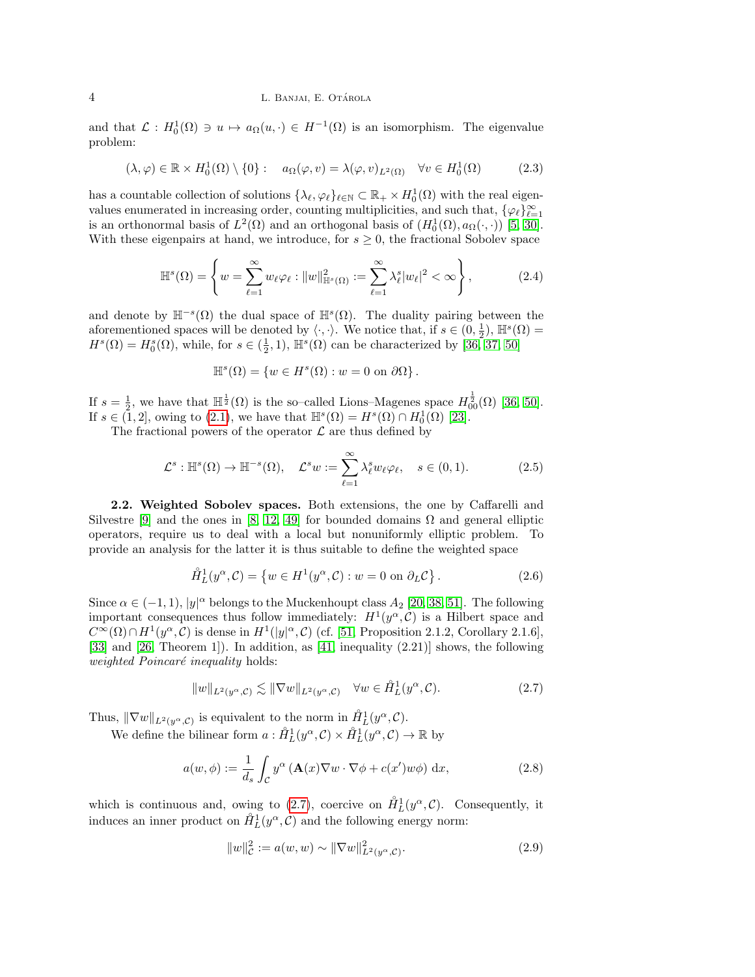and that  $\mathcal{L}: H_0^1(\Omega) \ni u \mapsto a_{\Omega}(u, \cdot) \in H^{-1}(\Omega)$  is an isomorphism. The eigenvalue problem:

<span id="page-3-3"></span>
$$
(\lambda, \varphi) \in \mathbb{R} \times H_0^1(\Omega) \setminus \{0\} : \quad a_{\Omega}(\varphi, v) = \lambda(\varphi, v)_{L^2(\Omega)} \quad \forall v \in H_0^1(\Omega) \tag{2.3}
$$

has a countable collection of solutions  $\{\lambda_{\ell}, \varphi_{\ell}\}_{\ell \in \mathbb{N}} \subset \mathbb{R}_+ \times H_0^1(\Omega)$  with the real eigenvalues enumerated in increasing order, counting multiplicities, and such that,  $\{\varphi_\ell\}_{\ell=1}^\infty$ is an orthonormal basis of  $L^2(\Omega)$  and an orthogonal basis of  $(H_0^1(\Omega), a_{\Omega}(\cdot, \cdot))$  [\[5,](#page-27-4) [30\]](#page-29-15). With these eigenpairs at hand, we introduce, for  $s \geq 0$ , the fractional Sobolev space

<span id="page-3-5"></span>
$$
\mathbb{H}^s(\Omega) = \left\{ w = \sum_{\ell=1}^{\infty} w_{\ell} \varphi_{\ell} : \|w\|_{\mathbb{H}^s(\Omega)}^2 := \sum_{\ell=1}^{\infty} \lambda_{\ell}^s |w_{\ell}|^2 < \infty \right\},\tag{2.4}
$$

and denote by  $\mathbb{H}^{-s}(\Omega)$  the dual space of  $\mathbb{H}^{s}(\Omega)$ . The duality pairing between the aforementioned spaces will be denoted by  $\langle \cdot, \cdot \rangle$ . We notice that, if  $s \in (0, \frac{1}{2})$ ,  $\mathbb{H}^s(\Omega)$  =  $H^s(\Omega) = H_0^s(\Omega)$ , while, for  $s \in (\frac{1}{2}, 1)$ ,  $\mathbb{H}^s(\Omega)$  can be characterized by  $[36, 37, 50]$  $[36, 37, 50]$  $[36, 37, 50]$ 

$$
\mathbb{H}^s(\Omega) = \{ w \in H^s(\Omega) : w = 0 \text{ on } \partial\Omega \}.
$$

If  $s = \frac{1}{2}$ , we have that  $\mathbb{H}^{\frac{1}{2}}(\Omega)$  is the so-called Lions–Magenes space  $H_{00}^{\frac{1}{2}}(\Omega)$  [\[36,](#page-29-16) [50\]](#page-29-18). If  $s \in (1,2]$ , owing to  $(2.1)$ , we have that  $\mathbb{H}^s(\Omega) = H^s(\Omega) \cap H_0^1(\Omega)$  [\[23\]](#page-28-13).

The fractional powers of the operator  $\mathcal L$  are thus defined by

$$
\mathcal{L}^s : \mathbb{H}^s(\Omega) \to \mathbb{H}^{-s}(\Omega), \quad \mathcal{L}^s w := \sum_{\ell=1}^{\infty} \lambda_{\ell}^s w_{\ell} \varphi_{\ell}, \quad s \in (0,1). \tag{2.5}
$$

<span id="page-3-0"></span>2.2. Weighted Sobolev spaces. Both extensions, the one by Caffarelli and Silvestre [\[9\]](#page-28-8) and the ones in [\[8,](#page-28-7) [12,](#page-28-9) [49\]](#page-29-6) for bounded domains  $\Omega$  and general elliptic operators, require us to deal with a local but nonuniformly elliptic problem. To provide an analysis for the latter it is thus suitable to define the weighted space

$$
\mathring{H}_L^1(y^\alpha, \mathcal{C}) = \{ w \in H^1(y^\alpha, \mathcal{C}) : w = 0 \text{ on } \partial_L \mathcal{C} \}.
$$
 (2.6)

Since  $\alpha \in (-1,1)$ ,  $|y|^{\alpha}$  belongs to the Muckenhoupt class  $A_2$  [\[20,](#page-28-14) [38,](#page-29-19) [51\]](#page-29-13). The following important consequences thus follow immediately:  $H^1(y^\alpha, \mathcal{C})$  is a Hilbert space and  $C^{\infty}(\Omega) \cap H^{1}(y^{\alpha}, \mathcal{C})$  is dense in  $H^{1}(|y|^{\alpha}, \mathcal{C})$  (cf. [\[51,](#page-29-13) Proposition 2.1.2, Corollary 2.1.6], [\[33\]](#page-29-20) and [\[26,](#page-29-21) Theorem 1]). In addition, as [\[41,](#page-29-4) inequality (2.21)] shows, the following weighted Poincaré inequality holds:

<span id="page-3-1"></span>
$$
||w||_{L^2(y^{\alpha}, \mathcal{C})} \lesssim ||\nabla w||_{L^2(y^{\alpha}, \mathcal{C})} \quad \forall w \in \mathring{H}^1_L(y^{\alpha}, \mathcal{C}).
$$
\n(2.7)

Thus,  $\|\nabla w\|_{L^2(y^{\alpha}, \mathcal{C})}$  is equivalent to the norm in  $\mathring{H}_L^1(y^{\alpha}, \mathcal{C})$ .

We define the bilinear form  $a: \mathring{H}_L^1(y^\alpha, \mathcal{C}) \times \mathring{H}_L^1(y^\alpha, \mathcal{C}) \to \mathbb{R}$  by

<span id="page-3-2"></span>
$$
a(w, \phi) := \frac{1}{d_s} \int_{\mathcal{C}} y^{\alpha} \left( \mathbf{A}(x) \nabla w \cdot \nabla \phi + c(x') w \phi \right) dx, \tag{2.8}
$$

which is continuous and, owing to [\(2.7\)](#page-3-1), coercive on  $\mathring{H}_L^1(y^\alpha, \mathcal{C})$ . Consequently, it induces an inner product on  $\mathring{H}_L^1(y^\alpha, \mathcal{C})$  and the following energy norm:

<span id="page-3-4"></span>
$$
||w||_{\mathcal{C}}^2 := a(w, w) \sim ||\nabla w||_{L^2(y^{\alpha}, \mathcal{C})}^2.
$$
\n(2.9)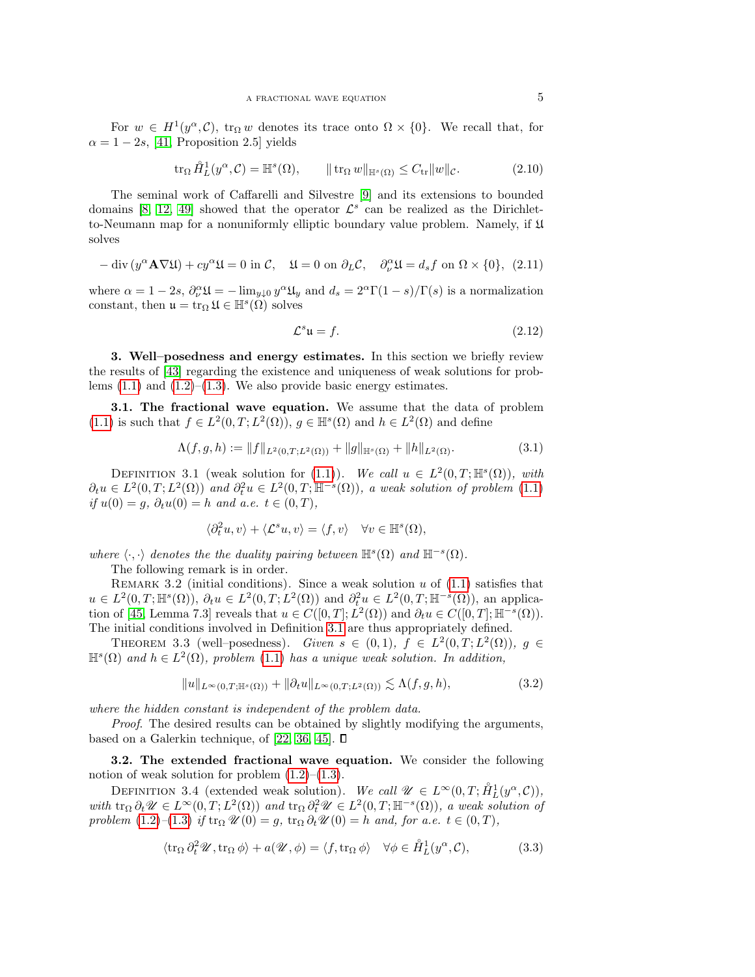For  $w \in H^1(y^\alpha, \mathcal{C})$ ,  $\text{tr}_\Omega w$  denotes its trace onto  $\Omega \times \{0\}$ . We recall that, for  $\alpha = 1 - 2s$ , [\[41,](#page-29-4) Proposition 2.5] yields

<span id="page-4-6"></span>
$$
\operatorname{tr}_{\Omega} \mathring{H}_L^1(y^{\alpha}, \mathcal{C}) = \mathbb{H}^s(\Omega), \qquad \|\operatorname{tr}_{\Omega} w\|_{\mathbb{H}^s(\Omega)} \le C_{\operatorname{tr}} \|w\|_{\mathcal{C}}.
$$
 (2.10)

The seminal work of Caffarelli and Silvestre [\[9\]](#page-28-8) and its extensions to bounded domains [\[8,](#page-28-7) [12,](#page-28-9) [49\]](#page-29-6) showed that the operator  $\mathcal{L}^s$  can be realized as the Dirichletto-Neumann map for a nonuniformly elliptic boundary value problem. Namely, if U solves

$$
-\operatorname{div}\left(y^{\alpha}\mathbf{A}\nabla\mathfrak{U}\right) + cy^{\alpha}\mathfrak{U} = 0 \text{ in } \mathcal{C}, \quad \mathfrak{U} = 0 \text{ on } \partial_L \mathcal{C}, \quad \partial_{\nu}^{\alpha}\mathfrak{U} = d_s f \text{ on } \Omega \times \{0\}, \tag{2.11}
$$

where  $\alpha = 1 - 2s$ ,  $\partial_{\nu}^{\alpha} \mathfrak{U} = -\lim_{y \downarrow 0} y^{\alpha} \mathfrak{U}_y$  and  $d_s = 2^{\alpha} \Gamma(1 - s) / \Gamma(s)$  is a normalization constant, then  $\mathfrak{u} = \text{tr}_{\Omega} \mathfrak{U} \in \mathbb{H}^s(\Omega)$  solves

$$
\mathcal{L}^s \mathfrak{u} = f. \tag{2.12}
$$

<span id="page-4-0"></span>3. Well–posedness and energy estimates. In this section we briefly review the results of [\[43\]](#page-29-22) regarding the existence and uniqueness of weak solutions for problems  $(1.1)$  and  $(1.2)$ – $(1.3)$ . We also provide basic energy estimates.

3.1. The fractional wave equation. We assume that the data of problem [\(1.1\)](#page-0-0) is such that  $f \in L^2(0,T; L^2(\Omega))$ ,  $g \in \mathbb{H}^s(\Omega)$  and  $h \in L^2(\Omega)$  and define

<span id="page-4-5"></span>
$$
\Lambda(f,g,h) := \|f\|_{L^2(0,T;L^2(\Omega))} + \|g\|_{\mathbb{H}^s(\Omega)} + \|h\|_{L^2(\Omega)}.
$$
\n(3.1)

<span id="page-4-1"></span>DEFINITION 3.1 (weak solution for [\(1.1\)](#page-0-0)). We call  $u \in L^2(0,T;\mathbb{H}^s(\Omega))$ , with  $\partial_t u \in L^2(0,T;L^2(\Omega))$  and  $\partial_t^2 u \in L^2(0,T;\mathbb{H}^{-s}(\Omega))$ , a weak solution of problem [\(1.1\)](#page-0-0) if  $u(0) = g, \, \partial_t u(0) = h$  and a.e.  $t \in (0, T)$ ,

$$
\langle \partial_t^2 u, v \rangle + \langle \mathcal{L}^s u, v \rangle = \langle f, v \rangle \quad \forall v \in \mathbb{H}^s(\Omega),
$$

where  $\langle \cdot, \cdot \rangle$  denotes the the duality pairing between  $\mathbb{H}^s(\Omega)$  and  $\mathbb{H}^{-s}(\Omega)$ .

The following remark is in order.

REMARK 3.2 (initial conditions). Since a weak solution  $u$  of  $(1.1)$  satisfies that  $u \in L^2(0,T;\mathbb{H}^s(\Omega)), \partial_t u \in L^2(0,T;L^2(\Omega))$  and  $\partial_t^2 u \in L^2(0,T;\mathbb{H}^{-s}(\Omega)),$  an applica-tion of [\[45,](#page-29-23) Lemma 7.3] reveals that  $u \in C([0,T]; L^2(\Omega))$  and  $\partial_t u \in C([0,T]; \mathbb{H}^{-s}(\Omega))$ . The initial conditions involved in Definition [3.1](#page-4-1) are thus appropriately defined.

THEOREM 3.3 (well-posedness). Given  $s \in (0,1)$ ,  $f \in L^2(0,T;L^2(\Omega))$ ,  $g \in$  $\mathbb{H}^{s}(\Omega)$  and  $h \in L^{2}(\Omega)$ , problem  $(1.1)$  has a unique weak solution. In addition,

<span id="page-4-3"></span>
$$
||u||_{L^{\infty}(0,T;\mathbb{H}^{s}(\Omega))} + ||\partial_t u||_{L^{\infty}(0,T;L^2(\Omega))} \lesssim \Lambda(f,g,h),
$$
\n(3.2)

where the hidden constant is independent of the problem data.

Proof. The desired results can be obtained by slightly modifying the arguments, based on a Galerkin technique, of [\[22,](#page-28-15) [36,](#page-29-16) [45\]](#page-29-23).  $\Box$ 

3.2. The extended fractional wave equation. We consider the following notion of weak solution for problem  $(1.2)$ – $(1.3)$ .

<span id="page-4-4"></span>DEFINITION 3.4 (extended weak solution). We call  $\mathscr{U} \in L^{\infty}(0,T; \mathring{H}_L^1(y^{\alpha}, \mathcal{C}))$ , with  $\text{tr}_{\Omega} \partial_t \mathscr{U} \in L^{\infty}(0,T; L^2(\Omega))$  and  $\text{tr}_{\Omega} \partial_t^2 \mathscr{U} \in L^2(0,T; \mathbb{H}^{-s}(\Omega))$ , a weak solution of problem  $(1.2)$ – $(1.3)$  if  $\operatorname{tr}_\Omega \mathcal{U}(0) = g$ ,  $\operatorname{tr}_\Omega \partial_t \mathcal{U}(0) = h$  and, for a.e.  $t \in (0, T)$ ,

<span id="page-4-2"></span>
$$
\langle \operatorname{tr}_{\Omega} \partial_t^2 \mathscr{U}, \operatorname{tr}_{\Omega} \phi \rangle + a(\mathscr{U}, \phi) = \langle f, \operatorname{tr}_{\Omega} \phi \rangle \quad \forall \phi \in \mathring{H}_L^1(y^\alpha, \mathcal{C}), \tag{3.3}
$$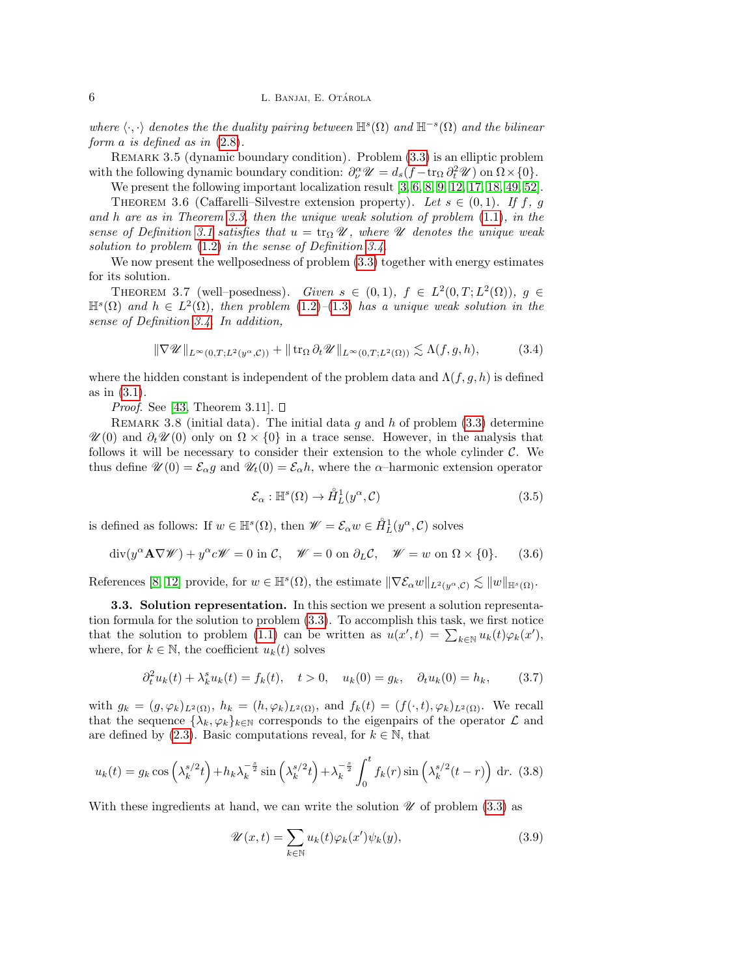where  $\langle \cdot, \cdot \rangle$  denotes the the duality pairing between  $\mathbb{H}^s(\Omega)$  and  $\mathbb{H}^{-s}(\Omega)$  and the bilinear form a is defined as in [\(2.8\)](#page-3-2).

Remark 3.5 (dynamic boundary condition). Problem [\(3.3\)](#page-4-2) is an elliptic problem with the following dynamic boundary condition:  $\partial_{\nu}^{\alpha} \mathscr{U} = d_s(f - \text{tr}_{\Omega} \partial_t^2 \mathscr{U})$  on  $\Omega \times \{0\}$ .

We present the following important localization result [\[3,](#page-27-2) [6,](#page-27-5) [8,](#page-28-7) [9,](#page-28-8) [12,](#page-28-9) [17,](#page-28-10) [18,](#page-28-11) [49,](#page-29-6) [52\]](#page-29-7).

<span id="page-5-4"></span>THEOREM 3.6 (Caffarelli–Silvestre extension property). Let  $s \in (0,1)$ . If f, g and h are as in Theorem [3.3,](#page-4-3) then the unique weak solution of problem  $(1.1)$ , in the sense of Definition [3.1](#page-4-1) satisfies that  $u = \text{tr}_{\Omega} \mathscr{U}$ , where  $\mathscr{U}$  denotes the unique weak solution to problem [\(1.2\)](#page-1-0) in the sense of Definition [3.4.](#page-4-4)

We now present the wellposedness of problem  $(3.3)$  together with energy estimates for its solution.

THEOREM 3.7 (well-posedness). Given  $s \in (0,1)$ ,  $f \in L^2(0,T;L^2(\Omega))$ ,  $g \in$  $\mathbb{H}^{s}(\Omega)$  and  $h \in L^{2}(\Omega)$ , then problem [\(1.2\)](#page-1-0)–[\(1.3\)](#page-1-1) has a unique weak solution in the sense of Definition [3.4.](#page-4-4) In addition,

$$
\|\nabla \mathscr{U}\|_{L^{\infty}(0,T;L^{2}(y^{\alpha},\mathcal{C}))} + \|\operatorname{tr}_{\Omega}\partial_{t}\mathscr{U}\|_{L^{\infty}(0,T;L^{2}(\Omega))} \lesssim \Lambda(f,g,h),\tag{3.4}
$$

where the hidden constant is independent of the problem data and  $\Lambda(f, g, h)$  is defined as in [\(3.1\)](#page-4-5).

*Proof.* See [\[43,](#page-29-22) Theorem 3.11].  $\square$ 

<span id="page-5-2"></span>REMARK 3.8 (initial data). The initial data q and h of problem  $(3.3)$  determine  $\mathscr{U}(0)$  and  $\partial_t \mathscr{U}(0)$  only on  $\Omega \times \{0\}$  in a trace sense. However, in the analysis that follows it will be necessary to consider their extension to the whole cylinder  $\mathcal{C}$ . We thus define  $\mathscr{U}(0) = \mathcal{E}_{\alpha}g$  and  $\mathscr{U}_{t}(0) = \mathcal{E}_{\alpha}h$ , where the  $\alpha$ -harmonic extension operator

<span id="page-5-3"></span>
$$
\mathcal{E}_{\alpha} : \mathbb{H}^s(\Omega) \to \mathring{H}_L^1(y^{\alpha}, \mathcal{C}) \tag{3.5}
$$

is defined as follows: If  $w \in \mathbb{H}^s(\Omega)$ , then  $\mathscr{W} = \mathcal{E}_{\alpha} w \in \mathring{H}_L^1(y^{\alpha}, \mathcal{C})$  solves

<span id="page-5-5"></span>
$$
\operatorname{div}(y^{\alpha}\mathbf{A}\nabla\mathscr{W}) + y^{\alpha}c\mathscr{W} = 0 \text{ in } \mathcal{C}, \quad \mathscr{W} = 0 \text{ on } \partial_L\mathcal{C}, \quad \mathscr{W} = w \text{ on } \Omega \times \{0\}. \tag{3.6}
$$

References [\[8,](#page-28-7) [12\]](#page-28-9) provide, for  $w \in \mathbb{H}^s(\Omega)$ , the estimate  $\|\nabla \mathcal{E}_{\alpha} w\|_{L^2(y^{\alpha}, \mathcal{C})} \lesssim \|w\|_{\mathbb{H}^s(\Omega)}$ .

3.3. Solution representation. In this section we present a solution representation formula for the solution to problem [\(3.3\)](#page-4-2). To accomplish this task, we first notice that the solution to problem [\(1.1\)](#page-0-0) can be written as  $u(x',t) = \sum_{k \in \mathbb{N}} u_k(t) \varphi_k(x')$ , where, for  $k \in \mathbb{N}$ , the coefficient  $u_k(t)$  solves

$$
\partial_t^2 u_k(t) + \lambda_k^s u_k(t) = f_k(t), \quad t > 0, \quad u_k(0) = g_k, \quad \partial_t u_k(0) = h_k, \tag{3.7}
$$

with  $g_k = (g, \varphi_k)_{L^2(\Omega)}, h_k = (h, \varphi_k)_{L^2(\Omega)},$  and  $f_k(t) = (f(\cdot, t), \varphi_k)_{L^2(\Omega)}$ . We recall that the sequence  $\{\lambda_k, \varphi_k\}_{k\in\mathbb{N}}$  corresponds to the eigenpairs of the operator  $\mathcal L$  and are defined by [\(2.3\)](#page-3-3). Basic computations reveal, for  $k \in \mathbb{N}$ , that

<span id="page-5-0"></span>
$$
u_k(t) = g_k \cos\left(\lambda_k^{s/2}t\right) + h_k \lambda_k^{-\frac{s}{2}} \sin\left(\lambda_k^{s/2}t\right) + \lambda_k^{-\frac{s}{2}} \int_0^t f_k(r) \sin\left(\lambda_k^{s/2} (t-r)\right) dr. \tag{3.8}
$$

With these ingredients at hand, we can write the solution  $\mathscr U$  of problem [\(3.3\)](#page-4-2) as

<span id="page-5-1"></span>
$$
\mathcal{U}(x,t) = \sum_{k \in \mathbb{N}} u_k(t)\varphi_k(x')\psi_k(y),\tag{3.9}
$$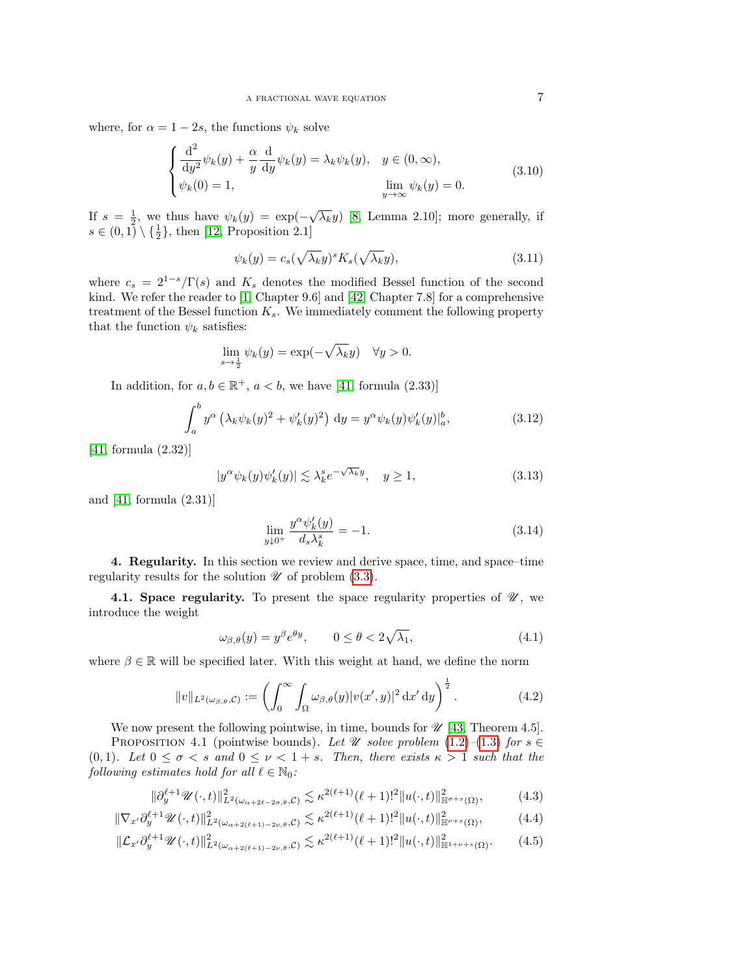where, for  $\alpha = 1 - 2s$ , the functions  $\psi_k$  solve

$$
\begin{cases}\n\frac{\mathrm{d}^2}{\mathrm{d}y^2}\psi_k(y) + \frac{\alpha}{y}\frac{\mathrm{d}}{\mathrm{d}y}\psi_k(y) = \lambda_k \psi_k(y), & y \in (0, \infty), \\
\psi_k(0) = 1, & \lim_{y \to \infty} \psi_k(y) = 0.\n\end{cases}
$$
\n(3.10)

If  $s = \frac{1}{2}$ , we thus have  $\psi_k(y) = \exp(-\sqrt{\lambda_k}y)$  [\[8,](#page-28-7) Lemma 2.10]; more generally, if  $s \in (0,1) \setminus {\frac{1}{2}}$ , then [\[12,](#page-28-9) Proposition 2.1]

$$
\psi_k(y) = c_s(\sqrt{\lambda_k}y)^s K_s(\sqrt{\lambda_k}y), \tag{3.11}
$$

where  $c_s = 2^{1-s}/\Gamma(s)$  and  $K_s$  denotes the modified Bessel function of the second kind. We refer the reader to [\[1,](#page-27-6) Chapter 9.6] and [\[42,](#page-29-24) Chapter 7.8] for a comprehensive treatment of the Bessel function  $K_s$ . We immediately comment the following property that the function  $\psi_k$  satisfies:

$$
\lim_{s \to \frac{1}{2}} \psi_k(y) = \exp(-\sqrt{\lambda_k}y) \quad \forall y > 0.
$$

In addition, for  $a, b \in \mathbb{R}^+$ ,  $a < b$ , we have [\[41,](#page-29-4) formula (2.33)]

<span id="page-6-3"></span>
$$
\int_{a}^{b} y^{\alpha} \left(\lambda_{k} \psi_{k}(y)^{2} + \psi_{k}'(y)^{2}\right) dy = y^{\alpha} \psi_{k}(y) \psi_{k}'(y) \vert_{a}^{b}, \tag{3.12}
$$

[\[41,](#page-29-4) formula (2.32)]

<span id="page-6-5"></span>
$$
|y^{\alpha}\psi_k(y)\psi'_k(y)| \lesssim \lambda_k^s e^{-\sqrt{\lambda_k}y}, \quad y \ge 1,
$$
\n(3.13)

and [\[41,](#page-29-4) formula (2.31)]

<span id="page-6-4"></span>
$$
\lim_{y \downarrow 0^+} \frac{y^{\alpha} \psi_k'(y)}{d_s \lambda_k^s} = -1.
$$
\n(3.14)

<span id="page-6-0"></span>4. Regularity. In this section we review and derive space, time, and space–time regularity results for the solution  $\mathscr U$  of problem [\(3.3\)](#page-4-2).

4.1. Space regularity. To present the space regularity properties of  $\mathcal{U}$ , we introduce the weight

<span id="page-6-2"></span><span id="page-6-1"></span>
$$
\omega_{\beta,\theta}(y) = y^{\beta} e^{\theta y}, \qquad 0 \le \theta < 2\sqrt{\lambda_1},\tag{4.1}
$$

where  $\beta \in \mathbb{R}$  will be specified later. With this weight at hand, we define the norm

$$
||v||_{L^2(\omega_{\beta,\theta},\mathcal{C})} := \left(\int_0^\infty \int_\Omega \omega_{\beta,\theta}(y) |v(x',y)|^2 dx' dy\right)^{\frac{1}{2}}.
$$
 (4.2)

We now present the following pointwise, in time, bounds for  $\mathcal{U}$  [\[43,](#page-29-22) Theorem 4.5]. PROPOSITION 4.1 (pointwise bounds). Let  $\mathcal U$  solve problem [\(1.2\)](#page-1-0)–[\(1.3\)](#page-1-1) for  $s \in$ (0,1). Let  $0 \leq \sigma < s$  and  $0 \leq \nu < 1 + s$ . Then, there exists  $\kappa > 1$  such that the following estimates hold for all  $\ell \in \mathbb{N}_0$ :

$$
\|\partial_y^{\ell+1} \mathscr{U}(\cdot, t)\|_{L^2(\omega_{\alpha+2\ell-2\sigma,\theta}, \mathcal{C})}^2 \lesssim \kappa^{2(\ell+1)} (\ell+1)!^2 \|u(\cdot, t)\|_{\mathbb{H}^{\sigma+s}(\Omega)}^2,
$$
 (4.3)

$$
\|\nabla_{x'}\partial_{y}^{\ell+1}\mathscr{U}(\cdot,t)\|_{L^{2}(\omega_{\alpha+2(\ell+1)-2\nu,\theta},\mathcal{C})}^{2} \lesssim \kappa^{2(\ell+1)}(\ell+1)!^{2}\|u(\cdot,t)\|_{\mathbb{H}^{\nu+s}(\Omega)}^{2},\tag{4.4}
$$

$$
\|\mathcal{L}_{x'}\partial_y^{\ell+1}\mathscr{U}(\cdot,t)\|_{L^2(\omega_{\alpha+2(\ell+1)-2\nu,\theta},\mathcal{C})}^2 \lesssim \kappa^{2(\ell+1)}(\ell+1)!^2 \|u(\cdot,t)\|_{\mathbb{H}^{1+\nu+s}(\Omega)}^2. \tag{4.5}
$$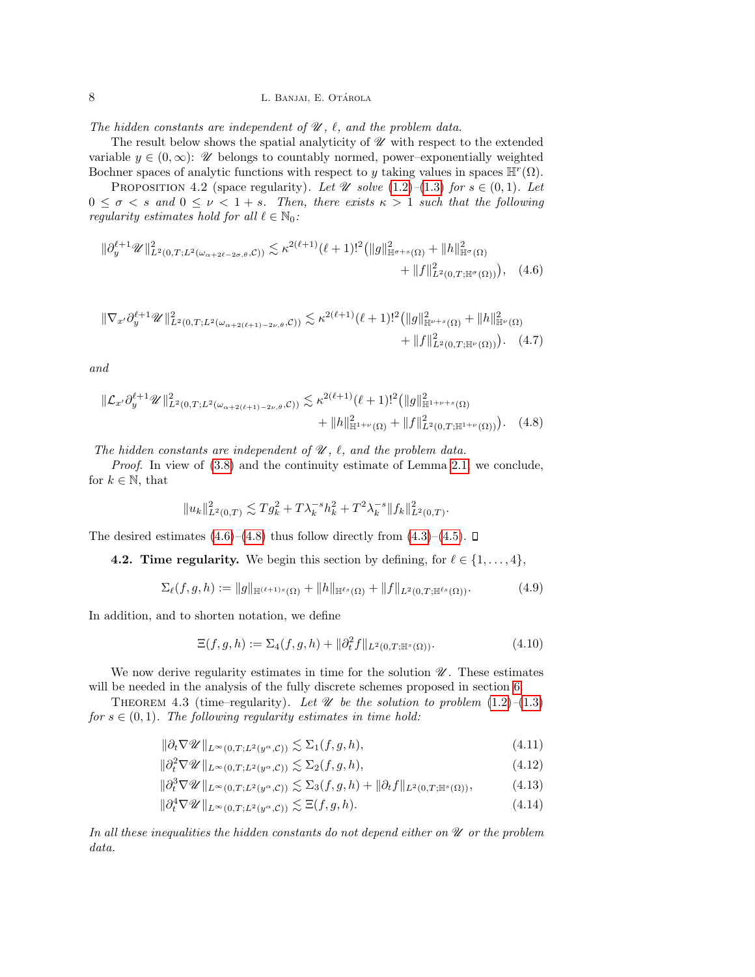The hidden constants are independent of  $\mathcal{U}$ ,  $\ell$ , and the problem data.

The result below shows the spatial analyticity of  $\mathscr U$  with respect to the extended variable  $y \in (0, \infty)$ : W belongs to countably normed, power–exponentially weighted Bochner spaces of analytic functions with respect to y taking values in spaces  $\mathbb{H}^r(\Omega)$ .

PROPOSITION 4.2 (space regularity). Let  $\mathscr U$  solve  $(1.2)$ – $(1.3)$  for  $s \in (0,1)$ . Let  $0 \leq \sigma < s$  and  $0 \leq \nu < 1 + s$ . Then, there exists  $\kappa > 1$  such that the following regularity estimates hold for all  $\ell \in \mathbb{N}_0$ :

$$
\|\partial_y^{\ell+1}\mathscr{U}\|_{L^2(0,T;L^2(\omega_{\alpha+2\ell-2\sigma,\theta},\mathcal{C}))}^2 \lesssim \kappa^{2(\ell+1)}(\ell+1)!^2 \big(\|g\|_{\mathbb{H}^{\sigma+s}(\Omega)}^2 + \|h\|_{\mathbb{H}^{\sigma}(\Omega)}^2 + \|f\|_{L^2(0,T;\mathbb{H}^{\sigma}(\Omega))}^2\big), \quad (4.6)
$$

$$
\|\nabla_{x'}\partial_y^{\ell+1}\mathscr{U}\|_{L^2(0,T;L^2(\omega_{\alpha+2(\ell+1)-2\nu,\theta},\mathcal{C}))}^2 \lesssim \kappa^{2(\ell+1)}(\ell+1)!^2 \big(\|g\|_{\mathbb{H}^{\nu+s}(\Omega)}^2 + \|h\|_{\mathbb{H}^{\nu}(\Omega)}^2 + \|h\|_{\mathbb{H}^{\nu}(\Omega)}^2\big) + \|f\|_{L^2(0,T;\mathbb{H}^{\nu}(\Omega))}^2\big).
$$
 (4.7)

and

$$
\|\mathcal{L}_{x'}\partial_y^{\ell+1}\mathscr{U}\|_{L^2(0,T;L^2(\omega_{\alpha+2(\ell+1)-2\nu,\theta},\mathcal{C}))}^2 \lesssim \kappa^{2(\ell+1)}(\ell+1)!^2 \big(\|g\|_{\mathbb{H}^{1+\nu+s}(\Omega)}^2 + \|\hbar\|_{\mathbb{H}^{1+\nu}(\Omega)}^2 + \|f\|_{L^2(0,T;\mathbb{H}^{1+\nu}(\Omega))}^2\big).
$$
 (4.8)

The hidden constants are independent of  $\mathcal{U}$ ,  $\ell$ , and the problem data.

Proof. In view of [\(3.8\)](#page-5-0) and the continuity estimate of Lemma [2.1,](#page-2-3) we conclude, for  $k \in \mathbb{N}$ , that

<span id="page-7-1"></span><span id="page-7-0"></span>
$$
||u_k||^2_{L^2(0,T)} \lesssim T g_k^2 + T \lambda_k^{-s} h_k^2 + T^2 \lambda_k^{-s} ||f_k||^2_{L^2(0,T)}.
$$

The desired estimates  $(4.6)$ – $(4.8)$  thus follow directly from  $(4.3)$ – $(4.5)$ .  $\Box$ 

4.2. Time regularity. We begin this section by defining, for  $\ell \in \{1, \ldots, 4\}$ ,

<span id="page-7-5"></span>
$$
\Sigma_{\ell}(f,g,h) := \|g\|_{\mathbb{H}^{(\ell+1)s}(\Omega)} + \|h\|_{\mathbb{H}^{\ell s}(\Omega)} + \|f\|_{L^2(0,T;\mathbb{H}^{\ell s}(\Omega))}.
$$
\n(4.9)

In addition, and to shorten notation, we define

<span id="page-7-6"></span><span id="page-7-4"></span><span id="page-7-3"></span><span id="page-7-2"></span>
$$
\Xi(f, g, h) := \Sigma_4(f, g, h) + \|\partial_t^2 f\|_{L^2(0, T; \mathbb{H}^s(\Omega))}.
$$
\n(4.10)

We now derive regularity estimates in time for the solution  $\mathscr U$ . These estimates will be needed in the analysis of the fully discrete schemes proposed in section [6.](#page-11-0)

THEOREM 4.3 (time–regularity). Let  $\mathcal U$  be the solution to problem [\(1.2\)](#page-1-0)–[\(1.3\)](#page-1-1) for  $s \in (0, 1)$ . The following regularity estimates in time hold:

$$
\|\partial_t \nabla \mathscr{U}\|_{L^\infty(0,T;L^2(y^\alpha,\mathcal{C}))} \lesssim \Sigma_1(f,g,h),\tag{4.11}
$$

$$
\|\partial_t^2 \nabla \mathscr{U}\|_{L^\infty(0,T;L^2(y^\alpha,\mathcal{C}))} \lesssim \Sigma_2(f,g,h),\tag{4.12}
$$

$$
\|\partial_t^3 \nabla \mathscr{U}\|_{L^\infty(0,T;L^2(y^\alpha,\mathcal{C}))} \lesssim \Sigma_3(f,g,h) + \|\partial_t f\|_{L^2(0,T;\mathbb{H}^s(\Omega))},\tag{4.13}
$$

$$
\|\partial_t^4 \nabla \mathscr{U}\|_{L^\infty(0,T;L^2(y^\alpha,\mathcal{C}))} \lesssim \Xi(f,g,h). \tag{4.14}
$$

In all these inequalities the hidden constants do not depend either on  $\mathcal U$  or the problem data.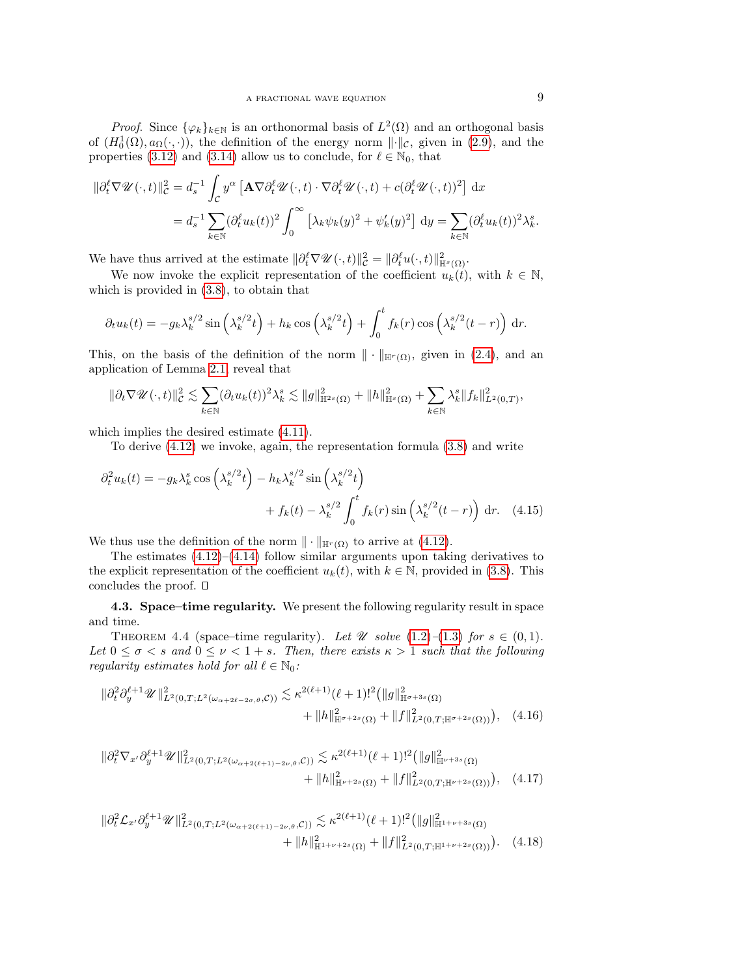*Proof.* Since  $\{\varphi_k\}_{k\in\mathbb{N}}$  is an orthonormal basis of  $L^2(\Omega)$  and an orthogonal basis of  $(H_0^1(\Omega), a_{\Omega}(\cdot, \cdot))$ , the definition of the energy norm  $\lVert \cdot \rVert_{\mathcal{C}}$ , given in [\(2.9\)](#page-3-4), and the properties [\(3.12\)](#page-6-3) and [\(3.14\)](#page-6-4) allow us to conclude, for  $\ell \in \mathbb{N}_0$  that

$$
\begin{split} \|\partial_t^\ell \nabla \mathscr{U}(\cdot, t)\|_{\mathcal{C}}^2 &= d_s^{-1} \int_{\mathcal{C}} y^\alpha \left[ \mathbf{A} \nabla \partial_t^\ell \mathscr{U}(\cdot, t) \cdot \nabla \partial_t^\ell \mathscr{U}(\cdot, t) + c (\partial_t^\ell \mathscr{U}(\cdot, t))^2 \right] \, \mathrm{d}x \\ &= d_s^{-1} \sum_{k \in \mathbb{N}} (\partial_t^\ell u_k(t))^2 \int_0^\infty \left[ \lambda_k \psi_k(y)^2 + \psi_k'(y)^2 \right] \, \mathrm{d}y = \sum_{k \in \mathbb{N}} (\partial_t^\ell u_k(t))^2 \lambda_k^s. \end{split}
$$

We have thus arrived at the estimate  $\|\partial_t^{\ell} \nabla \mathscr{U}(\cdot, t)\|_{\mathcal{C}}^2 = \|\partial_t^{\ell} u(\cdot, t)\|_{\mathbb{H}^s(\Omega)}^2$ .

We now invoke the explicit representation of the coefficient  $u_k(t)$ , with  $k \in \mathbb{N}$ , which is provided in [\(3.8\)](#page-5-0), to obtain that

$$
\partial_t u_k(t) = -g_k \lambda_k^{s/2} \sin\left(\lambda_k^{s/2}t\right) + h_k \cos\left(\lambda_k^{s/2}t\right) + \int_0^t f_k(r) \cos\left(\lambda_k^{s/2} (t-r)\right) dr.
$$

This, on the basis of the definition of the norm  $\|\cdot\|_{\mathbb{H}^r(\Omega)}$ , given in [\(2.4\)](#page-3-5), and an application of Lemma [2.1,](#page-2-3) reveal that

$$
\|\partial_t \nabla \mathscr{U}(\cdot,t)\|_{\mathcal{C}}^2 \lesssim \sum_{k\in\mathbb{N}} (\partial_t u_k(t))^2 \lambda_k^s \lesssim \|g\|_{\mathbb{H}^{2s}(\Omega)}^2 + \|h\|_{\mathbb{H}^s(\Omega)}^2 + \sum_{k\in\mathbb{N}} \lambda_k^s \|f_k\|_{L^2(0,T)}^2,
$$

which implies the desired estimate [\(4.11\)](#page-7-2).

<span id="page-8-0"></span>To derive [\(4.12\)](#page-7-3) we invoke, again, the representation formula [\(3.8\)](#page-5-0) and write

$$
\partial_t^2 u_k(t) = -g_k \lambda_k^s \cos \left(\lambda_k^{s/2} t\right) - h_k \lambda_k^{s/2} \sin \left(\lambda_k^{s/2} t\right)
$$

$$
+ f_k(t) - \lambda_k^{s/2} \int_0^t f_k(r) \sin \left(\lambda_k^{s/2} (t - r)\right) dr. \quad (4.15)
$$

We thus use the definition of the norm  $\|\cdot\|_{\mathbb{H}^r(\Omega)}$  to arrive at [\(4.12\)](#page-7-3).

The estimates  $(4.12)$ – $(4.14)$  follow similar arguments upon taking derivatives to the explicit representation of the coefficient  $u_k(t)$ , with  $k \in \mathbb{N}$ , provided in [\(3.8\)](#page-5-0). This concludes the proof.  $\square$ 

4.3. Space–time regularity. We present the following regularity result in space and time.

THEOREM 4.4 (space–time regularity). Let  $\mathscr U$  solve  $(1.2)$ – $(1.3)$  for  $s \in (0,1)$ . Let  $0 \leq \sigma < s$  and  $0 \leq \nu < 1 + s$ . Then, there exists  $\kappa > 1$  such that the following regularity estimates hold for all  $\ell \in \mathbb{N}_0$ :

<span id="page-8-1"></span>
$$
\|\partial_t^2 \partial_y^{\ell+1} \mathscr{U}\|_{L^2(0,T;L^2(\omega_{\alpha+2\ell-2\sigma,\theta},\mathcal{C}))}^2 \lesssim \kappa^{2(\ell+1)} (\ell+1)!^2 \big( \|g\|_{\mathbb{H}^{\sigma+3s}(\Omega)}^2 + \|h\|_{\mathbb{H}^{\sigma+2s}(\Omega)}^2 + \|f\|_{L^2(0,T;\mathbb{H}^{\sigma+2s}(\Omega))}^2 \big), \quad (4.16)
$$

<span id="page-8-2"></span>
$$
\|\partial_t^2 \nabla_{x'} \partial_y^{\ell+1} \mathscr{U}\|_{L^2(0,T;L^2(\omega_{\alpha+2(\ell+1)-2\nu,\theta},\mathcal{C}))}^2 \lesssim \kappa^{2(\ell+1)}(\ell+1)!^2 \big( \|g\|_{\mathbb{H}^{\nu+3s}(\Omega)}^2 + \|h\|_{\mathbb{H}^{\nu+2s}(\Omega)}^2 + \|f\|_{L^2(0,T;\mathbb{H}^{\nu+2s}(\Omega))}^2 \big), \quad (4.17)
$$

<span id="page-8-3"></span>
$$
\|\partial_t^2 \mathcal{L}_{x'} \partial_y^{\ell+1} \mathscr{U}\|_{L^2(0,T;L^2(\omega_{\alpha+2(\ell+1)-2\nu,\theta},\mathcal{C}))}^2 \lesssim \kappa^{2(\ell+1)}(\ell+1)!^2 \big( \|g\|_{\mathbb{H}^{1+\nu+3s}(\Omega)}^2 + \|h\|_{\mathbb{H}^{1+\nu+2s}(\Omega)}^2 + \|f\|_{L^2(0,T;\mathbb{H}^{1+\nu+2s}(\Omega))}^2 \big).
$$
 (4.18)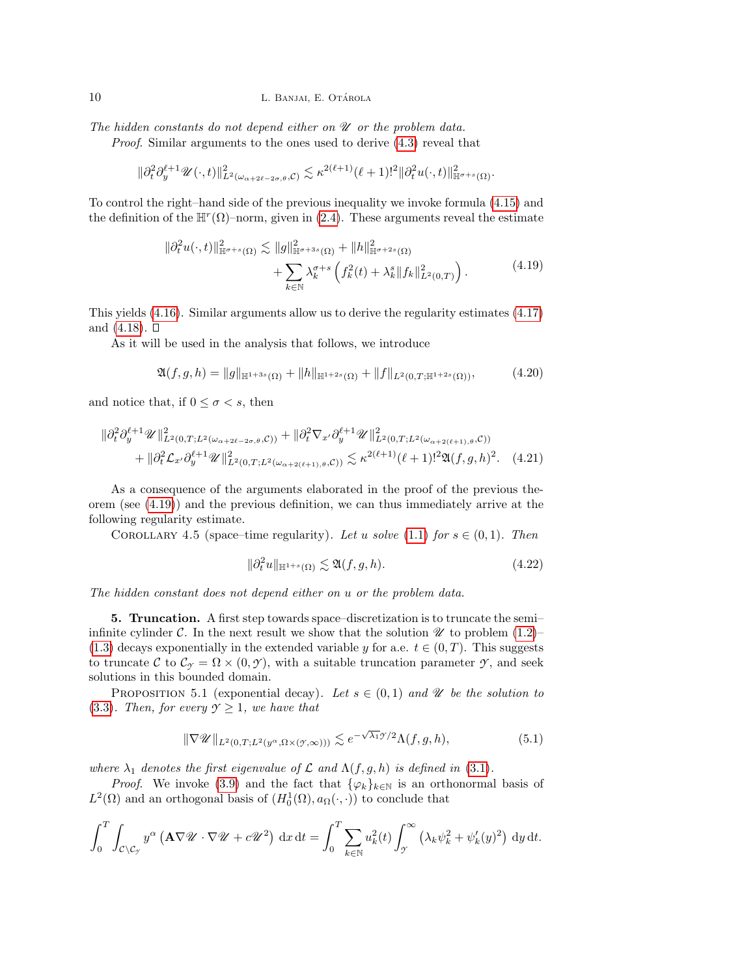The hidden constants do not depend either on  $\mathscr U$  or the problem data.

Proof. Similar arguments to the ones used to derive [\(4.3\)](#page-6-1) reveal that

$$
\|\partial_t^2 \partial_y^{\ell+1} \mathscr{U}(\cdot,t)\|_{L^2(\omega_{\alpha+2\ell-2\sigma,\theta},\mathcal{C})}^2 \lesssim \kappa^{2(\ell+1)} (\ell+1)!^2 \|\partial_t^2 u(\cdot,t)\|_{\mathbb{H}^{\sigma+s}(\Omega)}^2.
$$

To control the right–hand side of the previous inequality we invoke formula [\(4.15\)](#page-8-0) and the definition of the  $\mathbb{H}^r(\Omega)$ -norm, given in [\(2.4\)](#page-3-5). These arguments reveal the estimate

$$
\|\partial_t^2 u(\cdot,t)\|_{\mathbb{H}^{\sigma+s}(\Omega)}^2 \lesssim \|g\|_{\mathbb{H}^{\sigma+3s}(\Omega)}^2 + \|h\|_{\mathbb{H}^{\sigma+2s}(\Omega)}^2 + \sum_{k \in \mathbb{N}} \lambda_k^{\sigma+s} \left( f_k^2(t) + \lambda_k^s \|f_k\|_{L^2(0,T)}^2 \right).
$$
 (4.19)

<span id="page-9-1"></span>This yields [\(4.16\)](#page-8-1). Similar arguments allow us to derive the regularity estimates [\(4.17\)](#page-8-2) and  $(4.18)$ .  $\square$ 

As it will be used in the analysis that follows, we introduce

<span id="page-9-3"></span>
$$
\mathfrak{A}(f,g,h) = \|g\|_{\mathbb{H}^{1+3s}(\Omega)} + \|h\|_{\mathbb{H}^{1+2s}(\Omega)} + \|f\|_{L^2(0,T;\mathbb{H}^{1+2s}(\Omega))},\tag{4.20}
$$

and notice that, if  $0 \leq \sigma < s$ , then

$$
\begin{split} \|\partial_t^2 \partial_y^{\ell+1} \mathscr{U}\|_{L^2(0,T;L^2(\omega_{\alpha+2\ell-2\sigma,\theta},\mathcal{C}))}^2 + \|\partial_t^2 \nabla_{x'} \partial_y^{\ell+1} \mathscr{U}\|_{L^2(0,T;L^2(\omega_{\alpha+2(\ell+1),\theta},\mathcal{C}))}^2 \\ &+ \|\partial_t^2 \mathcal{L}_{x'} \partial_y^{\ell+1} \mathscr{U}\|_{L^2(0,T;L^2(\omega_{\alpha+2(\ell+1),\theta},\mathcal{C}))}^2 \lesssim \kappa^{2(\ell+1)}(\ell+1)!^2 \mathfrak{A}(f,g,h)^2. \end{split} \tag{4.21}
$$

As a consequence of the arguments elaborated in the proof of the previous theorem (see [\(4.19\)](#page-9-1)) and the previous definition, we can thus immediately arrive at the following regularity estimate.

COROLLARY 4.5 (space–time regularity). Let u solve [\(1.1\)](#page-0-0) for  $s \in (0,1)$ . Then

<span id="page-9-4"></span>
$$
\|\partial_t^2 u\|_{\mathbb{H}^{1+s}(\Omega)} \lesssim \mathfrak{A}(f,g,h). \tag{4.22}
$$

The hidden constant does not depend either on u or the problem data.

<span id="page-9-0"></span>5. Truncation. A first step towards space–discretization is to truncate the semi– infinite cylinder C. In the next result we show that the solution  $\mathcal U$  to problem [\(1.2\)](#page-1-0)– [\(1.3\)](#page-1-1) decays exponentially in the extended variable y for a.e.  $t \in (0, T)$ . This suggests to truncate C to  $\mathcal{C}_{\gamma} = \Omega \times (0, \gamma)$ , with a suitable truncation parameter  $\gamma$ , and seek solutions in this bounded domain.

PROPOSITION 5.1 (exponential decay). Let  $s \in (0,1)$  and  $\mathscr U$  be the solution to [\(3.3\)](#page-4-2). Then, for every  $\mathcal{Y} \geq 1$ , we have that

<span id="page-9-2"></span>
$$
\|\nabla \mathscr{U}\|_{L^2(0,T;L^2(y^\alpha,\Omega\times(\mathcal{Y},\infty)))} \lesssim e^{-\sqrt{\lambda_1}\mathscr{Y}/2} \Lambda(f,g,h),\tag{5.1}
$$

where  $\lambda_1$  denotes the first eigenvalue of  $\mathcal L$  and  $\Lambda(f, g, h)$  is defined in [\(3.1\)](#page-4-5).

*Proof.* We invoke [\(3.9\)](#page-5-1) and the fact that  $\{\varphi_k\}_{k\in\mathbb{N}}$  is an orthonormal basis of  $L^2(\Omega)$  and an orthogonal basis of  $(H_0^1(\Omega), a_{\Omega}(\cdot, \cdot))$  to conclude that

$$
\int_0^T \int_{\mathcal{C} \setminus \mathcal{C}_{\mathcal{Y}}} y^{\alpha} \left( \mathbf{A} \nabla \mathcal{U} \cdot \nabla \mathcal{U} + c \mathcal{U}^2 \right) dx dt = \int_0^T \sum_{k \in \mathbb{N}} u_k^2(t) \int_{\mathcal{Y}}^{\infty} \left( \lambda_k \psi_k^2 + \psi_k'(y)^2 \right) dy dt.
$$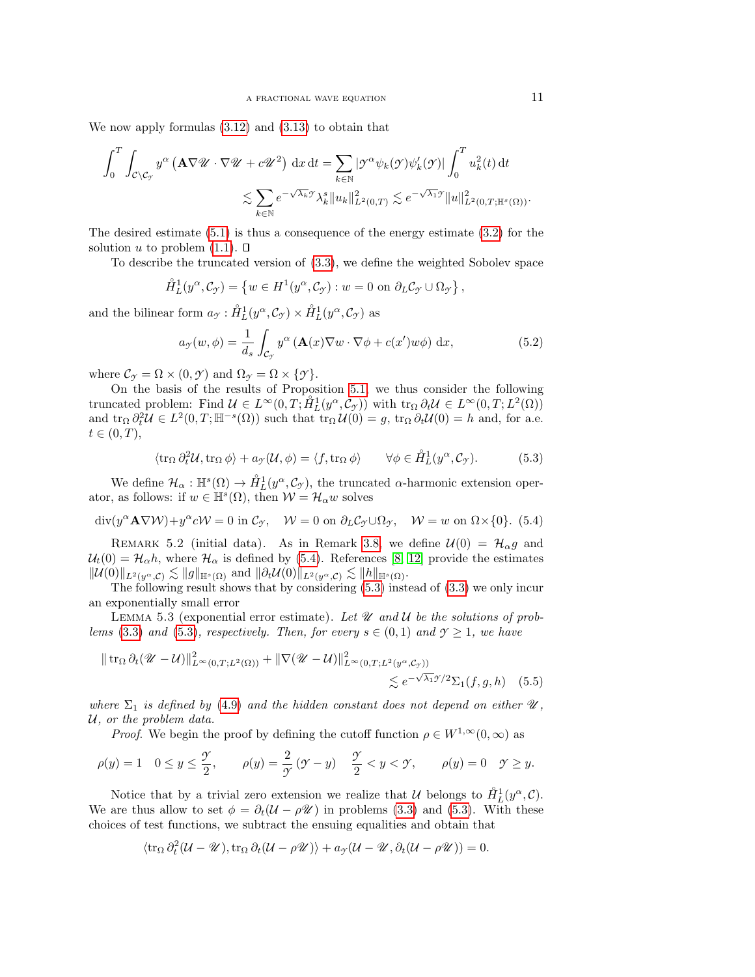We now apply formulas [\(3.12\)](#page-6-3) and [\(3.13\)](#page-6-5) to obtain that

$$
\int_0^T \int_{\mathcal{C} \backslash \mathcal{C}_{\mathcal{I}}} y^{\alpha} \left( \mathbf{A} \nabla \mathcal{U} \cdot \nabla \mathcal{U} + c \mathcal{U}^2 \right) dx dt = \sum_{k \in \mathbb{N}} |\mathcal{I}^{\alpha} \psi_k(\mathcal{I}) \psi'_k(\mathcal{I})| \int_0^T u_k^2(t) dt
$$
  

$$
\lesssim \sum_{k \in \mathbb{N}} e^{-\sqrt{\lambda_k} \mathcal{I}} \lambda_k^s \|u_k\|_{L^2(0,T)}^2 \lesssim e^{-\sqrt{\lambda_1} \mathcal{I}} \|u\|_{L^2(0,T; \mathbb{H}^s(\Omega))}^2.
$$

The desired estimate [\(5.1\)](#page-9-2) is thus a consequence of the energy estimate [\(3.2\)](#page-4-3) for the solution u to problem  $(1.1)$ .  $\Box$ 

To describe the truncated version of [\(3.3\)](#page-4-2), we define the weighted Sobolev space

$$
\mathring{H}_L^1(y^\alpha, \mathcal{C}_{\gamma}) = \left\{ w \in H^1(y^\alpha, \mathcal{C}_{\gamma}) : w = 0 \text{ on } \partial_L \mathcal{C}_{\gamma} \cup \Omega_{\gamma} \right\},\
$$

and the bilinear form  $a_{\mathcal{Y}} : \mathring{H}_L^1(y^{\alpha}, \mathcal{C}_{\mathcal{Y}}) \times \mathring{H}_L^1(y^{\alpha}, \mathcal{C}_{\mathcal{Y}})$  as

<span id="page-10-4"></span>
$$
a_{\mathcal{F}}(w,\phi) = \frac{1}{d_s} \int_{\mathcal{C}_{\mathcal{F}}} y^{\alpha} \left( \mathbf{A}(x) \nabla w \cdot \nabla \phi + c(x') w \phi \right) dx, \tag{5.2}
$$

where  $\mathcal{C}_{\gamma} = \Omega \times (0, \gamma)$  and  $\Omega_{\gamma} = \Omega \times \{\gamma\}.$ 

On the basis of the results of Proposition [5.1,](#page-9-2) we thus consider the following truncated problem: Find  $\mathcal{U} \in L^{\infty}(0,T; \mathring{H}^{1}_{L}(y^{\alpha}, \mathcal{C}_{\mathcal{Y}}))$  with  $\text{tr}_{\Omega} \partial_t \mathcal{U} \in L^{\infty}(0,T; L^{2}(\Omega))$ and  $\operatorname{tr}_{\Omega} \partial_t^2 \mathcal{U} \in L^2(0,T;\mathbb{H}^{-s}(\Omega))$  such that  $\operatorname{tr}_{\Omega} \mathcal{U}(0) = g$ ,  $\operatorname{tr}_{\Omega} \partial_t \mathcal{U}(0) = h$  and, for a.e.  $t \in (0,T)$ ,

<span id="page-10-1"></span>
$$
\langle \operatorname{tr}_{\Omega} \partial_t^2 \mathcal{U}, \operatorname{tr}_{\Omega} \phi \rangle + a_{\mathcal{I}} \langle \mathcal{U}, \phi \rangle = \langle f, \operatorname{tr}_{\Omega} \phi \rangle \qquad \forall \phi \in \mathring{H}_L^1(y^\alpha, \mathcal{C}_{\mathcal{I}}). \tag{5.3}
$$

We define  $\mathcal{H}_{\alpha} : \mathbb{H}^s(\Omega) \to \mathring{H}_L^1(y^{\alpha}, \mathcal{C}_{\mathcal{I}})$ , the truncated  $\alpha$ -harmonic extension operator, as follows: if  $w \in \mathbb{H}^s(\Omega)$ , then  $\mathcal{W} = \mathcal{H}_\alpha w$  solves

<span id="page-10-0"></span> $\text{div}(y^{\alpha} \mathbf{A} \nabla W) + y^{\alpha} cW = 0$  in  $\mathcal{C}_{\mathcal{Y}}$ ,  $W = 0$  on  $\partial_L \mathcal{C}_{\mathcal{Y}} \cup \Omega_{\mathcal{Y}}$ ,  $W = w$  on  $\Omega \times \{0\}$ . (5.4)

<span id="page-10-3"></span>REMARK 5.2 (initial data). As in Remark [3.8,](#page-5-2) we define  $\mathcal{U}(0) = \mathcal{H}_{\alpha}g$  and  $\mathcal{U}_t(0) = \mathcal{H}_{\alpha}h$ , where  $\mathcal{H}_{\alpha}$  is defined by [\(5.4\)](#page-10-0). References [\[8,](#page-28-7) [12\]](#page-28-9) provide the estimates  $\|\mathcal{U}(0)\|_{L^2(y^\alpha,\mathcal{C})} \lesssim \|g\|_{\mathbb{H}^s(\Omega)}$  and  $\|\partial_t \mathcal{U}(0)\|_{L^2(y^\alpha,\mathcal{C})} \lesssim \|h\|_{\mathbb{H}^s(\Omega)}$ .

The following result shows that by considering [\(5.3\)](#page-10-1) instead of [\(3.3\)](#page-4-2) we only incur an exponentially small error

LEMMA 5.3 (exponential error estimate). Let  $\mathcal U$  and  $\mathcal U$  be the solutions of prob-lems [\(3.3\)](#page-4-2) and [\(5.3\)](#page-10-1), respectively. Then, for every  $s \in (0,1)$  and  $\gamma \geq 1$ , we have

$$
\|\operatorname{tr}_{\Omega}\partial_t(\mathscr{U}-\mathcal{U})\|_{L^{\infty}(0,T;L^2(\Omega))}^2 + \|\nabla(\mathscr{U}-\mathcal{U})\|_{L^{\infty}(0,T;L^2(\mathscr{Y}^\alpha,\mathcal{C}_\mathscr{Y}))}^2
$$
  
\$\leqslant e^{-\sqrt{\lambda\_1}\mathscr{Y}/2}\Sigma\_1(f,g,h)\$ (5.5)

where  $\Sigma_1$  is defined by [\(4.9\)](#page-7-5) and the hidden constant does not depend on either  $\mathscr{U}$ , U, or the problem data.

<span id="page-10-2"></span>*Proof.* We begin the proof by defining the cutoff function  $\rho \in W^{1,\infty}(0,\infty)$  as

$$
\rho(y) = 1 \quad 0 \le y \le \frac{\gamma}{2}, \qquad \rho(y) = \frac{2}{\gamma} \left( \mathcal{Y} - y \right) \quad \frac{\gamma}{2} < y < \mathcal{Y}, \qquad \rho(y) = 0 \quad \mathcal{Y} \ge y.
$$

Notice that by a trivial zero extension we realize that U belongs to  $\mathring{H}_L^1(y^\alpha, \mathcal{C})$ . We are thus allow to set  $\phi = \partial_t(\mathcal{U} - \rho \mathcal{U})$  in problems [\(3.3\)](#page-4-2) and [\(5.3\)](#page-10-1). With these choices of test functions, we subtract the ensuing equalities and obtain that

$$
\langle \operatorname{tr}_{\Omega} \partial_t^2 (\mathcal{U} - \mathcal{U}), \operatorname{tr}_{\Omega} \partial_t (\mathcal{U} - \rho \mathcal{U}) \rangle + a_{\mathcal{I}} (\mathcal{U} - \mathcal{U}, \partial_t (\mathcal{U} - \rho \mathcal{U})) = 0.
$$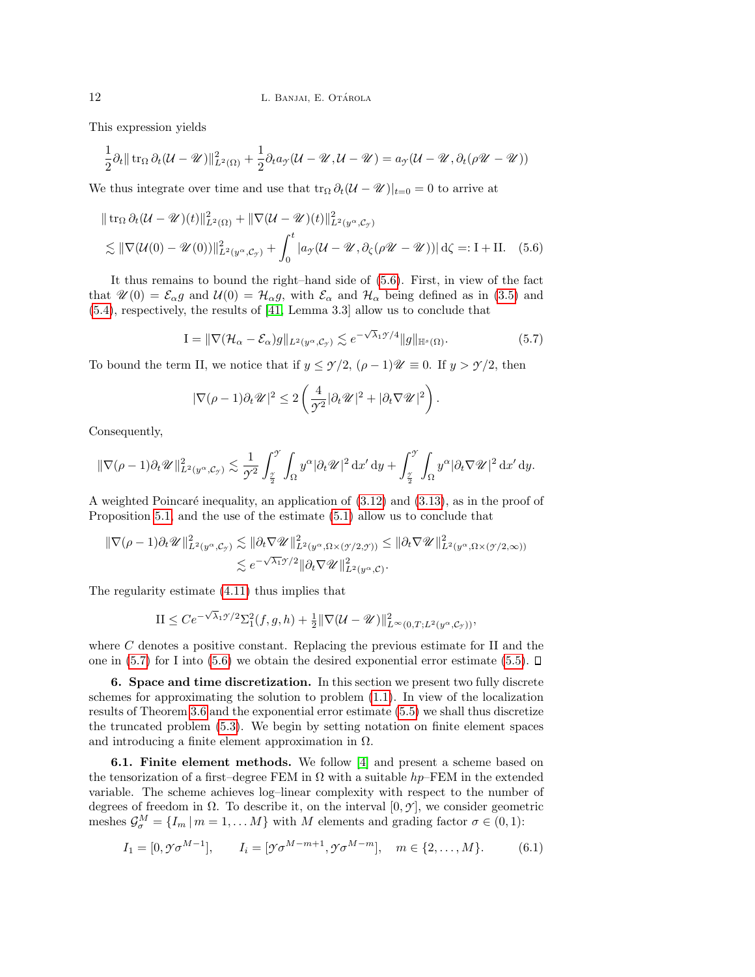This expression yields

$$
\frac{1}{2}\partial_t \|\operatorname{tr}_{\Omega}\partial_t(\mathcal{U}-\mathcal{U})\|_{L^2(\Omega)}^2 + \frac{1}{2}\partial_t a_{\mathcal{I}}(\mathcal{U}-\mathcal{U},\mathcal{U}-\mathcal{U}) = a_{\mathcal{I}}(\mathcal{U}-\mathcal{U},\partial_t(\rho\mathcal{U}-\mathcal{U}))
$$

We thus integrate over time and use that  $\text{tr}_{\Omega} \partial_t (\mathcal{U} - \mathcal{U})|_{t=0} = 0$  to arrive at

$$
\|\operatorname{tr}_{\Omega}\partial_t(\mathcal{U}-\mathcal{U})(t)\|_{L^2(\Omega)}^2 + \|\nabla(\mathcal{U}-\mathcal{U})(t)\|_{L^2(\mathcal{Y}^\alpha,\mathcal{C}_\mathcal{Y})}^2
$$
  
\$\lesssim \|\nabla(\mathcal{U}(0)-\mathcal{U}(0))\|\_{L^2(\mathcal{Y}^\alpha,\mathcal{C}\_\mathcal{Y})}^2 + \int\_0^t |a\_{\mathcal{Y}}(\mathcal{U}-\mathcal{U},\partial\_\zeta(\rho\mathcal{U}-\mathcal{U}))| d\zeta =: I + II. (5.6)

It thus remains to bound the right–hand side of [\(5.6\)](#page-11-1). First, in view of the fact that  $\mathscr{U}(0) = \mathcal{E}_{\alpha}g$  and  $\mathcal{U}(0) = \mathcal{H}_{\alpha}g$ , with  $\mathcal{E}_{\alpha}$  and  $\mathcal{H}_{\alpha}$  being defined as in [\(3.5\)](#page-5-3) and [\(5.4\)](#page-10-0), respectively, the results of [\[41,](#page-29-4) Lemma 3.3] allow us to conclude that

<span id="page-11-2"></span><span id="page-11-1"></span>
$$
\mathcal{I} = \|\nabla (\mathcal{H}_{\alpha} - \mathcal{E}_{\alpha})g\|_{L^2(y^{\alpha}, \mathcal{C}_{\mathcal{I}})} \lesssim e^{-\sqrt{\lambda}_1 \mathcal{I}/4} \|g\|_{\mathbb{H}^s(\Omega)}.
$$
 (5.7)

To bound the term II, we notice that if  $y \leq \gamma/2$ ,  $(\rho - 1)\mathscr{U} \equiv 0$ . If  $y > \gamma/2$ , then

$$
|\nabla(\rho-1)\partial_t \mathcal{U}|^2 \leq 2\left(\frac{4}{\mathcal{I}^2}|\partial_t \mathcal{U}|^2 + |\partial_t \nabla \mathcal{U}|^2\right).
$$

Consequently,

$$
\|\nabla(\rho-1)\partial_t \mathscr{U}\|_{L^2(y^{\alpha},\mathcal{C}_{\mathcal{Y}})}^2 \lesssim \frac{1}{\mathcal{I}^2} \int_{\frac{\mathcal{Y}}{2}}^{\mathcal{Y}} \int_{\Omega} y^{\alpha} |\partial_t \mathscr{U}|^2 dx' dy + \int_{\frac{\mathcal{Y}}{2}}^{\mathcal{Y}} \int_{\Omega} y^{\alpha} |\partial_t \nabla \mathscr{U}|^2 dx' dy.
$$

A weighted Poincaré inequality, an application of  $(3.12)$  and  $(3.13)$ , as in the proof of Proposition [5.1,](#page-9-2) and the use of the estimate [\(5.1\)](#page-9-2) allow us to conclude that

$$
\|\nabla(\rho-1)\partial_t \mathscr{U}\|_{L^2(y^\alpha,\mathcal{C}_{\mathcal{Y}})}^2 \lesssim \|\partial_t \nabla \mathscr{U}\|_{L^2(y^\alpha,\Omega \times (\mathscr{Y}/2,\mathscr{Y}))}^2 \le \|\partial_t \nabla \mathscr{U}\|_{L^2(y^\alpha,\Omega \times (\mathscr{Y}/2,\infty))}^2
$$
  

$$
\lesssim e^{-\sqrt{\lambda_1}\mathscr{Y}/2} \|\partial_t \nabla \mathscr{U}\|_{L^2(y^\alpha,\mathcal{C})}^2.
$$

The regularity estimate [\(4.11\)](#page-7-2) thus implies that

$$
II \leq Ce^{-\sqrt{\lambda}_1 \mathcal{T}/2} \Sigma_1^2(f,g,h) + \frac{1}{2} \|\nabla (\mathcal{U} - \mathcal{U})\|_{L^\infty(0,T;L^2(y^\alpha,\mathcal{C}_{\mathcal{T}}))}^2,
$$

where  $C$  denotes a positive constant. Replacing the previous estimate for II and the one in [\(5.7\)](#page-11-2) for I into [\(5.6\)](#page-11-1) we obtain the desired exponential error estimate [\(5.5\)](#page-10-2).  $\Box$ 

<span id="page-11-0"></span>6. Space and time discretization. In this section we present two fully discrete schemes for approximating the solution to problem [\(1.1\)](#page-0-0). In view of the localization results of Theorem [3.6](#page-5-4) and the exponential error estimate [\(5.5\)](#page-10-2) we shall thus discretize the truncated problem [\(5.3\)](#page-10-1). We begin by setting notation on finite element spaces and introducing a finite element approximation in  $\Omega$ .

<span id="page-11-4"></span>6.1. Finite element methods. We follow [\[4\]](#page-27-1) and present a scheme based on the tensorization of a first–degree FEM in  $\Omega$  with a suitable hp–FEM in the extended variable. The scheme achieves log–linear complexity with respect to the number of degrees of freedom in Ω. To describe it, on the interval [0, *Y* ], we consider geometric meshes  $\mathcal{G}_{\sigma}^{M} = \{I_m | m = 1, \ldots M\}$  with M elements and grading factor  $\sigma \in (0, 1)$ :

<span id="page-11-3"></span>
$$
I_1 = [0, \mathcal{Y}\sigma^{M-1}], \qquad I_i = [\mathcal{Y}\sigma^{M-m+1}, \mathcal{Y}\sigma^{M-m}], \quad m \in \{2, ..., M\}.
$$
 (6.1)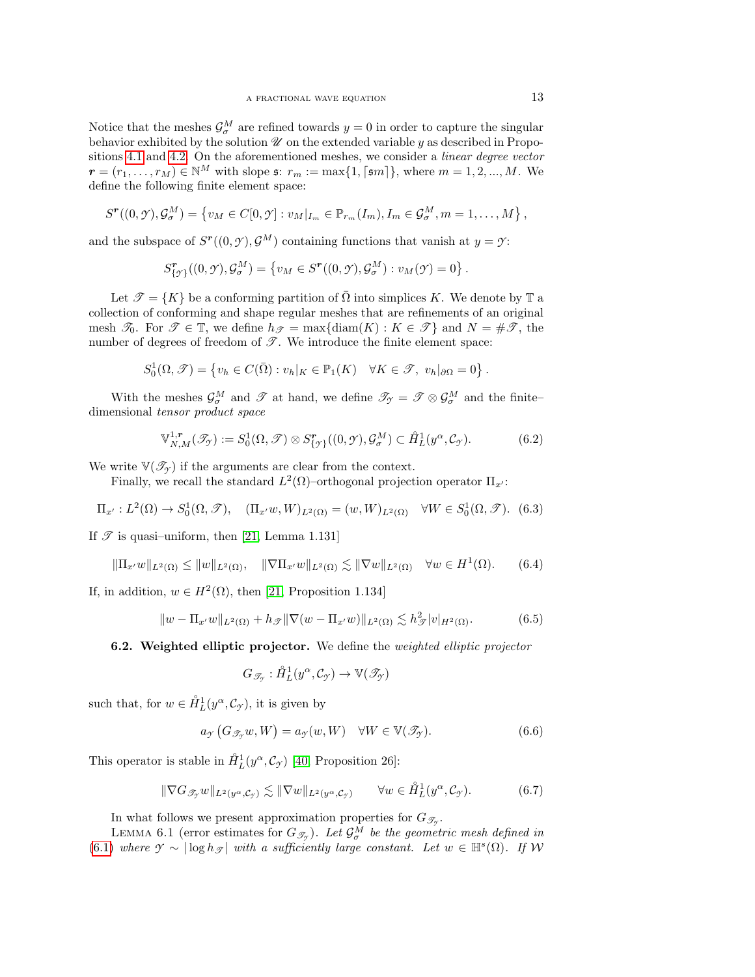Notice that the meshes  $\mathcal{G}_{\sigma}^M$  are refined towards  $y=0$  in order to capture the singular behavior exhibited by the solution  $\mathscr U$  on the extended variable  $y$  as described in Propositions [4.1](#page-6-2) and [4.2.](#page-7-1) On the aforementioned meshes, we consider a linear degree vector  $r = (r_1, \ldots, r_M) \in \mathbb{N}^M$  with slope  $\mathfrak{s}: r_m := \max\{1, \lceil \mathfrak{s}m \rceil\}$ , where  $m = 1, 2, ..., M$ . We define the following finite element space:

$$
S^{\boldsymbol{r}}((0,\mathcal{Y}),\mathcal{G}_{\sigma}^{M})=\left\{v_{M}\in C[0,\mathcal{Y}]:v_{M}|_{I_{m}}\in\mathbb{P}_{r_{m}}(I_{m}),I_{m}\in\mathcal{G}_{\sigma}^{M},m=1,\ldots,M\right\},\
$$

and the subspace of  $S^{r}((0, \mathcal{Y}), \mathcal{G}^{M})$  containing functions that vanish at  $y = \mathcal{Y}$ :

$$
S^{\mathbf{r}}_{\{\mathcal{I}\}}((0,\mathcal{Y}),\mathcal{G}^M_{\sigma}) = \{v_M \in S^{\mathbf{r}}((0,\mathcal{Y}),\mathcal{G}^M_{\sigma}) : v_M(\mathcal{Y}) = 0\}.
$$

Let  $\mathcal{T} = \{K\}$  be a conforming partition of  $\overline{\Omega}$  into simplices K. We denote by  $\mathbb{T}$  a collection of conforming and shape regular meshes that are refinements of an original mesh  $\mathcal{T}_0$ . For  $\mathcal{T} \in \mathbb{T}$ , we define  $h_{\mathcal{T}} = \max\{\text{diam}(K) : K \in \mathcal{T}\}\$  and  $N = \#\mathcal{T}$ , the number of degrees of freedom of  $\mathscr{T}$ . We introduce the finite element space:

$$
S_0^1(\Omega,\mathscr{T})=\left\{v_h\in C(\bar{\Omega}): v_h|_K\in\mathbb{P}_1(K)\quad \forall K\in\mathscr{T},\ v_h|_{\partial\Omega}=0\right\}.
$$

With the meshes  $\mathcal{G}^M_\sigma$  and  $\mathcal T$  at hand, we define  $\mathcal{T}_{\gamma} = \mathcal T \otimes \mathcal{G}^M_\sigma$  and the finitedimensional tensor product space

$$
\mathbb{V}_{N,M}^{1,r}(\mathcal{I}_{\mathcal{I}}) := S_0^1(\Omega,\mathcal{I}) \otimes S_{\{\mathcal{I}\}}^r((0,\mathcal{I}),\mathcal{G}_{\sigma}^M) \subset \mathring{H}_L^1(y^{\alpha},\mathcal{C}_{\mathcal{I}}). \tag{6.2}
$$

We write  $\mathbb{V}(\mathscr{T}_{\gamma})$  if the arguments are clear from the context.

Finally, we recall the standard  $L^2(\Omega)$ -orthogonal projection operator  $\Pi_{x'}$ :

<span id="page-12-0"></span>
$$
\Pi_{x'}: L^2(\Omega) \to S_0^1(\Omega, \mathcal{T}), \quad (\Pi_{x'}w, W)_{L^2(\Omega)} = (w, W)_{L^2(\Omega)} \quad \forall W \in S_0^1(\Omega, \mathcal{T}). \tag{6.3}
$$

If  $\mathscr T$  is quasi-uniform, then [\[21,](#page-28-16) Lemma 1.131]

<span id="page-12-2"></span>
$$
\|\Pi_{x'}w\|_{L^2(\Omega)} \le \|w\|_{L^2(\Omega)}, \quad \|\nabla\Pi_{x'}w\|_{L^2(\Omega)} \lesssim \|\nabla w\|_{L^2(\Omega)} \quad \forall w \in H^1(\Omega). \tag{6.4}
$$

If, in addition,  $w \in H^2(\Omega)$ , then [\[21,](#page-28-16) Proposition 1.134]

<span id="page-12-3"></span>
$$
||w - \Pi_{x'}w||_{L^2(\Omega)} + h_{\mathscr{T}}||\nabla(w - \Pi_{x'}w)||_{L^2(\Omega)} \lesssim h_{\mathscr{T}}^2|v|_{H^2(\Omega)}.
$$
 (6.5)

**6.2. Weighted elliptic projector.** We define the *weighted elliptic projector* 

$$
G_{\mathscr{T}_{\mathscr{I}}}:\mathring{H}^1_L(y^\alpha,\mathcal{C}_{\mathscr{I}})\rightarrow\mathbb{V}(\mathscr{T}_{\mathscr{I}})
$$

such that, for  $w \in \mathring{H}_L^1(y^\alpha, \mathcal{C}_{\mathcal{I}})$ , it is given by

<span id="page-12-1"></span>
$$
a_{\mathcal{I}}\left(G_{\mathcal{I}_{\mathcal{I}}}w,W\right) = a_{\mathcal{I}}(w,W) \quad \forall W \in \mathbb{V}(\mathcal{I}_{\mathcal{I}}). \tag{6.6}
$$

This operator is stable in  $\mathring{H}^1_L(y^\alpha, \mathcal{C}_{\gamma})$  [\[40,](#page-29-5) Proposition 26]:

<span id="page-12-4"></span>
$$
\|\nabla G_{\mathscr{T}_{\mathcal{I}}}w\|_{L^2(y^{\alpha}, \mathcal{C}_{\mathcal{I}})} \lesssim \|\nabla w\|_{L^2(y^{\alpha}, \mathcal{C}_{\mathcal{I}})} \qquad \forall w \in \mathring{H}_L^1(y^{\alpha}, \mathcal{C}_{\mathcal{I}}). \tag{6.7}
$$

In what follows we present approximation properties for  $G_{\mathcal{I}_{\mathcal{I}}}$ .

LEMMA 6.1 (error estimates for  $G_{\mathscr{T}_{\mathscr{T}}}$ ). Let  $\mathcal{G}_{\sigma}^M$  be the geometric mesh defined in  $(6.1)$  where  $\mathcal{Y} \sim |\log h_{\mathcal{F}}|$  with a sufficiently large constant. Let  $w \in \mathbb{H}^{s}(\Omega)$ . If W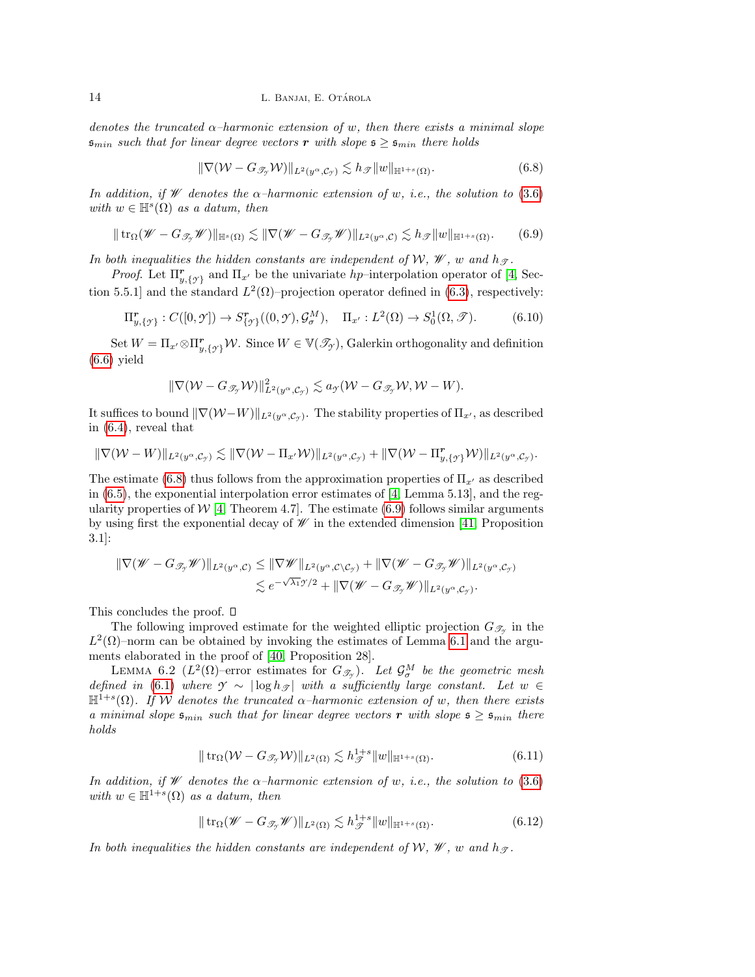denotes the truncated  $\alpha$ -harmonic extension of w, then there exists a minimal slope  $\mathfrak{s}_{min}$  such that for linear degree vectors r with slope  $\mathfrak{s} \geq \mathfrak{s}_{min}$  there holds

<span id="page-13-0"></span>
$$
\|\nabla(\mathcal{W} - G_{\mathcal{I}_{\mathcal{Y}}}\mathcal{W})\|_{L^{2}(y^{\alpha}, \mathcal{C}_{\mathcal{Y}})} \lesssim h_{\mathcal{F}}\|w\|_{\mathbb{H}^{1+s}(\Omega)}.
$$
\n(6.8)

In addition, if W denotes the  $\alpha$ -harmonic extension of w, i.e., the solution to [\(3.6\)](#page-5-5) with  $w \in \mathbb{H}^s(\Omega)$  as a datum, then

<span id="page-13-1"></span>
$$
\|\operatorname{tr}_{\Omega}(\mathscr{W}-G_{\mathscr{T}_{\mathscr{F}}}\mathscr{W})\|_{\mathbb{H}^{s}(\Omega)} \lesssim \|\nabla(\mathscr{W}-G_{\mathscr{T}_{\mathscr{F}}}\mathscr{W})\|_{L^{2}(y^{\alpha},\mathcal{C})} \lesssim h_{\mathscr{F}}\|w\|_{\mathbb{H}^{1+s}(\Omega)}.
$$
 (6.9)

In both inequalities the hidden constants are independent of W,  $\mathcal{W}$ , w and  $h_{\mathcal{T}}$ .

*Proof.* Let  $\Pi_{y,\{\gamma\}}^r$  and  $\Pi_{x'}$  be the univariate hp-interpolation operator of [\[4,](#page-27-1) Section 5.5.1] and the standard  $L^2(\Omega)$ -projection operator defined in [\(6.3\)](#page-12-0), respectively:

$$
\Pi_{y,\{\mathcal{I}\}}^{\mathbf{r}} : C([0,\mathcal{I}]) \to S_{\{\mathcal{I}\}}^{\mathbf{r}}((0,\mathcal{I}),\mathcal{G}_{\sigma}^M), \quad \Pi_{x'} : L^2(\Omega) \to S_0^1(\Omega,\mathcal{I}). \tag{6.10}
$$

Set  $W = \prod_{x'} \otimes \prod_{y}^r$ ,  $\{y\}$  W. Since  $W \in V(\mathscr{T}_{\mathcal{Y}})$ , Galerkin orthogonality and definition  $(6.6)$  yield

$$
\|\nabla(\mathcal{W}-G_{\mathscr{T}_{\mathcal{Y}}}\mathcal{W})\|_{L^2(y^{\alpha},\mathcal{C}_{\mathcal{Y}})}^2\lesssim a_{\mathcal{Y}}(\mathcal{W}-G_{\mathscr{T}_{\mathcal{Y}}}\mathcal{W},\mathcal{W}-W).
$$

It suffices to bound  $\|\nabla(\mathcal{W}-W)\|_{L^2(y^\alpha,\mathcal{C}_\mathcal{Y})}$ . The stability properties of  $\Pi_{x'}$ , as described in [\(6.4\)](#page-12-2), reveal that

$$
\|\nabla (\mathcal{W}-W)\|_{L^2(y^\alpha,\mathcal{C}_\mathcal{Y})} \lesssim \|\nabla (\mathcal{W}-\Pi_{x'}\mathcal{W})\|_{L^2(y^\alpha,\mathcal{C}_\mathcal{Y})} + \|\nabla (\mathcal{W}-\Pi_{y,\{\mathcal{Y}\}}^r\mathcal{W})\|_{L^2(y^\alpha,\mathcal{C}_\mathcal{Y})}.
$$

The estimate [\(6.8\)](#page-13-0) thus follows from the approximation properties of  $\Pi_{x}$  as described in  $(6.5)$ , the exponential interpolation error estimates of  $[4, \text{Lemma } 5.13]$ , and the regularity properties of  $W$  [\[4,](#page-27-1) Theorem 4.7]. The estimate [\(6.9\)](#page-13-1) follows similar arguments by using first the exponential decay of  $W$  in the extended dimension [\[41,](#page-29-4) Proposition 3.1]:

$$
\begin{aligned} \|\nabla(\mathscr{W}-G_{\mathscr{T}_{\mathscr{T}}}\mathscr{W})\|_{L^2(y^{\alpha},\mathcal{C})} &\leq \|\nabla\mathscr{W}\|_{L^2(y^{\alpha},\mathcal{C}\setminus\mathcal{C}_{\mathscr{T}})} + \|\nabla(\mathscr{W}-G_{\mathscr{T}_{\mathscr{T}}}\mathscr{W})\|_{L^2(y^{\alpha},\mathcal{C}_{\mathscr{T}})} \\ &\lesssim e^{-\sqrt{\lambda_1}\mathscr{T}/2} + \|\nabla(\mathscr{W}-G_{\mathscr{T}_{\mathscr{T}}}\mathscr{W})\|_{L^2(y^{\alpha},\mathcal{C}_{\mathscr{T}})}. \end{aligned}
$$

This concludes the proof.  $\square$ 

The following improved estimate for the weighted elliptic projection  $G_{\mathcal{I}_{\mathcal{Y}}}$  in the  $L^2(\Omega)$ –norm can be obtained by invoking the estimates of Lemma [6.1](#page-13-1) and the arguments elaborated in the proof of [\[40,](#page-29-5) Proposition 28].

LEMMA 6.2 ( $L^2(\Omega)$ -error estimates for  $G_{\mathscr{T}_{\mathscr{T}}}$ ). Let  $\mathcal{G}_{\sigma}^M$  be the geometric mesh defined in [\(6.1\)](#page-11-3) where  $\gamma \sim |\log h_{\mathcal{I}}|$  with a sufficiently large constant. Let  $w \in$  $\mathbb{H}^{\dot{1}+s}(\Omega)$ . If W denotes the truncated  $\alpha$ -harmonic extension of w, then there exists a minimal slope  $\mathfrak{s}_{min}$  such that for linear degree vectors r with slope  $\mathfrak{s} \geq \mathfrak{s}_{min}$  there holds

<span id="page-13-2"></span>
$$
|| \operatorname{tr}_{\Omega}(\mathcal{W} - G_{\mathcal{I}_{\mathcal{I}}}\mathcal{W}) ||_{L^{2}(\Omega)} \lesssim h_{\mathcal{I}}^{1+s} ||w||_{\mathbb{H}^{1+s}(\Omega)}.
$$
 (6.11)

In addition, if W denotes the  $\alpha$ -harmonic extension of w, i.e., the solution to [\(3.6\)](#page-5-5) with  $w \in \mathbb{H}^{1+s}(\Omega)$  as a datum, then

$$
\|\operatorname{tr}_{\Omega}(\mathscr{W} - G_{\mathscr{T}_{\mathscr{I}}}\mathscr{W})\|_{L^{2}(\Omega)} \lesssim h_{\mathscr{T}}^{1+s} \|w\|_{\mathbb{H}^{1+s}(\Omega)}.
$$
\n(6.12)

In both inequalities the hidden constants are independent of W,  $W$ , w and  $h_{\mathcal{F}}$ .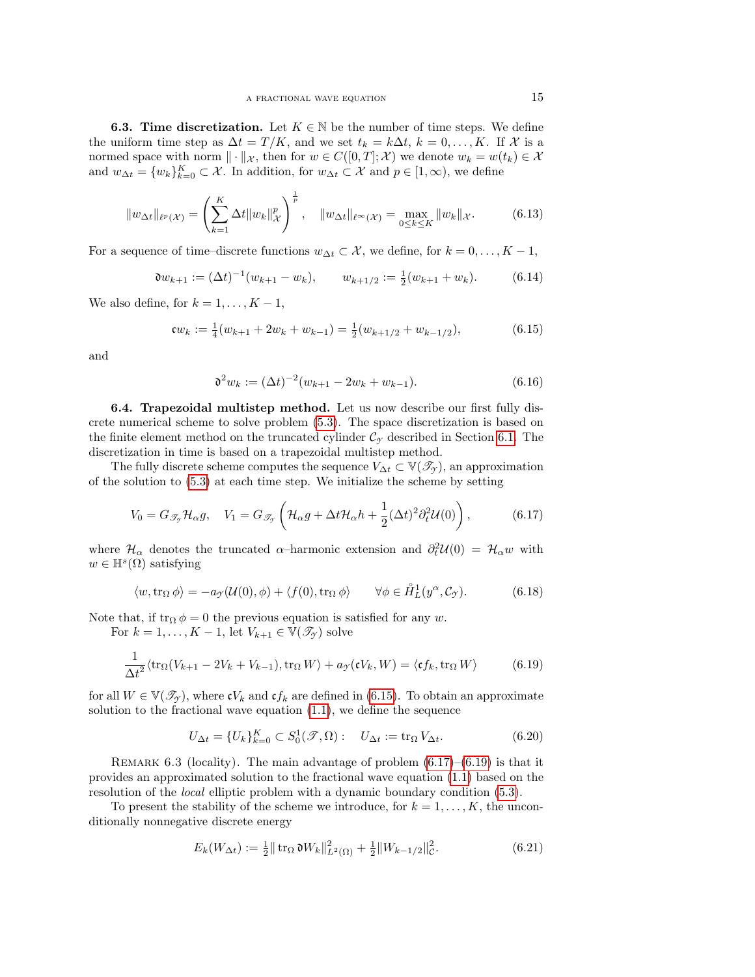**6.3. Time discretization.** Let  $K \in \mathbb{N}$  be the number of time steps. We define the uniform time step as  $\Delta t = T/K$ , and we set  $t_k = k\Delta t$ ,  $k = 0, \ldots, K$ . If X is a normed space with norm  $\|\cdot\|_{\mathcal{X}}$ , then for  $w \in C([0,T]; \mathcal{X})$  we denote  $w_k = w(t_k) \in \mathcal{X}$ and  $w_{\Delta t} = \{w_k\}_{k=0}^K \subset \mathcal{X}$ . In addition, for  $w_{\Delta t} \subset \mathcal{X}$  and  $p \in [1, \infty)$ , we define

$$
||w_{\Delta t}||_{\ell^{p}(\mathcal{X})} = \left(\sum_{k=1}^{K} \Delta t ||w_{k}||_{\mathcal{X}}^{p}\right)^{\frac{1}{p}}, \quad ||w_{\Delta t}||_{\ell^{\infty}(\mathcal{X})} = \max_{0 \le k \le K} ||w_{k}||_{\mathcal{X}}.
$$
 (6.13)

For a sequence of time–discrete functions  $w_{\Delta t} \subset \mathcal{X}$ , we define, for  $k = 0, \ldots, K - 1$ ,

<span id="page-14-4"></span>
$$
\mathfrak{d}w_{k+1} := (\Delta t)^{-1}(w_{k+1} - w_k), \qquad w_{k+1/2} := \frac{1}{2}(w_{k+1} + w_k). \tag{6.14}
$$

We also define, for  $k = 1, \ldots, K - 1$ ,

<span id="page-14-0"></span>
$$
\mathfrak{c}w_k := \frac{1}{4}(w_{k+1} + 2w_k + w_{k-1}) = \frac{1}{2}(w_{k+1/2} + w_{k-1/2}),\tag{6.15}
$$

and

<span id="page-14-3"></span>
$$
\mathfrak{d}^2 w_k := (\Delta t)^{-2} (w_{k+1} - 2w_k + w_{k-1}).\tag{6.16}
$$

<span id="page-14-7"></span>6.4. Trapezoidal multistep method. Let us now describe our first fully discrete numerical scheme to solve problem [\(5.3\)](#page-10-1). The space discretization is based on the finite element method on the truncated cylinder  $\mathcal{C}_{\gamma}$  described in Section [6.1.](#page-11-4) The discretization in time is based on a trapezoidal multistep method.

The fully discrete scheme computes the sequence  $V_{\Delta t} \subset \mathbb{V}(\mathscr{T}_{\gamma})$ , an approximation of the solution to [\(5.3\)](#page-10-1) at each time step. We initialize the scheme by setting

<span id="page-14-1"></span>
$$
V_0 = G_{\mathscr{T}_{\mathcal{I}}} \mathcal{H}_{\alpha} g, \quad V_1 = G_{\mathscr{T}_{\mathcal{I}}} \left( \mathcal{H}_{\alpha} g + \Delta t \mathcal{H}_{\alpha} h + \frac{1}{2} (\Delta t)^2 \partial_t^2 \mathcal{U}(0) \right), \tag{6.17}
$$

where  $\mathcal{H}_{\alpha}$  denotes the truncated  $\alpha$ -harmonic extension and  $\partial_t^2 \mathcal{U}(0) = \mathcal{H}_{\alpha} w$  with  $w \in \mathbb{H}^s(\Omega)$  satisfying

<span id="page-14-6"></span>
$$
\langle w, \operatorname{tr}_{\Omega} \phi \rangle = -a_{\mathcal{I}}(\mathcal{U}(0), \phi) + \langle f(0), \operatorname{tr}_{\Omega} \phi \rangle \qquad \forall \phi \in \mathring{H}_L^1(y^\alpha, \mathcal{C}_{\mathcal{I}}). \tag{6.18}
$$

Note that, if  $\text{tr}_{\Omega} \phi = 0$  the previous equation is satisfied for any w.

For  $k = 1, ..., K - 1$ , let  $V_{k+1} \in V(\mathscr{T}_{\mathcal{Y}})$  solve

<span id="page-14-2"></span>
$$
\frac{1}{\Delta t^2} \langle \text{tr}_{\Omega}(V_{k+1} - 2V_k + V_{k-1}), \text{tr}_{\Omega} W \rangle + a_{\mathcal{Y}}(\mathfrak{c}V_k, W) = \langle \mathfrak{c}f_k, \text{tr}_{\Omega} W \rangle \tag{6.19}
$$

for all  $W \in \mathbb{V}(\mathcal{T}_{\gamma})$ , where  $\mathfrak{c}V_k$  and  $\mathfrak{c}f_k$  are defined in [\(6.15\)](#page-14-0). To obtain an approximate solution to the fractional wave equation  $(1.1)$ , we define the sequence

<span id="page-14-5"></span>
$$
U_{\Delta t} = \{U_k\}_{k=0}^K \subset S_0^1(\mathcal{T}, \Omega): \quad U_{\Delta t} := \text{tr}_{\Omega} V_{\Delta t}.
$$
 (6.20)

REMARK 6.3 (locality). The main advantage of problem  $(6.17)$ – $(6.19)$  is that it provides an approximated solution to the fractional wave equation [\(1.1\)](#page-0-0) based on the resolution of the local elliptic problem with a dynamic boundary condition [\(5.3\)](#page-10-1).

To present the stability of the scheme we introduce, for  $k = 1, \ldots, K$ , the unconditionally nonnegative discrete energy

$$
E_k(W_{\Delta t}) := \frac{1}{2} || \operatorname{tr}_{\Omega} \mathfrak{d} W_k ||_{L^2(\Omega)}^2 + \frac{1}{2} || W_{k-1/2} ||_{\mathcal{C}}^2.
$$
 (6.21)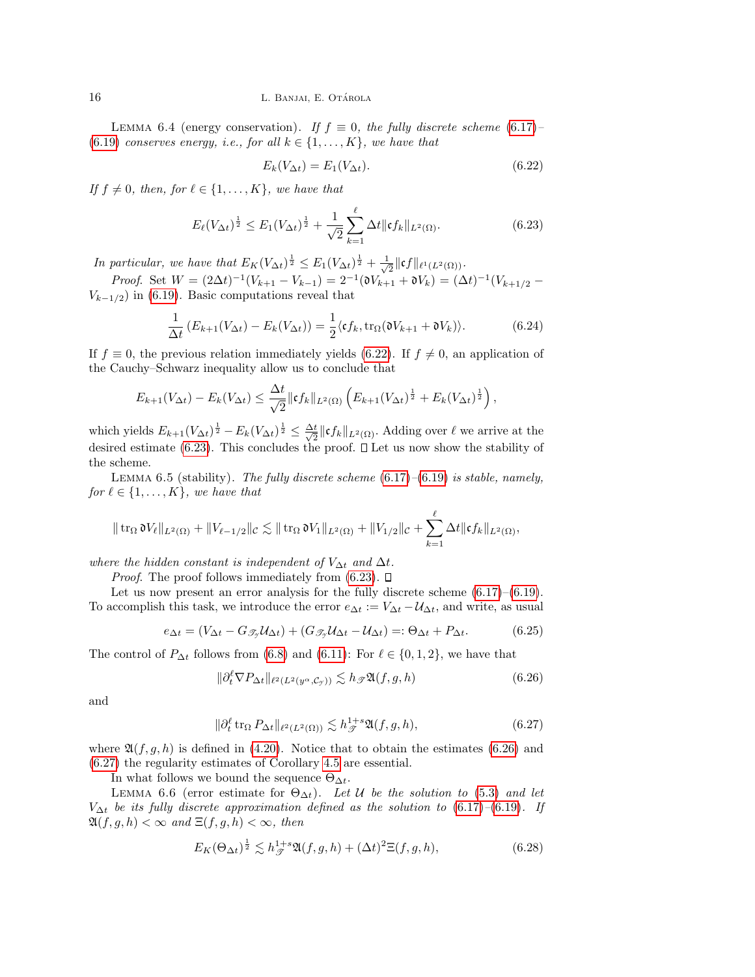LEMMA 6.4 (energy conservation). If  $f \equiv 0$ , the fully discrete scheme [\(6.17\)](#page-14-1)– [\(6.19\)](#page-14-2) conserves energy, i.e., for all  $k \in \{1, \ldots, K\}$ , we have that

<span id="page-15-0"></span>
$$
E_k(V_{\Delta t}) = E_1(V_{\Delta t}).\tag{6.22}
$$

If  $f \neq 0$ , then, for  $\ell \in \{1, \ldots, K\}$ , we have that

<span id="page-15-1"></span>
$$
E_{\ell}(V_{\Delta t})^{\frac{1}{2}} \leq E_1(V_{\Delta t})^{\frac{1}{2}} + \frac{1}{\sqrt{2}} \sum_{k=1}^{\ell} \Delta t \| \mathfrak{c} f_k \|_{L^2(\Omega)}.
$$
 (6.23)

In particular, we have that  $E_K(V_{\Delta t})^{\frac{1}{2}} \leq E_1(V_{\Delta t})^{\frac{1}{2}} + \frac{1}{\sqrt{\Delta t}}$  $\frac{1}{2} \|\mathfrak{c} f\|_{\ell^1(L^2(\Omega))}.$ 

*Proof.* Set  $W = (2\Delta t)^{-1}(V_{k+1} - V_{k-1}) = 2^{-1}(\mathfrak{d}V_{k+1} + \mathfrak{d}V_k) = (\Delta t)^{-1}(V_{k+1/2} V_{k-1/2}$ ) in [\(6.19\)](#page-14-2). Basic computations reveal that

$$
\frac{1}{\Delta t} \left( E_{k+1}(V_{\Delta t}) - E_k(V_{\Delta t}) \right) = \frac{1}{2} \langle \mathfrak{c} f_k, \operatorname{tr}_{\Omega}(\mathfrak{d} V_{k+1} + \mathfrak{d} V_k) \rangle. \tag{6.24}
$$

If  $f \equiv 0$ , the previous relation immediately yields [\(6.22\)](#page-15-0). If  $f \neq 0$ , an application of the Cauchy–Schwarz inequality allow us to conclude that

$$
E_{k+1}(V_{\Delta t}) - E_k(V_{\Delta t}) \leq \frac{\Delta t}{\sqrt{2}} \|\mathfrak{c} f_k\|_{L^2(\Omega)} \left( E_{k+1}(V_{\Delta t})^{\frac{1}{2}} + E_k(V_{\Delta t})^{\frac{1}{2}} \right),
$$

which yields  $E_{k+1}(V_{\Delta t})^{\frac{1}{2}} - E_k(V_{\Delta t})^{\frac{1}{2}} \leq \frac{\Delta t}{\sqrt{2}}$  $\frac{t}{2} \|\mathfrak{c} f_k\|_{L^2(\Omega)}$ . Adding over  $\ell$  we arrive at the desired estimate [\(6.23\)](#page-15-1). This concludes the proof.  $\Box$  Let us now show the stability of the scheme.

LEMMA 6.5 (stability). The fully discrete scheme  $(6.17)$ – $(6.19)$  is stable, namely, for  $\ell \in \{1, \ldots, K\}$ , we have that

$$
\|\operatorname{tr}_{\Omega} \mathfrak{d} V_{\ell}\|_{L^{2}(\Omega)} + \|V_{\ell-1/2}\|_{\mathcal{C}} \lesssim \|\operatorname{tr}_{\Omega} \mathfrak{d} V_{1}\|_{L^{2}(\Omega)} + \|V_{1/2}\|_{\mathcal{C}} + \sum_{k=1}^{\ell} \Delta t \|\mathfrak{c} f_{k}\|_{L^{2}(\Omega)},
$$

where the hidden constant is independent of  $V_{\Delta t}$  and  $\Delta t$ .

*Proof.* The proof follows immediately from  $(6.23)$ .  $\Box$ 

Let us now present an error analysis for the fully discrete scheme  $(6.17)$ – $(6.19)$ . To accomplish this task, we introduce the error  $e_{\Delta t} := V_{\Delta t} - \mathcal{U}_{\Delta t}$ , and write, as usual

<span id="page-15-4"></span>
$$
e_{\Delta t} = (V_{\Delta t} - G_{\mathcal{I}_{\mathcal{I}}} \mathcal{U}_{\Delta t}) + (G_{\mathcal{I}_{\mathcal{I}}} \mathcal{U}_{\Delta t} - \mathcal{U}_{\Delta t}) =: \Theta_{\Delta t} + P_{\Delta t}.
$$
 (6.25)

The control of  $P_{\Delta t}$  follows from [\(6.8\)](#page-13-0) and [\(6.11\)](#page-13-2): For  $\ell \in \{0, 1, 2\}$ , we have that

<span id="page-15-2"></span>
$$
\|\partial_t^\ell \nabla P_{\Delta t}\|_{\ell^2(L^2(y^\alpha, \mathcal{C}_{\mathcal{I}}))} \lesssim h_{\mathcal{F}} \mathfrak{A}(f, g, h) \tag{6.26}
$$

and

<span id="page-15-3"></span>
$$
\|\partial_t^\ell \operatorname{tr}_\Omega P_{\Delta t}\|_{\ell^2(L^2(\Omega))} \lesssim h_{\mathcal{F}}^{1+s} \mathfrak{A}(f,g,h),\tag{6.27}
$$

where  $\mathfrak{A}(f, g, h)$  is defined in [\(4.20\)](#page-9-3). Notice that to obtain the estimates [\(6.26\)](#page-15-2) and [\(6.27\)](#page-15-3) the regularity estimates of Corollary [4.5](#page-9-4) are essential.

In what follows we bound the sequence  $\Theta_{\Delta t}$ .

LEMMA 6.6 (error estimate for  $\Theta_{\Delta t}$ ). Let U be the solution to [\(5.3\)](#page-10-1) and let  $V_{\Delta t}$  be its fully discrete approximation defined as the solution to [\(6.17\)](#page-14-1)–[\(6.19\)](#page-14-2). If  $\mathfrak{A}(f, g, h) < \infty$  and  $\Xi(f, g, h) < \infty$ , then

<span id="page-15-5"></span>
$$
E_K(\Theta_{\Delta t})^{\frac{1}{2}} \lesssim h_{\mathcal{F}}^{1+s} \mathfrak{A}(f,g,h) + (\Delta t)^2 \Xi(f,g,h),\tag{6.28}
$$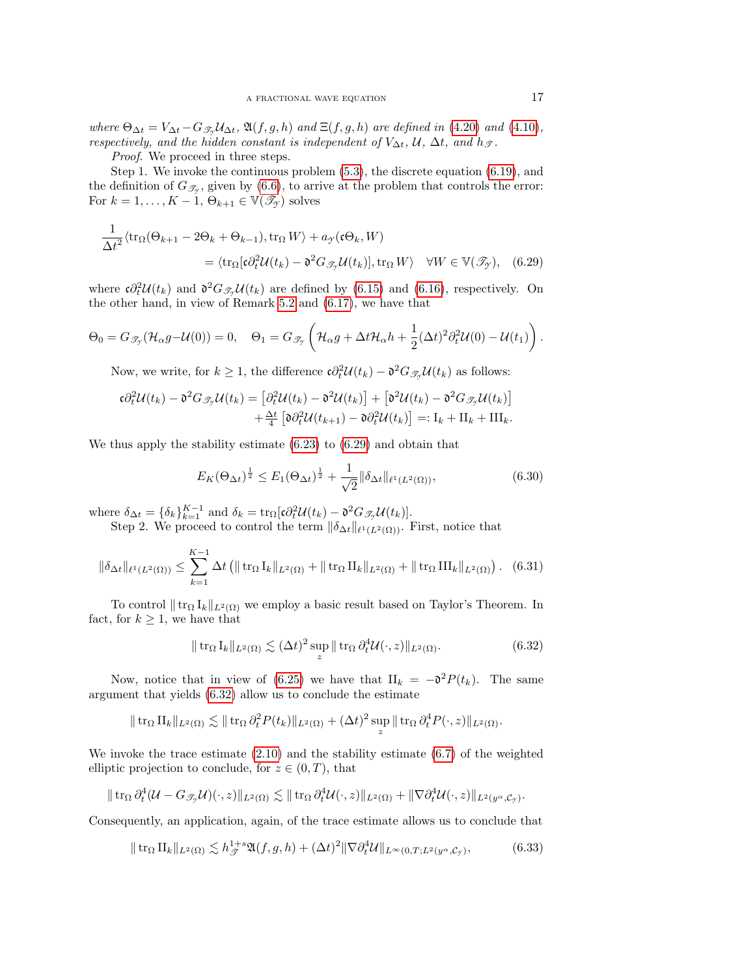where  $\Theta_{\Delta t} = V_{\Delta t} - G_{\mathcal{I}_{\mathcal{I}}} \mathcal{U}_{\Delta t}$ ,  $\mathfrak{A}(f, g, h)$  and  $\Xi(f, g, h)$  are defined in [\(4.20\)](#page-9-3) and [\(4.10\)](#page-7-6), respectively, and the hidden constant is independent of  $V_{\Delta t}$ ,  $\mathcal{U}$ ,  $\Delta t$ , and  $h_{\mathcal{T}}$ .

Proof. We proceed in three steps.

Step 1. We invoke the continuous problem [\(5.3\)](#page-10-1), the discrete equation [\(6.19\)](#page-14-2), and the definition of  $G_{\mathscr{T}_{\gamma}}$ , given by [\(6.6\)](#page-12-1), to arrive at the problem that controls the error: For  $k = 1, ..., K - 1, \Theta_{k+1} \in \mathbb{V}(\mathscr{T}_{\gamma})$  solves

$$
\frac{1}{\Delta t^2} \langle \text{tr}_{\Omega}(\Theta_{k+1} - 2\Theta_k + \Theta_{k-1}), \text{tr}_{\Omega} W \rangle + a_{\mathcal{I}}(\mathfrak{c}\Theta_k, W)
$$
  
=  $\langle \text{tr}_{\Omega}[\mathfrak{c}\partial_t^2 \mathcal{U}(t_k) - \mathfrak{d}^2 G_{\mathcal{I}\mathcal{I}} \mathcal{U}(t_k)], \text{tr}_{\Omega} W \rangle \quad \forall W \in \mathbb{V}(\mathcal{I}_{\mathcal{I}}), \quad (6.29)$ 

where  $\mathfrak{c} \partial_t^2 \mathcal{U}(t_k)$  and  $\mathfrak{d}^2 G_{\mathcal{I}_{\mathcal{Y}}} \mathcal{U}(t_k)$  are defined by [\(6.15\)](#page-14-0) and [\(6.16\)](#page-14-3), respectively. On the other hand, in view of Remark [5.2](#page-10-3) and [\(6.17\)](#page-14-1), we have that

$$
\Theta_0 = G_{\mathscr{T}_{\mathcal{I}}}(\mathcal{H}_{\alpha}g - \mathcal{U}(0)) = 0, \quad \Theta_1 = G_{\mathscr{T}_{\mathcal{I}}}(\mathcal{H}_{\alpha}g + \Delta t \mathcal{H}_{\alpha}h + \frac{1}{2}(\Delta t)^2 \partial_t^2 \mathcal{U}(0) - \mathcal{U}(t_1)).
$$

Now, we write, for  $k \geq 1$ , the difference  $\mathfrak{c} \partial_t^2 \mathcal{U}(t_k) - \mathfrak{d}^2 G_{\mathcal{I}} \mathcal{Y}(t_k)$  as follows:

$$
\begin{aligned} \mathfrak{c}\partial_t^2 \mathcal{U}(t_k) - \mathfrak{d}^2 G_{\mathcal{I}\mathcal{Y}} \mathcal{U}(t_k) &= \left[ \partial_t^2 \mathcal{U}(t_k) - \mathfrak{d}^2 \mathcal{U}(t_k) \right] + \left[ \mathfrak{d}^2 \mathcal{U}(t_k) - \mathfrak{d}^2 G_{\mathcal{I}\mathcal{Y}} \mathcal{U}(t_k) \right] \\ &+ \frac{\Delta t}{4} \left[ \mathfrak{d} \partial_t^2 \mathcal{U}(t_{k+1}) - \mathfrak{d} \partial_t^2 \mathcal{U}(t_k) \right] =: I_k + II_k + III_k. \end{aligned}
$$

We thus apply the stability estimate [\(6.23\)](#page-15-1) to [\(6.29\)](#page-16-0) and obtain that

<span id="page-16-4"></span><span id="page-16-0"></span>
$$
E_K(\Theta_{\Delta t})^{\frac{1}{2}} \le E_1(\Theta_{\Delta t})^{\frac{1}{2}} + \frac{1}{\sqrt{2}} \|\delta_{\Delta t}\|_{\ell^1(L^2(\Omega))},\tag{6.30}
$$

where  $\delta_{\Delta t} = {\delta_k}_{k=1}^{K-1}$  and  $\delta_k = {\text{tr}_{\Omega}}[\mathfrak{c} \partial_t^2 \mathcal{U}(t_k) - \mathfrak{d}^2 G_{\mathcal{I}} \mathcal{U}(t_k)].$ 

Step 2. We proceed to control the term  $\|\delta_{\Delta t}\|_{\ell^1(L^2(\Omega))}$ . First, notice that

<span id="page-16-3"></span>
$$
\|\delta_{\Delta t}\|_{\ell^1(L^2(\Omega))} \leq \sum_{k=1}^{K-1} \Delta t \left( \|\operatorname{tr}_{\Omega} \mathrm{I}_k\|_{L^2(\Omega)} + \|\operatorname{tr}_{\Omega} \mathrm{II}_k\|_{L^2(\Omega)} + \|\operatorname{tr}_{\Omega} \mathrm{III}_k\|_{L^2(\Omega)} \right). \tag{6.31}
$$

To control  $|| \text{tr}_{\Omega} I_k ||_{L^2(\Omega)}$  we employ a basic result based on Taylor's Theorem. In fact, for  $k \geq 1$ , we have that

<span id="page-16-1"></span>
$$
\|\operatorname{tr}_{\Omega} \mathrm{I}_k\|_{L^2(\Omega)} \lesssim (\Delta t)^2 \sup_z \|\operatorname{tr}_{\Omega} \partial_t^4 \mathcal{U}(\cdot, z)\|_{L^2(\Omega)}.
$$
 (6.32)

Now, notice that in view of [\(6.25\)](#page-15-4) we have that  $II_k = -\mathfrak{d}^2 P(t_k)$ . The same argument that yields [\(6.32\)](#page-16-1) allow us to conclude the estimate

$$
\|\operatorname{tr}_{\Omega} \Pi_k\|_{L^2(\Omega)} \lesssim \|\operatorname{tr}_{\Omega} \partial_t^2 P(t_k)\|_{L^2(\Omega)} + (\Delta t)^2 \sup_z \|\operatorname{tr}_{\Omega} \partial_t^4 P(\cdot, z)\|_{L^2(\Omega)}.
$$

We invoke the trace estimate  $(2.10)$  and the stability estimate  $(6.7)$  of the weighted elliptic projection to conclude, for  $z \in (0, T)$ , that

$$
\|\operatorname{tr}_{\Omega} \partial_t^4 (\mathcal{U}-G_{\mathscr{T}_{\mathcal{Y}}} \mathcal{U})(\cdot, z)\|_{L^2(\Omega)} \lesssim \|\operatorname{tr}_{\Omega} \partial_t^4 \mathcal{U}(\cdot, z)\|_{L^2(\Omega)} + \|\nabla \partial_t^4 \mathcal{U}(\cdot, z)\|_{L^2(y^\alpha, \mathcal{C}_{\mathcal{Y}})}.
$$

Consequently, an application, again, of the trace estimate allows us to conclude that

<span id="page-16-2"></span>
$$
\|\operatorname{tr}_{\Omega} \Pi_k\|_{L^2(\Omega)} \lesssim h_{\mathcal{F}}^{1+s} \mathfrak{A}(f,g,h) + (\Delta t)^2 \|\nabla \partial_t^4 \mathcal{U}\|_{L^\infty(0,T;L^2(y^\alpha,\mathcal{C}_\mathcal{F})},\tag{6.33}
$$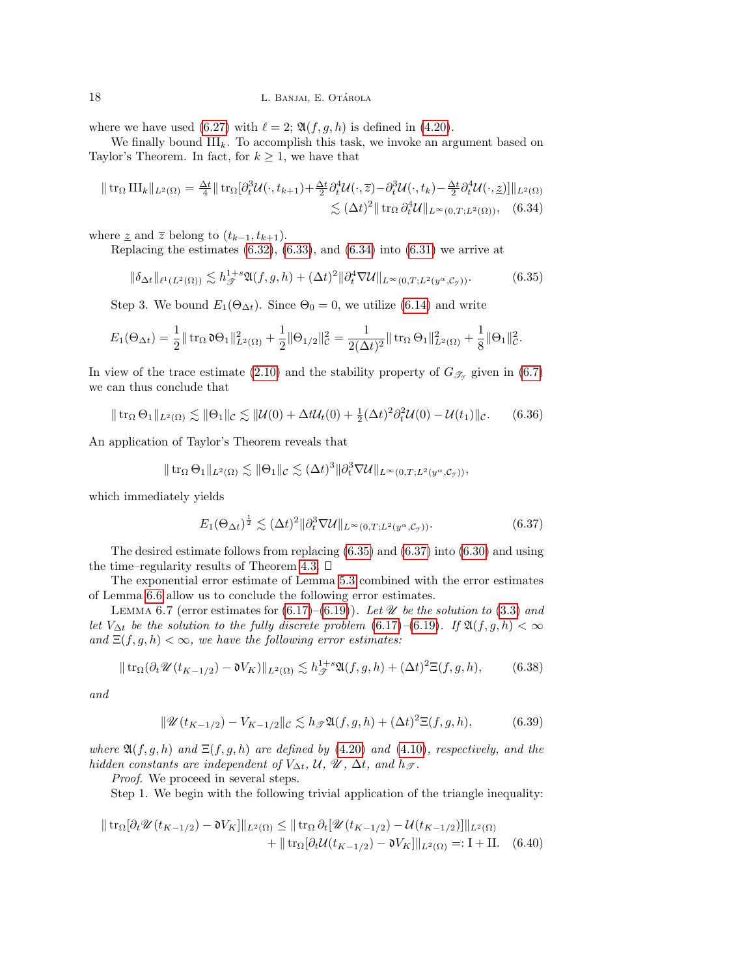where we have used [\(6.27\)](#page-15-3) with  $\ell = 2$ ;  $\mathfrak{A}(f, g, h)$  is defined in [\(4.20\)](#page-9-3).

We finally bound  $III_k$ . To accomplish this task, we invoke an argument based on Taylor's Theorem. In fact, for  $k \geq 1$ , we have that

$$
\|\operatorname{tr}_{\Omega}\Pi\|_{k}\|_{L^{2}(\Omega)}=\frac{\Delta t}{4}\|\operatorname{tr}_{\Omega}[\partial_{t}^{3}\mathcal{U}(\cdot,t_{k+1})+\frac{\Delta t}{2}\partial_{t}^{4}\mathcal{U}(\cdot,\bar{z})-\partial_{t}^{3}\mathcal{U}(\cdot,t_{k})-\frac{\Delta t}{2}\partial_{t}^{4}\mathcal{U}(\cdot,\bar{z})]\|_{L^{2}(\Omega)}\lesssim (\Delta t)^{2}\|\operatorname{tr}_{\Omega}\partial_{t}^{4}\mathcal{U}\|_{L^{\infty}(0,T;L^{2}(\Omega))},
$$
(6.34)

where  $\underline{z}$  and  $\overline{z}$  belong to  $(t_{k-1}, t_{k+1})$ .

Replacing the estimates  $(6.32)$ ,  $(6.33)$ , and  $(6.34)$  into  $(6.31)$  we arrive at

<span id="page-17-1"></span><span id="page-17-0"></span>
$$
\|\delta_{\Delta t}\|_{\ell^1(L^2(\Omega))} \lesssim h_{\mathcal{F}}^{1+s} \mathfrak{A}(f,g,h) + (\Delta t)^2 \|\partial_t^4 \nabla \mathcal{U}\|_{L^\infty(0,T;L^2(y^\alpha,\mathcal{C}_\mathcal{Y}))}. \tag{6.35}
$$

Step 3. We bound  $E_1(\Theta_{\Delta t})$ . Since  $\Theta_0 = 0$ , we utilize [\(6.14\)](#page-14-4) and write

$$
E_1(\Theta_{\Delta t}) = \frac{1}{2} || \operatorname{tr}_{\Omega} \mathfrak{d} \Theta_1 ||_{L^2(\Omega)}^2 + \frac{1}{2} || \Theta_{1/2} ||_{\mathcal{C}}^2 = \frac{1}{2(\Delta t)^2} || \operatorname{tr}_{\Omega} \Theta_1 ||_{L^2(\Omega)}^2 + \frac{1}{8} || \Theta_1 ||_{\mathcal{C}}^2.
$$

In view of the trace estimate [\(2.10\)](#page-4-6) and the stability property of  $G_{\mathscr{T}_{\gamma}}$  given in [\(6.7\)](#page-12-4) we can thus conclude that

<span id="page-17-6"></span>
$$
\|\operatorname{tr}_{\Omega}\Theta_1\|_{L^2(\Omega)} \lesssim \|\Theta_1\|_{\mathcal{C}} \lesssim \|\mathcal{U}(0) + \Delta t \mathcal{U}_t(0) + \frac{1}{2}(\Delta t)^2 \partial_t^2 \mathcal{U}(0) - \mathcal{U}(t_1)\|_{\mathcal{C}}.\tag{6.36}
$$

An application of Taylor's Theorem reveals that

$$
\|\operatorname{tr}_{\Omega} \Theta_1\|_{L^2(\Omega)} \lesssim \|\Theta_1\|_{\mathcal{C}} \lesssim (\Delta t)^3 \|\partial_t^3 \nabla \mathcal{U}\|_{L^\infty(0,T;L^2(y^\alpha,\mathcal{C}_y))},
$$

which immediately yields

<span id="page-17-2"></span>
$$
E_1(\Theta_{\Delta t})^{\frac{1}{2}} \lesssim (\Delta t)^2 \|\partial_t^3 \nabla \mathcal{U}\|_{L^\infty(0,T;L^2(y^\alpha,\mathcal{C}_\mathcal{Y}))}.\tag{6.37}
$$

The desired estimate follows from replacing [\(6.35\)](#page-17-1) and [\(6.37\)](#page-17-2) into [\(6.30\)](#page-16-4) and using the time–regularity results of Theorem [4.3.](#page-7-4)  $\square$ 

The exponential error estimate of Lemma [5.3](#page-10-2) combined with the error estimates of Lemma [6.6](#page-15-5) allow us to conclude the following error estimates.

LEMMA 6.7 (error estimates for  $(6.17)–(6.19)$  $(6.17)–(6.19)$ ). Let  $\mathscr U$  be the solution to [\(3.3\)](#page-4-2) and let  $V_{\Delta t}$  be the solution to the fully discrete problem [\(6.17\)](#page-14-1)–[\(6.19\)](#page-14-2). If  $\mathfrak{A}(f, g, h) < \infty$ and  $\Xi(f, g, h) < \infty$ , we have the following error estimates:

<span id="page-17-4"></span>
$$
\|\operatorname{tr}_{\Omega}(\partial_t \mathscr{U}(t_{K-1/2}) - \mathfrak{d}V_K)\|_{L^2(\Omega)} \lesssim h_{\mathscr{F}}^{1+s} \mathfrak{A}(f,g,h) + (\Delta t)^2 \Xi(f,g,h),\tag{6.38}
$$

and

<span id="page-17-5"></span><span id="page-17-3"></span>
$$
\|\mathscr{U}(t_{K-1/2}) - V_{K-1/2}\|_{\mathcal{C}} \lesssim h_{\mathcal{F}}\mathfrak{A}(f,g,h) + (\Delta t)^2 \Xi(f,g,h),\tag{6.39}
$$

where  $\mathfrak{A}(f,g,h)$  and  $\Xi(f,g,h)$  are defined by [\(4.20\)](#page-9-3) and [\(4.10\)](#page-7-6), respectively, and the hidden constants are independent of  $V_{\Delta t}$ ,  $\mathcal{U}$ ,  $\mathcal{U}$ ,  $\Delta t$ , and  $h_{\mathcal{F}}$ .

Proof. We proceed in several steps.

Step 1. We begin with the following trivial application of the triangle inequality:

$$
\| \operatorname{tr}_{\Omega} [\partial_t \mathcal{U}(t_{K-1/2}) - \mathfrak{d}V_K] \|_{L^2(\Omega)} \leq \| \operatorname{tr}_{\Omega} \partial_t [\mathcal{U}(t_{K-1/2}) - \mathcal{U}(t_{K-1/2})] \|_{L^2(\Omega)}
$$
  
+ 
$$
\| \operatorname{tr}_{\Omega} [\partial_t \mathcal{U}(t_{K-1/2}) - \mathfrak{d}V_K] \|_{L^2(\Omega)} =: I + II. \quad (6.40)
$$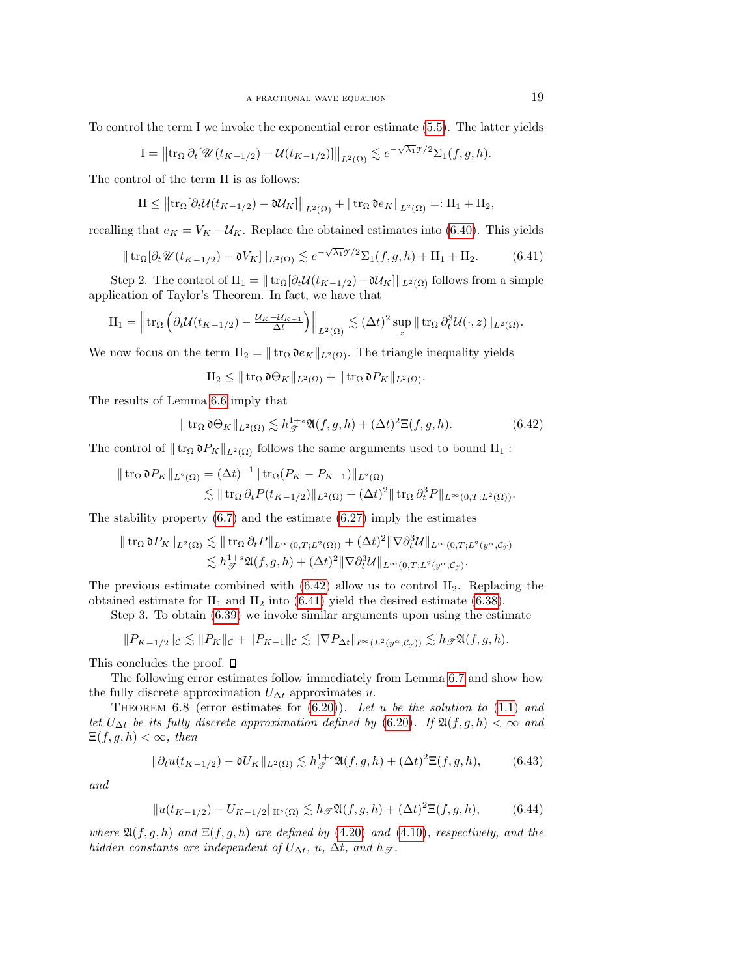To control the term I we invoke the exponential error estimate [\(5.5\)](#page-10-2). The latter yields

$$
I = \left\|\operatorname{tr}_{\Omega} \partial_t \left[\mathcal{U}(t_{K-1/2}) - \mathcal{U}(t_{K-1/2})\right]\right\|_{L^2(\Omega)} \lesssim e^{-\sqrt{\lambda_1} \mathcal{I}/2} \Sigma_1(f, g, h).
$$

The control of the term II is as follows:

$$
II \leq \left\|\mathrm{tr}_{\Omega}[\partial_t \mathcal{U}(t_{K-1/2}) - \mathfrak{d}\mathcal{U}_K]\right\|_{L^2(\Omega)} + \left\|\mathrm{tr}_{\Omega} \mathfrak{d}e_K\right\|_{L^2(\Omega)} =: II_1 + II_2,
$$

recalling that  $e_K = V_K - U_K$ . Replace the obtained estimates into [\(6.40\)](#page-17-3). This yields

<span id="page-18-1"></span>
$$
\|\operatorname{tr}_{\Omega}[\partial_t \mathscr{U}(t_{K-1/2}) - \mathfrak{d}V_K]\|_{L^2(\Omega)} \lesssim e^{-\sqrt{\lambda_1}\mathscr{I}/2} \Sigma_1(f,g,h) + \Pi_1 + \Pi_2.
$$
 (6.41)

Step 2. The control of  $II_1 = ||\text{tr}_{\Omega}[\partial_t \mathcal{U}(t_{K-1/2}) - \mathcal{U}_K]||_{L^2(\Omega)}$  follows from a simple application of Taylor's Theorem. In fact, we have that

<span id="page-18-0"></span>
$$
\mathrm{II}_1 = \left\| \mathrm{tr}_{\Omega} \left( \partial_t \mathcal{U}(t_{K-1/2}) - \frac{\mathcal{U}_{K} - \mathcal{U}_{K-1}}{\Delta t} \right) \right\|_{L^2(\Omega)} \lesssim (\Delta t)^2 \sup_z \|\mathrm{tr}_{\Omega} \partial_t^3 \mathcal{U}(\cdot, z)\|_{L^2(\Omega)}.
$$

We now focus on the term  $II_2 = ||\text{tr}_\Omega \mathfrak{d}e_K||_{L^2(\Omega)}$ . The triangle inequality yields

$$
\mathrm{II}_2 \leq \|\operatorname{tr}_{\Omega} \mathfrak{d} \Theta_K\|_{L^2(\Omega)} + \|\operatorname{tr}_{\Omega} \mathfrak{d} P_K\|_{L^2(\Omega)}.
$$

The results of Lemma [6.6](#page-15-5) imply that

$$
\|\operatorname{tr}_{\Omega}\mathfrak{d}\Theta_K\|_{L^2(\Omega)} \lesssim h_{\mathcal{F}}^{1+s}\mathfrak{A}(f,g,h) + (\Delta t)^2 \Xi(f,g,h). \tag{6.42}
$$

The control of  $|| \text{tr}_{\Omega} \mathfrak{d}P_K ||_{L^2(\Omega)}$  follows the same arguments used to bound II<sub>1</sub> :

$$
\| \operatorname{tr}_{\Omega} \mathfrak{d} P_{K} \|_{L^{2}(\Omega)} = (\Delta t)^{-1} \| \operatorname{tr}_{\Omega} (P_{K} - P_{K-1}) \|_{L^{2}(\Omega)}
$$
  
\$\lesssim\$ 
$$
\| \operatorname{tr}_{\Omega} \partial_{t} P(t_{K-1/2}) \|_{L^{2}(\Omega)} + (\Delta t)^{2} \| \operatorname{tr}_{\Omega} \partial_{t}^{3} P \|_{L^{\infty}(0,T;L^{2}(\Omega))}.
$$

The stability property  $(6.7)$  and the estimate  $(6.27)$  imply the estimates

$$
\| \operatorname{tr}_{\Omega} \mathfrak{d} P_K \|_{L^2(\Omega)} \lesssim \| \operatorname{tr}_{\Omega} \partial_t P \|_{L^{\infty}(0,T;L^2(\Omega))} + (\Delta t)^2 \| \nabla \partial_t^3 \mathcal{U} \|_{L^{\infty}(0,T;L^2(y^{\alpha}, \mathcal{C}_{\mathcal{I}})} \lesssim h_{\mathcal{F}}^{1+s} \mathfrak{A}(f,g,h) + (\Delta t)^2 \| \nabla \partial_t^3 \mathcal{U} \|_{L^{\infty}(0,T;L^2(y^{\alpha}, \mathcal{C}_{\mathcal{I}})}.
$$

The previous estimate combined with  $(6.42)$  allow us to control  $II_2$ . Replacing the obtained estimate for  $II_1$  and  $II_2$  into [\(6.41\)](#page-18-1) yield the desired estimate [\(6.38\)](#page-17-4).

Step 3. To obtain [\(6.39\)](#page-17-5) we invoke similar arguments upon using the estimate

$$
\|P_{K-1/2}\|_{\mathcal{C}}\lesssim \|P_K\|_{\mathcal{C}}+\|P_{K-1}\|_{\mathcal{C}}\lesssim \|\nabla P_{\Delta t}\|_{\ell^{\infty}(L^2(y^{\alpha}, \mathcal{C}_{\mathcal{T}}))}\lesssim h_{\mathcal{T}}\mathfrak{A}(f, g, h).
$$

This concludes the proof.  $\square$ 

The following error estimates follow immediately from Lemma [6.7](#page-17-5) and show how the fully discrete approximation  $U_{\Delta t}$  approximates u.

THEOREM 6.8 (error estimates for  $(6.20)$ ). Let u be the solution to  $(1.1)$  and let  $U_{\Delta t}$  be its fully discrete approximation defined by [\(6.20\)](#page-14-5). If  $\mathfrak{A}(f, g, h) < \infty$  and  $\Xi(f,g,h)<\infty$ , then

$$
\|\partial_t u(t_{K-1/2}) - \mathfrak{d}U_K\|_{L^2(\Omega)} \lesssim h_{\mathcal{F}}^{1+s} \mathfrak{A}(f,g,h) + (\Delta t)^2 \Xi(f,g,h),\tag{6.43}
$$

and

<span id="page-18-2"></span>
$$
||u(t_{K-1/2}) - U_{K-1/2}||_{\mathbb{H}^s(\Omega)} \lesssim h_{\mathcal{F}} \mathfrak{A}(f,g,h) + (\Delta t)^2 \Xi(f,g,h),
$$
 (6.44)

where  $\mathfrak{A}(f,g,h)$  and  $\Xi(f,g,h)$  are defined by [\(4.20\)](#page-9-3) and [\(4.10\)](#page-7-6), respectively, and the hidden constants are independent of  $U_{\Delta t}$ ,  $u$ ,  $\Delta t$ , and  $h_{\mathcal{T}}$ .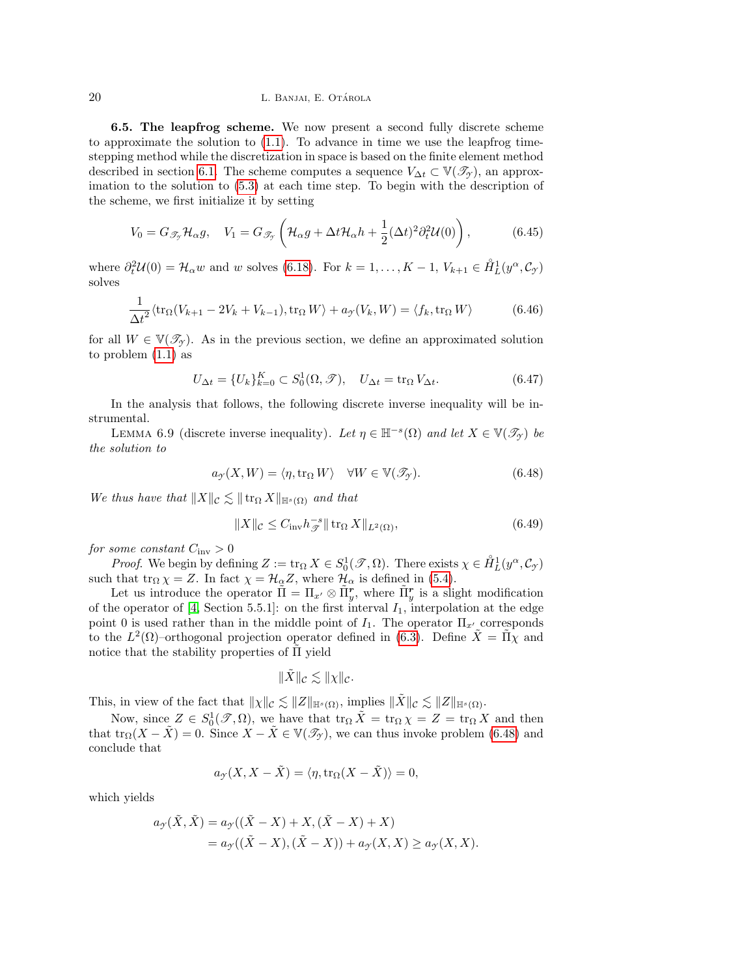<span id="page-19-5"></span>6.5. The leapfrog scheme. We now present a second fully discrete scheme to approximate the solution to [\(1.1\)](#page-0-0). To advance in time we use the leapfrog timestepping method while the discretization in space is based on the finite element method described in section [6.1.](#page-11-4) The scheme computes a sequence  $V_{\Delta t} \subset \mathbb{V}(\mathcal{I}_{\gamma})$ , an approximation to the solution to [\(5.3\)](#page-10-1) at each time step. To begin with the description of the scheme, we first initialize it by setting

<span id="page-19-2"></span>
$$
V_0 = G_{\mathscr{T}_{\mathcal{I}}} \mathcal{H}_{\alpha} g, \quad V_1 = G_{\mathscr{T}_{\mathcal{I}}} \left( \mathcal{H}_{\alpha} g + \Delta t \mathcal{H}_{\alpha} h + \frac{1}{2} (\Delta t)^2 \partial_t^2 \mathcal{U}(0) \right), \tag{6.45}
$$

where  $\partial_t^2 \mathcal{U}(0) = \mathcal{H}_{\alpha} w$  and w solves [\(6.18\)](#page-14-6). For  $k = 1, ..., K - 1, V_{k+1} \in \mathring{H}_L^1(y^{\alpha}, \mathcal{C}_{\gamma})$ solves

<span id="page-19-3"></span>
$$
\frac{1}{\Delta t^2} \langle \text{tr}_{\Omega}(V_{k+1} - 2V_k + V_{k-1}), \text{tr}_{\Omega} W \rangle + a_{\mathcal{I}}(V_k, W) = \langle f_k, \text{tr}_{\Omega} W \rangle \tag{6.46}
$$

for all  $W \in \mathbb{V}(\mathcal{I}_Y)$ . As in the previous section, we define an approximated solution to problem [\(1.1\)](#page-0-0) as

<span id="page-19-4"></span>
$$
U_{\Delta t} = \{U_k\}_{k=0}^K \subset S_0^1(\Omega, \mathcal{T}), \quad U_{\Delta t} = \text{tr}_{\Omega} V_{\Delta t}.
$$
\n(6.47)

In the analysis that follows, the following discrete inverse inequality will be instrumental.

LEMMA 6.9 (discrete inverse inequality). Let  $\eta \in \mathbb{H}^{-s}(\Omega)$  and let  $X \in \mathbb{V}(\mathscr{T}_{\mathcal{Y}})$  be the solution to

<span id="page-19-0"></span>
$$
a_{\mathcal{I}}(X, W) = \langle \eta, \text{tr}_{\Omega} W \rangle \quad \forall W \in \mathbb{V}(\mathcal{I}_{\mathcal{I}}). \tag{6.48}
$$

We thus have that  $||X||_{\mathcal{C}} \lesssim ||\operatorname{tr}_{\Omega} X||_{\mathbb{H}^{s}(\Omega)}$  and that

<span id="page-19-1"></span>
$$
||X||_{\mathcal{C}} \leq C_{\text{inv}} h_{\mathcal{F}}^{-s} || \operatorname{tr}_{\Omega} X ||_{L^{2}(\Omega)},
$$
\n(6.49)

for some constant  $C_{\text{inv}} > 0$ 

*Proof.* We begin by defining  $Z := \text{tr}_{\Omega} X \in S_0^1(\mathcal{T}, \Omega)$ . There exists  $\chi \in \mathring{H}_L^1(y^\alpha, \mathcal{C}_{\mathcal{Y}})$ such that tr<sub>Ω</sub>  $\chi = Z$ . In fact  $\chi = \mathcal{H}_{\alpha}Z$ , where  $\mathcal{H}_{\alpha}$  is defined in [\(5.4\)](#page-10-0).

Let us introduce the operator  $\tilde{\Pi} = \Pi_{x'} \otimes \tilde{\Pi}_y^r$ , where  $\tilde{\Pi}_y^r$  is a slight modification of the operator of [\[4,](#page-27-1) Section 5.5.1]: on the first interval  $I_1$ , interpolation at the edge point 0 is used rather than in the middle point of  $I_1$ . The operator  $\Pi_{x'}$  corresponds to the  $L^2(\Omega)$ -orthogonal projection operator defined in [\(6.3\)](#page-12-0). Define  $\tilde{X} = \tilde{\Pi} \tilde{\chi}$  and notice that the stability properties of  $\Pi$  yield

$$
\|\tilde{X}\|_{\mathcal{C}} \lesssim \|\chi\|_{\mathcal{C}}.
$$

This, in view of the fact that  $||\chi||_{\mathcal{C}} \lesssim ||Z||_{\mathbb{H}^{s}(\Omega)}$ , implies  $||\tilde{X}||_{\mathcal{C}} \lesssim ||Z||_{\mathbb{H}^{s}(\Omega)}$ .

Now, since  $Z \in S_0^1(\mathscr{T}, \Omega)$ , we have that  $\text{tr}_{\Omega} \tilde{X} = \text{tr}_{\Omega} \chi = Z = \text{tr}_{\Omega} X$  and then that tr<sub>Ω</sub> $(X - \tilde{X}) = 0$ . Since  $X - \tilde{X} \in V(\mathscr{T}_{\gamma})$ , we can thus invoke problem [\(6.48\)](#page-19-0) and conclude that

$$
a_{\mathcal{Y}}(X, X - \tilde{X}) = \langle \eta, \text{tr}_{\Omega}(X - \tilde{X}) \rangle = 0,
$$

which yields

$$
a_{\mathcal{Y}}(\tilde{X}, \tilde{X}) = a_{\mathcal{Y}}((\tilde{X} - X) + X, (\tilde{X} - X) + X)
$$
  
=  $a_{\mathcal{Y}}((\tilde{X} - X), (\tilde{X} - X)) + a_{\mathcal{Y}}(X, X) \ge a_{\mathcal{Y}}(X, X).$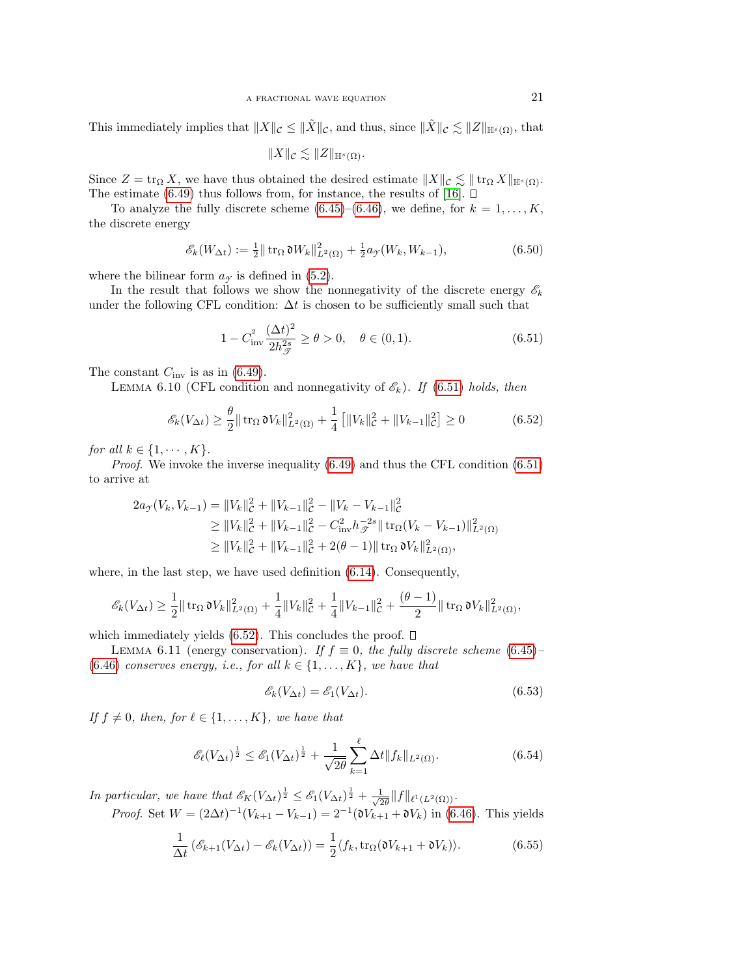This immediately implies that  $||X||_{\mathcal{C}} \leq ||\tilde{X}||_{\mathcal{C}}$ , and thus, since  $||\tilde{X}||_{\mathcal{C}} \lesssim ||Z||_{\mathbb{H}^{s}(\Omega)}$ , that

$$
||X||_{\mathcal{C}} \lesssim ||Z||_{\mathbb{H}^s(\Omega)}.
$$

Since  $Z = \text{tr}_{\Omega} X$ , we have thus obtained the desired estimate  $||X||_{\mathcal{C}} \lesssim ||\text{tr}_{\Omega} X||_{\mathbb{H}^{s}(\Omega)}$ . The estimate [\(6.49\)](#page-19-1) thus follows from, for instance, the results of [\[16\]](#page-28-17).  $\Box$ 

To analyze the fully discrete scheme [\(6.45\)](#page-19-2)–[\(6.46\)](#page-19-3), we define, for  $k = 1, \ldots, K$ , the discrete energy

$$
\mathscr{E}_k(W_{\Delta t}) := \frac{1}{2} || \operatorname{tr}_{\Omega} \mathfrak{d} W_k ||_{L^2(\Omega)}^2 + \frac{1}{2} a_{\mathcal{I}}(W_k, W_{k-1}), \tag{6.50}
$$

where the bilinear form  $a<sub>\gamma</sub>$  is defined in [\(5.2\)](#page-10-4).

In the result that follows we show the nonnegativity of the discrete energy  $\mathscr{E}_k$ under the following CFL condition:  $\Delta t$  is chosen to be sufficiently small such that

<span id="page-20-0"></span>
$$
1 - C_{\text{inv}}^2 \frac{(\Delta t)^2}{2h_{\mathcal{F}}^{2s}} \ge \theta > 0, \quad \theta \in (0, 1). \tag{6.51}
$$

The constant  $C_{\text{inv}}$  is as in [\(6.49\)](#page-19-1).

LEMMA 6.10 (CFL condition and nonnegativity of  $\mathscr{E}_k$ ). If [\(6.51\)](#page-20-0) holds, then

<span id="page-20-1"></span>
$$
\mathcal{E}_k(V_{\Delta t}) \ge \frac{\theta}{2} \|\operatorname{tr}_{\Omega} \mathfrak{d} V_k\|_{L^2(\Omega)}^2 + \frac{1}{4} \left[ \|V_k\|_{\mathcal{C}}^2 + \|V_{k-1}\|_{\mathcal{C}}^2 \right] \ge 0 \tag{6.52}
$$

for all  $k \in \{1, \cdots, K\}$ .

*Proof.* We invoke the inverse inequality  $(6.49)$  and thus the CFL condition  $(6.51)$ to arrive at

$$
2a_{\mathcal{F}}(V_k, V_{k-1}) = ||V_k||_{\mathcal{C}}^2 + ||V_{k-1}||_{\mathcal{C}}^2 - ||V_k - V_{k-1}||_{\mathcal{C}}^2
$$
  
\n
$$
\geq ||V_k||_{\mathcal{C}}^2 + ||V_{k-1}||_{\mathcal{C}}^2 - C_{\text{inv}}^2 h_{\mathcal{F}}^{-2s} || \operatorname{tr}_{\Omega}(V_k - V_{k-1})||_{L^2(\Omega)}^2
$$
  
\n
$$
\geq ||V_k||_{\mathcal{C}}^2 + ||V_{k-1}||_{\mathcal{C}}^2 + 2(\theta - 1) || \operatorname{tr}_{\Omega} \mathfrak{d}V_k||_{L^2(\Omega)}^2,
$$

where, in the last step, we have used definition  $(6.14)$ . Consequently,

$$
\mathscr{E}_k(V_{\Delta t}) \geq \frac{1}{2} \|\operatorname{tr}_{\Omega} \mathfrak{d} V_k\|_{L^2(\Omega)}^2 + \frac{1}{4} \|V_k\|_{\mathcal{C}}^2 + \frac{1}{4} \|V_{k-1}\|_{\mathcal{C}}^2 + \frac{(\theta - 1)}{2} \|\operatorname{tr}_{\Omega} \mathfrak{d} V_k\|_{L^2(\Omega)}^2,
$$

which immediately yields  $(6.52)$ . This concludes the proof.  $\square$ 

LEMMA 6.11 (energy conservation). If  $f \equiv 0$ , the fully discrete scheme [\(6.45\)](#page-19-2)– [\(6.46\)](#page-19-3) conserves energy, i.e., for all  $k \in \{1, \ldots, K\}$ , we have that

<span id="page-20-3"></span>
$$
\mathscr{E}_k(V_{\Delta t}) = \mathscr{E}_1(V_{\Delta t}).\tag{6.53}
$$

If  $f \neq 0$ , then, for  $\ell \in \{1, \ldots, K\}$ , we have that

<span id="page-20-4"></span>
$$
\mathcal{E}_{\ell}(V_{\Delta t})^{\frac{1}{2}} \le \mathcal{E}_1(V_{\Delta t})^{\frac{1}{2}} + \frac{1}{\sqrt{2\theta}} \sum_{k=1}^{\ell} \Delta t \|f_k\|_{L^2(\Omega)}.
$$
\n(6.54)

In particular, we have that  $\mathscr{E}_K(V_{\Delta t})^{\frac{1}{2}} \leq \mathscr{E}_1(V_{\Delta t})^{\frac{1}{2}} + \frac{1}{\sqrt{\varepsilon}}$  $\frac{1}{2\theta}$ ||f|| $_{\ell^1(L^2(\Omega))}$ .

*Proof.* Set  $W = (2\Delta t)^{-1}(V_{k+1} - V_{k-1}) = 2^{-1}(\mathfrak{d}V_{k+1} + \mathfrak{d}V_k)$  in [\(6.46\)](#page-19-3). This yields

<span id="page-20-2"></span>
$$
\frac{1}{\Delta t} \left( \mathcal{E}_{k+1}(V_{\Delta t}) - \mathcal{E}_k(V_{\Delta t}) \right) = \frac{1}{2} \langle f_k, \text{tr}_{\Omega}(\mathfrak{d}V_{k+1} + \mathfrak{d}V_k) \rangle. \tag{6.55}
$$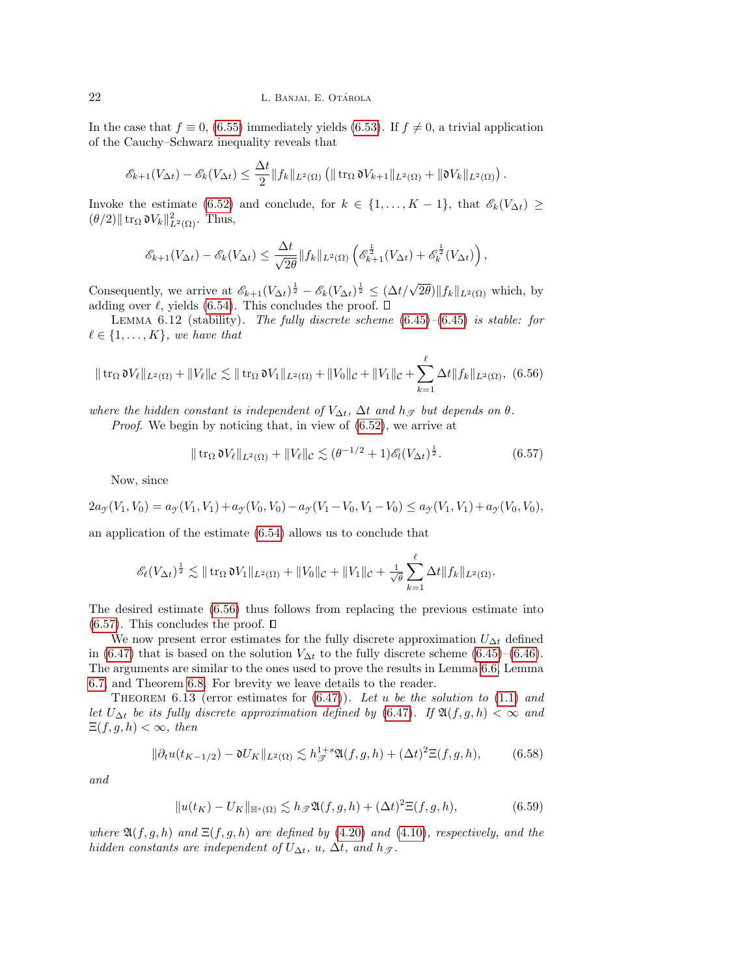In the case that  $f \equiv 0$ , [\(6.55\)](#page-20-2) immediately yields [\(6.53\)](#page-20-3). If  $f \neq 0$ , a trivial application of the Cauchy–Schwarz inequality reveals that

$$
\mathscr{E}_{k+1}(V_{\Delta t})-\mathscr{E}_{k}(V_{\Delta t})\leq \frac{\Delta t}{2}||f_k||_{L^2(\Omega)}\left(||\operatorname{tr}_{\Omega}\mathfrak{d}V_{k+1}||_{L^2(\Omega)}+||\mathfrak{d}V_k||_{L^2(\Omega)}\right).
$$

Invoke the estimate [\(6.52\)](#page-20-1) and conclude, for  $k \in \{1, ..., K-1\}$ , that  $\mathscr{E}_k(V_{\Delta t}) \geq$  $(\theta/2)$  tr<sub>Ω</sub>  $\mathfrak{d}V_k\|_{L^2(\Omega)}^2$ . Thus,

$$
\mathscr{E}_{k+1}(V_{\Delta t}) - \mathscr{E}_{k}(V_{\Delta t}) \leq \frac{\Delta t}{\sqrt{2\theta}} \|f_k\|_{L^2(\Omega)} \left(\mathscr{E}_{k+1}^{\frac{1}{2}}(V_{\Delta t}) + \mathscr{E}_k^{\frac{1}{2}}(V_{\Delta t})\right),
$$

Consequently, we arrive at  $\mathscr{E}_{k+1}(V_{\Delta t})^{\frac{1}{2}} - \mathscr{E}_k(V_{\Delta t})^{\frac{1}{2}} \leq (\Delta t / \sqrt{2\theta}) ||f_k||_{L^2(\Omega)}$  which, by adding over  $\ell$ , yields [\(6.54\)](#page-20-4). This concludes the proof.  $\Box$ 

LEMMA  $6.12$  (stability). The fully discrete scheme  $(6.45)-(6.45)$  $(6.45)-(6.45)$  is stable: for  $\ell \in \{1, \ldots, K\}$ , we have that

<span id="page-21-0"></span>
$$
\|\operatorname{tr}_{\Omega} \mathfrak{d} V_{\ell}\|_{L^{2}(\Omega)} + \|V_{\ell}\|_{\mathcal{C}} \lesssim \|\operatorname{tr}_{\Omega} \mathfrak{d} V_{1}\|_{L^{2}(\Omega)} + \|V_{0}\|_{\mathcal{C}} + \|V_{1}\|_{\mathcal{C}} + \sum_{k=1}^{\ell} \Delta t \|f_{k}\|_{L^{2}(\Omega)},
$$
 (6.56)

where the hidden constant is independent of  $V_{\Delta t}$ ,  $\Delta t$  and  $h_{\mathcal{F}}$  but depends on  $\theta$ .

Proof. We begin by noticing that, in view of [\(6.52\)](#page-20-1), we arrive at

<span id="page-21-1"></span>
$$
\|\operatorname{tr}_{\Omega} \mathfrak{d} V_{\ell}\|_{L^{2}(\Omega)} + \|V_{\ell}\|_{\mathcal{C}} \lesssim (\theta^{-1/2} + 1)\mathscr{E}_{l}(V_{\Delta t})^{\frac{1}{2}}.
$$
 (6.57)

Now, since

 $2a_Y(V_1, V_0) = a_Y(V_1, V_1) + a_Y(V_0, V_0) - a_Y(V_1 - V_0, V_1 - V_0) \le a_Y(V_1, V_1) + a_Y(V_0, V_0),$ 

an application of the estimate [\(6.54\)](#page-20-4) allows us to conclude that

$$
\mathscr{E}_{\ell}(V_{\Delta t})^{\frac{1}{2}} \lesssim || \operatorname{tr}_{\Omega} \mathfrak{d} V_1 ||_{L^2(\Omega)} + || V_0 ||_{\mathcal{C}} + || V_1 ||_{\mathcal{C}} + \frac{1}{\sqrt{\theta}} \sum_{k=1}^{\ell} \Delta t || f_k ||_{L^2(\Omega)}.
$$

The desired estimate [\(6.56\)](#page-21-0) thus follows from replacing the previous estimate into  $(6.57)$ . This concludes the proof.  $\square$ 

We now present error estimates for the fully discrete approximation  $U_{\Delta t}$  defined in [\(6.47\)](#page-19-4) that is based on the solution  $V_{\Delta t}$  to the fully discrete scheme [\(6.45\)](#page-19-2)–[\(6.46\)](#page-19-3). The arguments are similar to the ones used to prove the results in Lemma [6.6,](#page-15-5) Lemma [6.7,](#page-17-5) and Theorem [6.8.](#page-18-2) For brevity we leave details to the reader.

THEOREM 6.13 (error estimates for  $(6.47)$ ). Let u be the solution to  $(1.1)$  and let  $U_{\Delta t}$  be its fully discrete approximation defined by [\(6.47\)](#page-19-4). If  $\mathfrak{A}(f,g,h) < \infty$  and  $\Xi(f,g,h)<\infty$ , then

<span id="page-21-3"></span>
$$
\|\partial_t u(t_{K-1/2}) - \mathfrak{d}U_K\|_{L^2(\Omega)} \lesssim h_{\mathcal{F}}^{1+s} \mathfrak{A}(f,g,h) + (\Delta t)^2 \Xi(f,g,h),\tag{6.58}
$$

and

<span id="page-21-2"></span>
$$
||u(t_K) - U_K||_{\mathbb{H}^s(\Omega)} \lesssim h_{\mathcal{F}} \mathfrak{A}(f,g,h) + (\Delta t)^2 \Xi(f,g,h),
$$
\n(6.59)

where  $\mathfrak{A}(f, g, h)$  and  $\Xi(f, g, h)$  are defined by [\(4.20\)](#page-9-3) and [\(4.10\)](#page-7-6), respectively, and the hidden constants are independent of  $U_{\Delta t}$ ,  $u$ ,  $\Delta t$ , and  $h_{\mathcal{T}}$ .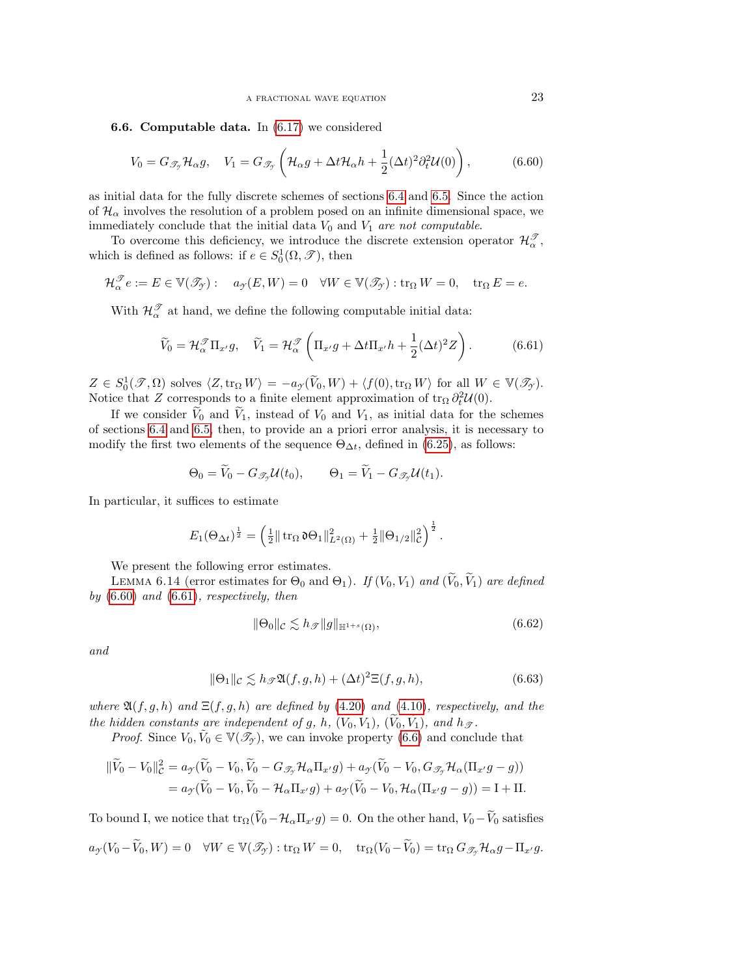## 6.6. Computable data. In [\(6.17\)](#page-14-1) we considered

<span id="page-22-0"></span>
$$
V_0 = G_{\mathscr{T}_{\mathcal{I}}} \mathcal{H}_{\alpha} g, \quad V_1 = G_{\mathscr{T}_{\mathcal{I}}} \left( \mathcal{H}_{\alpha} g + \Delta t \mathcal{H}_{\alpha} h + \frac{1}{2} (\Delta t)^2 \partial_t^2 \mathcal{U}(0) \right), \tag{6.60}
$$

as initial data for the fully discrete schemes of sections [6.4](#page-14-7) and [6.5.](#page-19-5) Since the action of  $\mathcal{H}_{\alpha}$  involves the resolution of a problem posed on an infinite dimensional space, we immediately conclude that the initial data  $V_0$  and  $V_1$  are not computable.

To overcome this deficiency, we introduce the discrete extension operator  $\mathcal{H}_{\alpha}^{\mathcal{T}}$ , which is defined as follows: if  $e \in S_0^1(\Omega, \mathscr{T})$ , then

$$
\mathcal{H}_{\alpha}^{\mathcal{J}}e := E \in \mathbb{V}(\mathcal{I}_{\mathcal{J}}): \quad a_{\mathcal{I}}(E, W) = 0 \quad \forall W \in \mathbb{V}(\mathcal{I}_{\mathcal{J}}): \text{tr}_{\Omega} W = 0, \quad \text{tr}_{\Omega} E = e.
$$

With  $\mathcal{H}_{\alpha}^{\mathcal{T}}$  at hand, we define the following computable initial data:

<span id="page-22-1"></span>
$$
\widetilde{V}_0 = \mathcal{H}_{\alpha}^{\mathcal{F}} \Pi_{x'} g, \quad \widetilde{V}_1 = \mathcal{H}_{\alpha}^{\mathcal{F}} \left( \Pi_{x'} g + \Delta t \Pi_{x'} h + \frac{1}{2} (\Delta t)^2 Z \right).
$$
 (6.61)

 $Z \in S_0^1(\mathcal{T}, \Omega)$  solves  $\langle Z, \text{tr}_\Omega W \rangle = -a_\mathcal{T}(\widetilde{V}_0, W) + \langle f(0), \text{tr}_\Omega W \rangle$  for all  $W \in \mathbb{V}(\mathcal{T}_\mathcal{T}).$ Notice that Z corresponds to a finite element approximation of  $\text{tr}_{\Omega} \partial_t^2 \mathcal{U}(0)$ .

If we consider  $V_0$  and  $V_1$ , instead of  $V_0$  and  $V_1$ , as initial data for the schemes of sections [6.4](#page-14-7) and [6.5,](#page-19-5) then, to provide an a priori error analysis, it is necessary to modify the first two elements of the sequence  $\Theta_{\Delta t}$ , defined in [\(6.25\)](#page-15-4), as follows:

$$
\Theta_0 = \widetilde{V}_0 - G_{\mathscr{T}_{\mathcal{I}}} \mathcal{U}(t_0), \qquad \Theta_1 = \widetilde{V}_1 - G_{\mathscr{T}_{\mathcal{I}}} \mathcal{U}(t_1).
$$

In particular, it suffices to estimate

$$
E_1(\Theta_{\Delta t})^{\frac{1}{2}} = \left(\frac{1}{2} \|\operatorname{tr}_{\Omega} \mathfrak{d} \Theta_1\|_{L^2(\Omega)}^2 + \frac{1}{2} \|\Theta_{1/2}\|_{\mathcal{C}}^2\right)^{\frac{1}{2}}.
$$

We present the following error estimates.

LEMMA 6.14 (error estimates for  $\Theta_0$  and  $\Theta_1$ ). If  $(V_0, V_1)$  and  $(\widetilde{V}_0, \widetilde{V}_1)$  are defined by [\(6.60\)](#page-22-0) and [\(6.61\)](#page-22-1), respectively, then

<span id="page-22-2"></span>
$$
\|\Theta_0\|_{\mathcal{C}} \lesssim h_{\mathcal{F}}\|g\|_{\mathbb{H}^{1+s}(\Omega)},\tag{6.62}
$$

and

<span id="page-22-3"></span>
$$
\|\Theta_1\|_{\mathcal{C}} \lesssim h_{\mathcal{F}} \mathfrak{A}(f,g,h) + (\Delta t)^2 \Xi(f,g,h),\tag{6.63}
$$

where  $\mathfrak{A}(f,g,h)$  and  $\Xi(f,g,h)$  are defined by [\(4.20\)](#page-9-3) and [\(4.10\)](#page-7-6), respectively, and the the hidden constants are independent of g, h,  $(V_0, V_1)$ ,  $(\tilde{V}_0, \tilde{V}_1)$ , and  $h_{\mathcal{F}}$ .

*Proof.* Since  $V_0, \tilde{V}_0 \in \mathbb{V}(\mathcal{I}_\mathcal{I})$ , we can invoke property [\(6.6\)](#page-12-1) and conclude that

$$
\begin{aligned} \|\widetilde{V}_0 - V_0\|_{\mathcal{C}}^2 &= a_{\mathcal{I}}(\widetilde{V}_0 - V_0, \widetilde{V}_0 - G_{\mathcal{I}_{\mathcal{I}}} \mathcal{H}_{\alpha} \Pi_{x'} g) + a_{\mathcal{I}}(\widetilde{V}_0 - V_0, G_{\mathcal{I}_{\mathcal{I}}} \mathcal{H}_{\alpha}(\Pi_{x'} g - g)) \\ &= a_{\mathcal{I}}(\widetilde{V}_0 - V_0, \widetilde{V}_0 - \mathcal{H}_{\alpha} \Pi_{x'} g) + a_{\mathcal{I}}(\widetilde{V}_0 - V_0, \mathcal{H}_{\alpha}(\Pi_{x'} g - g)) = \mathrm{I} + \mathrm{II}. \end{aligned}
$$

To bound I, we notice that  $\text{tr}_{\Omega}(\tilde{V}_0-\mathcal{H}_{\alpha}\Pi_{x'}g)=0$ . On the other hand,  $V_0-\tilde{V}_0$  satisfies  $a_Y(V_0 - \widetilde{V}_0, W) = 0 \quad \forall W \in \mathbb{V}(\mathscr{T}_{\gamma}) : \text{tr}_{\Omega} W = 0, \quad \text{tr}_{\Omega}(V_0 - \widetilde{V}_0) = \text{tr}_{\Omega} G_{\mathscr{T}_{\gamma}} \mathcal{H}_{\alpha} g - \Pi_{x'} g.$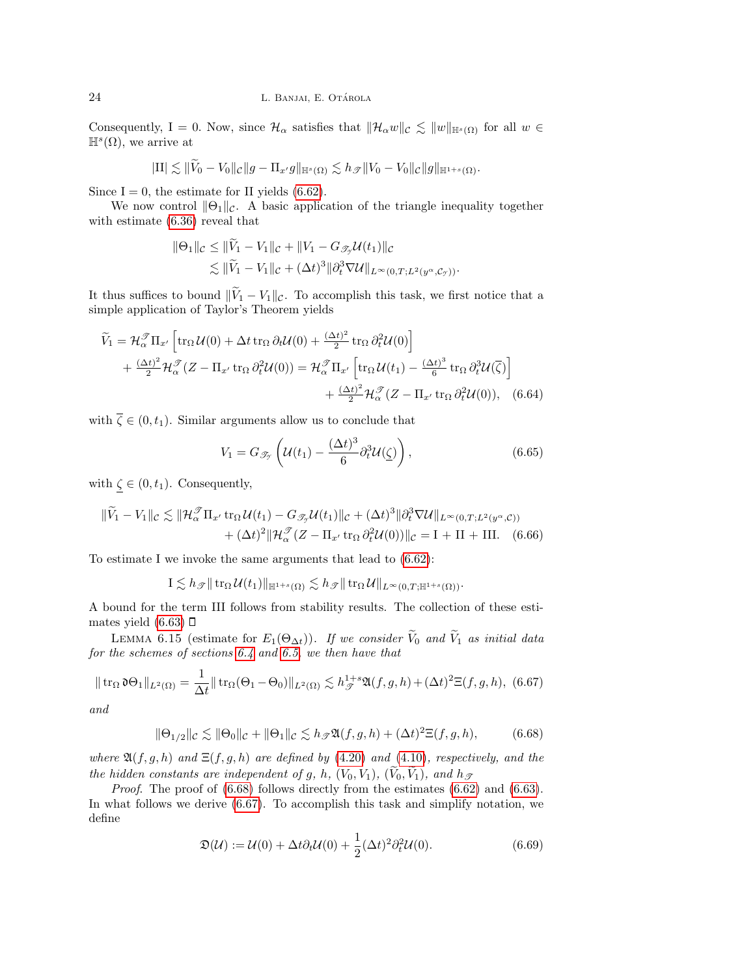Consequently, I = 0. Now, since  $\mathcal{H}_{\alpha}$  satisfies that  $\|\mathcal{H}_{\alpha}w\|_{\mathcal{C}} \lesssim \|w\|_{\mathbb{H}^{s}(\Omega)}$  for all  $w \in$  $\mathbb{H}^s(\Omega)$ , we arrive at

$$
|\mathrm{II}| \lesssim \|\widetilde{V}_0 - V_0\|_{\mathcal{C}} \|g - \Pi_{x'} g\|_{\mathbb{H}^s(\Omega)} \lesssim h_{\mathcal{F}} \|V_0 - V_0\|_{\mathcal{C}} \|g\|_{\mathbb{H}^{1+s}(\Omega)}.
$$

Since  $I = 0$ , the estimate for II yields [\(6.62\)](#page-22-2).

We now control  $\|\Theta_1\|_{\mathcal{C}}$ . A basic application of the triangle inequality together with estimate [\(6.36\)](#page-17-6) reveal that

$$
\|\Theta_1\|_{\mathcal{C}} \le \|V_1 - V_1\|_{\mathcal{C}} + \|V_1 - G_{\mathcal{I}_{\mathcal{Y}}} \mathcal{U}(t_1)\|_{\mathcal{C}} \n\lesssim \|\widetilde{V}_1 - V_1\|_{\mathcal{C}} + (\Delta t)^3 \|\partial_t^3 \nabla \mathcal{U}\|_{L^{\infty}(0,T;L^2(y^{\alpha}, \mathcal{C}_{\mathcal{Y}}))}.
$$

It thus suffices to bound  $\|\widetilde{V}_1 - V_1\|_{\mathcal{C}}$ . To accomplish this task, we first notice that a simple application of Taylor's Theorem yields

$$
\widetilde{V}_1 = \mathcal{H}_{\alpha}^{\mathcal{F}} \Pi_{x'} \left[ \text{tr}_{\Omega} \mathcal{U}(0) + \Delta t \, \text{tr}_{\Omega} \, \partial_t \mathcal{U}(0) + \frac{(\Delta t)^2}{2} \, \text{tr}_{\Omega} \, \partial_t^2 \mathcal{U}(0) \right] \n+ \frac{(\Delta t)^2}{2} \mathcal{H}_{\alpha}^{\mathcal{F}} (Z - \Pi_{x'} \, \text{tr}_{\Omega} \, \partial_t^2 \mathcal{U}(0)) = \mathcal{H}_{\alpha}^{\mathcal{F}} \Pi_{x'} \left[ \text{tr}_{\Omega} \mathcal{U}(t_1) - \frac{(\Delta t)^3}{6} \, \text{tr}_{\Omega} \, \partial_t^3 \mathcal{U}(\overline{\zeta}) \right] \n+ \frac{(\Delta t)^2}{2} \mathcal{H}_{\alpha}^{\mathcal{F}} (Z - \Pi_{x'} \, \text{tr}_{\Omega} \, \partial_t^2 \mathcal{U}(0)), \quad (6.64)
$$

with  $\overline{\zeta} \in (0, t_1)$ . Similar arguments allow us to conclude that

$$
V_1 = G_{\mathscr{T}_{\mathcal{I}}} \left( \mathcal{U}(t_1) - \frac{(\Delta t)^3}{6} \partial_t^3 \mathcal{U}(\underline{\zeta}) \right), \tag{6.65}
$$

with  $\zeta \in (0, t_1)$ . Consequently,

$$
\|\widetilde{V}_1 - V_1\|_{\mathcal{C}} \lesssim \|\mathcal{H}_\alpha^{\mathcal{F}}\Pi_{x'} \operatorname{tr}_\Omega \mathcal{U}(t_1) - G_{\mathcal{F}_y} \mathcal{U}(t_1)\|_{\mathcal{C}} + (\Delta t)^3 \|\partial_t^3 \nabla \mathcal{U}\|_{L^\infty(0,T;L^2(y^\alpha,\mathcal{C}))} + (\Delta t)^2 \|\mathcal{H}_\alpha^{\mathcal{F}} (Z - \Pi_{x'} \operatorname{tr}_\Omega \partial_t^2 \mathcal{U}(0))\|_{\mathcal{C}} = I + II + III. \tag{6.66}
$$

To estimate I we invoke the same arguments that lead to [\(6.62\)](#page-22-2):

$$
I \lesssim h_{\mathscr{T}} \|\operatorname{tr}_{\Omega} \mathcal{U}(t_1)\|_{\mathbb{H}^{1+s}(\Omega)} \lesssim h_{\mathscr{T}} \|\operatorname{tr}_{\Omega} \mathcal{U}\|_{L^{\infty}(0,T; \mathbb{H}^{1+s}(\Omega))}.
$$

A bound for the term III follows from stability results. The collection of these estimates yield  $(6.63)$   $\square$ 

LEMMA 6.15 (estimate for  $E_1(\Theta_{\Delta t})$ ). If we consider  $\widetilde{V}_0$  and  $\widetilde{V}_1$  as initial data for the schemes of sections [6.4](#page-14-7) and [6.5,](#page-19-5) we then have that

<span id="page-23-1"></span>
$$
\|\operatorname{tr}_{\Omega}\mathfrak{d}\Theta_1\|_{L^2(\Omega)} = \frac{1}{\Delta t} \|\operatorname{tr}_{\Omega}(\Theta_1 - \Theta_0)\|_{L^2(\Omega)} \lesssim h_{\mathscr{T}}^{1+s} \mathfrak{A}(f,g,h) + (\Delta t)^2 \Xi(f,g,h), \tag{6.67}
$$

and

<span id="page-23-0"></span>
$$
\|\Theta_{1/2}\|_{\mathcal{C}} \lesssim \|\Theta_0\|_{\mathcal{C}} + \|\Theta_1\|_{\mathcal{C}} \lesssim h_{\mathcal{F}}\mathfrak{A}(f,g,h) + (\Delta t)^2 \Xi(f,g,h),\tag{6.68}
$$

where  $\mathfrak{A}(f,g,h)$  and  $\Xi(f,g,h)$  are defined by [\(4.20\)](#page-9-3) and [\(4.10\)](#page-7-6), respectively, and the the hidden constants are independent of g, h,  $(V_0, V_1)$ ,  $(\widetilde{V}_0, \widetilde{V}_1)$ , and  $h_{\mathscr{T}}$ 

Proof. The proof of  $(6.68)$  follows directly from the estimates  $(6.62)$  and  $(6.63)$ . In what follows we derive [\(6.67\)](#page-23-1). To accomplish this task and simplify notation, we define

$$
\mathfrak{D}(\mathcal{U}) := \mathcal{U}(0) + \Delta t \partial_t \mathcal{U}(0) + \frac{1}{2} (\Delta t)^2 \partial_t^2 \mathcal{U}(0). \tag{6.69}
$$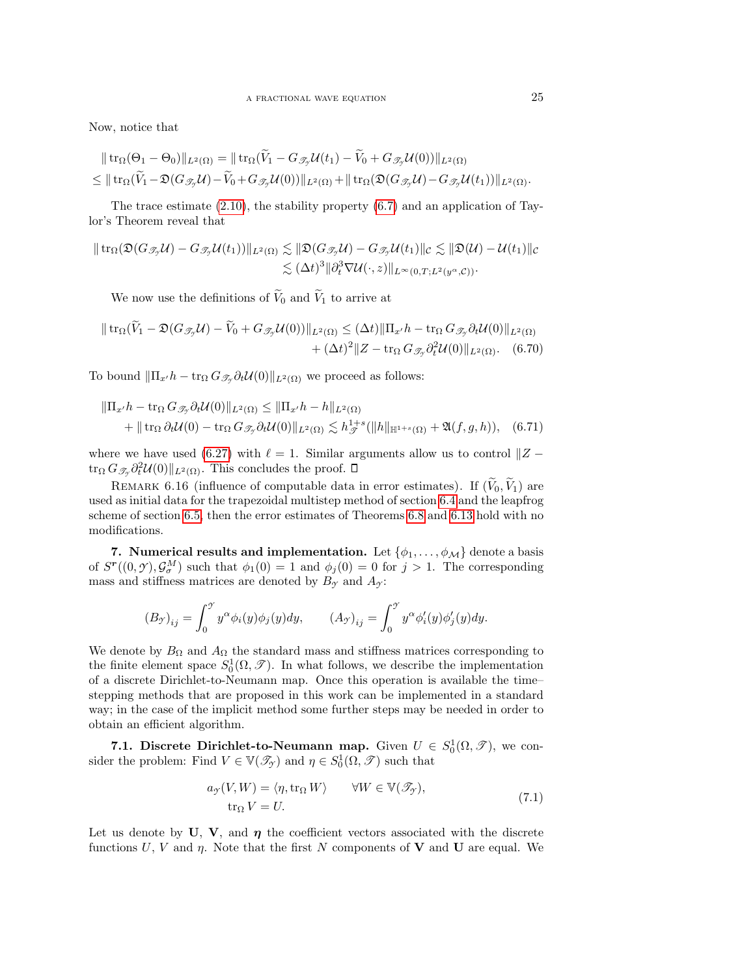Now, notice that

$$
\|\operatorname{tr}_{\Omega}(\Theta_1-\Theta_0)\|_{L^2(\Omega)}=\|\operatorname{tr}_{\Omega}(\widetilde{V}_1-G_{\mathscr{T}_{\mathcal{Y}}} \mathcal{U}(t_1)-\widetilde{V}_0+G_{\mathscr{T}_{\mathcal{Y}}} \mathcal{U}(0))\|_{L^2(\Omega)}\leq \|\operatorname{tr}_{\Omega}(\widetilde{V}_1-\mathfrak{D}(G_{\mathscr{T}_{\mathcal{Y}}} \mathcal{U})-\widetilde{V}_0+G_{\mathscr{T}_{\mathcal{Y}}} \mathcal{U}(0))\|_{L^2(\Omega)}+\|\operatorname{tr}_{\Omega}(\mathfrak{D}(G_{\mathscr{T}_{\mathcal{Y}}} \mathcal{U})-G_{\mathscr{T}_{\mathcal{Y}}} \mathcal{U}(t_1))\|_{L^2(\Omega)}.
$$

The trace estimate  $(2.10)$ , the stability property  $(6.7)$  and an application of Taylor's Theorem reveal that

$$
\| \operatorname{tr}_{\Omega} (\mathfrak{D} (G_{\mathscr{T}_{\mathcal{Y}}} \mathcal{U}) - G_{\mathscr{T}_{\mathcal{Y}}} \mathcal{U}(t_1)) \|_{L^2(\Omega)} \lesssim \| \mathfrak{D} (G_{\mathscr{T}_{\mathcal{Y}}} \mathcal{U}) - G_{\mathscr{T}_{\mathcal{Y}}} \mathcal{U}(t_1) \|_{\mathcal{C}} \lesssim \| \mathfrak{D} (\mathcal{U}) - \mathcal{U}(t_1) \|_{\mathcal{C}} \leq (\Delta t)^3 \| \partial_t^3 \nabla \mathcal{U} (\cdot, z) \|_{L^\infty(0,T;L^2(y^\alpha,\mathcal{C}))}.
$$

We now use the definitions of  $\widetilde{V}_0$  and  $\widetilde{V}_1$  to arrive at

$$
\| \operatorname{tr}_{\Omega} (\check{V}_1 - \mathfrak{D}(G_{\mathscr{T}_y} \mathcal{U}) - \check{V}_0 + G_{\mathscr{T}_y} \mathcal{U}(0)) \|_{L^2(\Omega)} \leq (\Delta t) \| \Pi_{x'} h - \operatorname{tr}_{\Omega} G_{\mathscr{T}_y} \partial_t \mathcal{U}(0) \|_{L^2(\Omega)} + (\Delta t)^2 \| Z - \operatorname{tr}_{\Omega} G_{\mathscr{T}_y} \partial_t^2 \mathcal{U}(0) \|_{L^2(\Omega)}. \tag{6.70}
$$

To bound  $\|\Pi_{x'}h - \text{tr}_{\Omega} G_{\mathscr{T}_{\gamma}} \partial_t \mathcal{U}(0)\|_{L^2(\Omega)}$  we proceed as follows:

$$
\|\Pi_{x'}h - \operatorname{tr}_{\Omega} G_{\mathcal{I}_{\mathcal{F}}}\partial_t \mathcal{U}(0)\|_{L^2(\Omega)} \le \|\Pi_{x'}h - h\|_{L^2(\Omega)}
$$
  
+ 
$$
\|\operatorname{tr}_{\Omega} \partial_t \mathcal{U}(0) - \operatorname{tr}_{\Omega} G_{\mathcal{I}_{\mathcal{F}}}\partial_t \mathcal{U}(0)\|_{L^2(\Omega)} \lesssim h_{\mathcal{F}}^{1+s}(\|h\|_{\mathbb{H}^{1+s}(\Omega)} + \mathfrak{A}(f, g, h)), \quad (6.71)
$$

where we have used [\(6.27\)](#page-15-3) with  $\ell = 1$ . Similar arguments allow us to control  $\|Z - \ell\|$  $\text{tr}_{\Omega} G_{\mathscr{T}_{\mathcal{I}}} \partial_t^2 \mathcal{U}(0) \|_{L^2(\Omega)}$ . This concludes the proof.

REMARK 6.16 (influence of computable data in error estimates). If  $(\widetilde{V}_0, \widetilde{V}_1)$  are used as initial data for the trapezoidal multistep method of section [6.4](#page-14-7) and the leapfrog scheme of section [6.5,](#page-19-5) then the error estimates of Theorems [6.8](#page-18-2) and [6.13](#page-21-2) hold with no modifications.

<span id="page-24-0"></span>7. Numerical results and implementation. Let  $\{\phi_1, \ldots, \phi_M\}$  denote a basis of  $S^{r}((0, \mathcal{Y}), \mathcal{G}_{\sigma}^{M})$  such that  $\phi_1(0) = 1$  and  $\phi_j(0) = 0$  for  $j > 1$ . The corresponding mass and stiffness matrices are denoted by  $B_{\mathcal{Y}}$  and  $A_{\mathcal{Y}}$ :

$$
\left(B_{\mathcal{Y}}\right)_{ij} = \int_0^{\mathcal{Y}} y^{\alpha} \phi_i(y) \phi_j(y) dy, \qquad \left(A_{\mathcal{Y}}\right)_{ij} = \int_0^{\mathcal{Y}} y^{\alpha} \phi'_i(y) \phi'_j(y) dy.
$$

We denote by  $B_{\Omega}$  and  $A_{\Omega}$  the standard mass and stiffness matrices corresponding to the finite element space  $S_0^1(\Omega, \mathcal{T})$ . In what follows, we describe the implementation of a discrete Dirichlet-to-Neumann map. Once this operation is available the time– stepping methods that are proposed in this work can be implemented in a standard way; in the case of the implicit method some further steps may be needed in order to obtain an efficient algorithm.

7.1. Discrete Dirichlet-to-Neumann map. Given  $U \in S_0^1(\Omega, \mathcal{T})$ , we consider the problem: Find  $V \in \mathbb{V}(\mathcal{I}_{\mathcal{J}})$  and  $\eta \in S_0^1(\Omega, \mathcal{I})$  such that

$$
a_{\mathcal{I}}(V, W) = \langle \eta, \text{tr}_{\Omega} W \rangle \qquad \forall W \in \mathbb{V}(\mathcal{I}_{\mathcal{I}}), \text{tr}_{\Omega} V = U.
$$
\n(7.1)

<span id="page-24-1"></span>Let us denote by U, V, and  $\eta$  the coefficient vectors associated with the discrete functions U, V and  $\eta$ . Note that the first N components of **V** and **U** are equal. We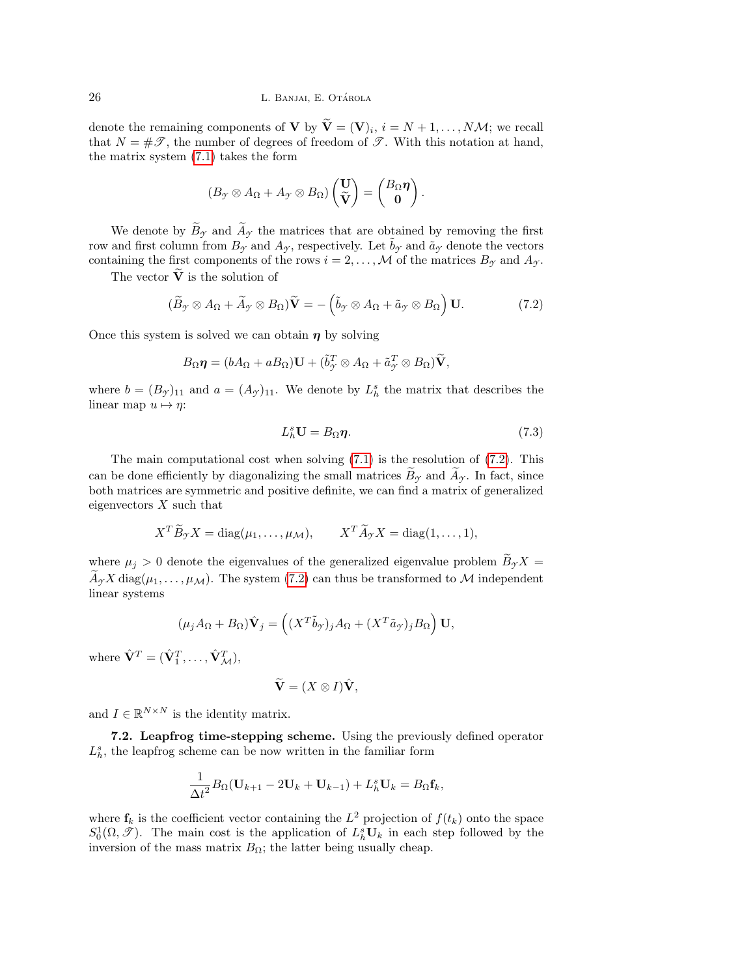denote the remaining components of **V** by  $\mathbf{V} = (\mathbf{V})_i$ ,  $i = N + 1, ..., N$ *M*; we recall that  $N = \#\mathscr{T}$ , the number of degrees of freedom of  $\mathscr{T}$ . With this notation at hand, the matrix system [\(7.1\)](#page-24-1) takes the form

$$
(B_{\mathcal{Y}}\otimes A_{\Omega} + A_{\mathcal{Y}}\otimes B_{\Omega})\begin{pmatrix} \mathbf{U} \\ \widetilde{\mathbf{V}} \end{pmatrix} = \begin{pmatrix} B_{\Omega}\boldsymbol{\eta} \\ \mathbf{0} \end{pmatrix}.
$$

We denote by  $\widetilde{B}_{\gamma}$  and  $\widetilde{A}_{\gamma}$  the matrices that are obtained by removing the first row and first column from  $B_{\gamma}$  and  $A_{\gamma}$ , respectively. Let  $\tilde{b}_{\gamma}$  and  $\tilde{a}_{\gamma}$  denote the vectors containing the first components of the rows  $i = 2, ..., M$  of the matrices  $B_{\gamma}$  and  $A_{\gamma}$ .

The vector  $\tilde{\mathbf{V}}$  is the solution of

<span id="page-25-0"></span>
$$
(\widetilde{B}_{\mathcal{F}} \otimes A_{\Omega} + \widetilde{A}_{\mathcal{F}} \otimes B_{\Omega})\widetilde{\mathbf{V}} = -(\widetilde{b}_{\mathcal{F}} \otimes A_{\Omega} + \widetilde{a}_{\mathcal{F}} \otimes B_{\Omega})\mathbf{U}.
$$
 (7.2)

Once this system is solved we can obtain  $\eta$  by solving

$$
B_{\Omega}\boldsymbol{\eta}=(bA_{\Omega}+aB_{\Omega})\mathbf{U}+(\tilde{b}_{\mathcal{I}}^T\otimes A_{\Omega}+\tilde{a}_{\mathcal{I}}^T\otimes B_{\Omega})\widetilde{\mathbf{V}},
$$

where  $b = (B_{\mathcal{Y}})_{11}$  and  $a = (A_{\mathcal{Y}})_{11}$ . We denote by  $L_h^s$  the matrix that describes the linear map  $u \mapsto \eta$ :

$$
L_h^s \mathbf{U} = B_{\Omega} \boldsymbol{\eta}.\tag{7.3}
$$

The main computational cost when solving  $(7.1)$  is the resolution of  $(7.2)$ . This can be done efficiently by diagonalizing the small matrices  $B_{\gamma}$  and  $A_{\gamma}$ . In fact, since both matrices are symmetric and positive definite, we can find a matrix of generalized eigenvectors  $X$  such that

$$
X^T \widetilde{B}_{\gamma} X = \text{diag}(\mu_1, \dots, \mu_{\mathcal{M}}), \qquad X^T \widetilde{A}_{\gamma} X = \text{diag}(1, \dots, 1),
$$

where  $\mu_j > 0$  denote the eigenvalues of the generalized eigenvalue problem  $\widetilde{B}_{\mathcal{Y}}X =$  $\widetilde{A}_{\gamma}X \text{ diag}(\mu_1,\ldots,\mu_{\mathcal{M}})$ . The system [\(7.2\)](#page-25-0) can thus be transformed to M independent linear systems

$$
(\mu_j A_{\Omega} + B_{\Omega}) \hat{\mathbf{V}}_j = ((X^T \tilde{b}_{\gamma})_j A_{\Omega} + (X^T \tilde{a}_{\gamma})_j B_{\Omega}) \mathbf{U},
$$

where  $\hat{\mathbf{V}}^T = (\hat{\mathbf{V}}_1^T, \dots, \hat{\mathbf{V}}_{\mathcal{M}}^T),$ 

$$
\widetilde{\mathbf{V}}=(X\otimes I)\hat{\mathbf{V}},
$$

and  $I \in \mathbb{R}^{N \times N}$  is the identity matrix.

7.2. Leapfrog time-stepping scheme. Using the previously defined operator  $L_{h}^{s},$  the leapfrog scheme can be now written in the familiar form

$$
\frac{1}{\Delta t^2}B_{\Omega}(\mathbf{U}_{k+1}-2\mathbf{U}_k+\mathbf{U}_{k-1})+L_h^s\mathbf{U}_k=B_{\Omega}\mathbf{f}_k,
$$

where  $f_k$  is the coefficient vector containing the  $L^2$  projection of  $f(t_k)$  onto the space  $S_0^1(\Omega, \mathcal{F})$ . The main cost is the application of  $L_h^s \mathbf{U}_k$  in each step followed by the inversion of the mass matrix  $B_{\Omega}$ ; the latter being usually cheap.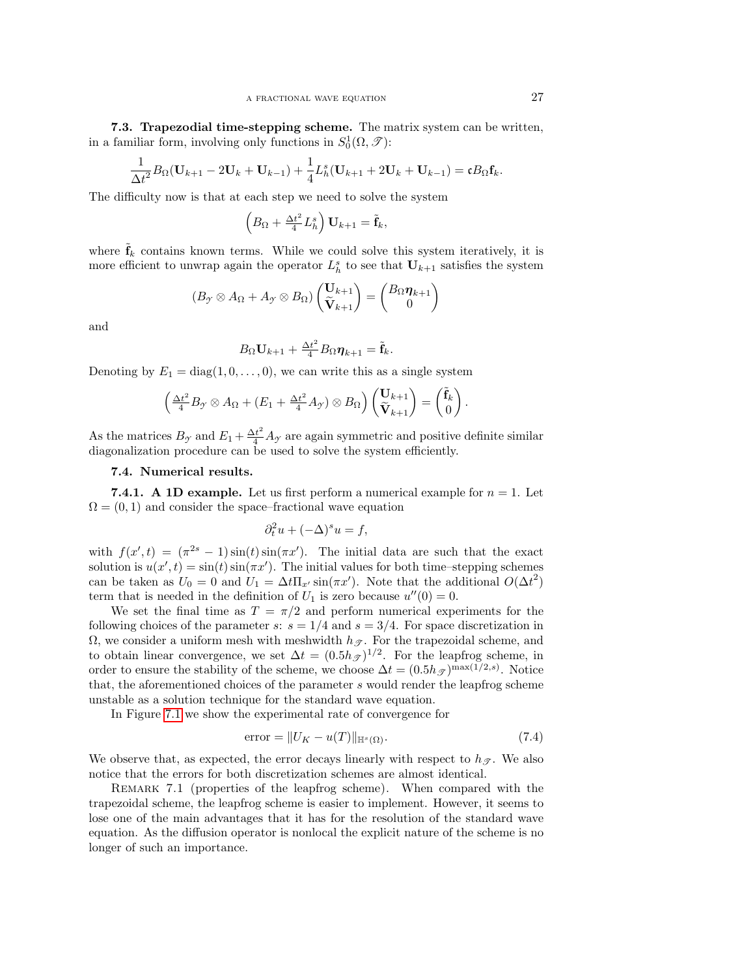7.3. Trapezodial time-stepping scheme. The matrix system can be written, in a familiar form, involving only functions in  $S_0^1(\Omega, \mathcal{T})$ :

$$
\frac{1}{\Delta t^2}B_{\Omega}(\mathbf{U}_{k+1}-2\mathbf{U}_k+\mathbf{U}_{k-1})+\frac{1}{4}L_h^s(\mathbf{U}_{k+1}+2\mathbf{U}_k+\mathbf{U}_{k-1})=\mathfrak{c}B_{\Omega}\mathbf{f}_k.
$$

The difficulty now is that at each step we need to solve the system

$$
\left(B_{\Omega} + \frac{\Delta t^2}{4} L_h^s\right) \mathbf{U}_{k+1} = \tilde{\mathbf{f}}_k,
$$

where  $\hat{\mathbf{f}}_k$  contains known terms. While we could solve this system iteratively, it is more efficient to unwrap again the operator  $L_h^s$  to see that  $U_{k+1}$  satisfies the system

$$
(B_{\mathcal{Y}} \otimes A_{\Omega} + A_{\mathcal{Y}} \otimes B_{\Omega}) \begin{pmatrix} \mathbf{U}_{k+1} \\ \widetilde{\mathbf{V}}_{k+1} \end{pmatrix} = \begin{pmatrix} B_{\Omega} \boldsymbol{\eta}_{k+1} \\ 0 \end{pmatrix}
$$

and

$$
B_{\Omega} \mathbf{U}_{k+1} + \frac{\Delta t^2}{4} B_{\Omega} \boldsymbol{\eta}_{k+1} = \tilde{\mathbf{f}}_k.
$$

Denoting by  $E_1 = \text{diag}(1, 0, \ldots, 0)$ , we can write this as a single system

$$
\left(\frac{\Delta t^2}{4}B_{\mathcal{Y}}\otimes A_{\Omega} + (E_1 + \frac{\Delta t^2}{4}A_{\mathcal{Y}})\otimes B_{\Omega}\right)\begin{pmatrix} \mathbf{U}_{k+1} \\ \widetilde{\mathbf{V}}_{k+1} \end{pmatrix} = \begin{pmatrix} \widetilde{\mathbf{f}}_k \\ 0 \end{pmatrix}.
$$

As the matrices  $B_{\gamma}$  and  $E_1 + \frac{\Delta t^2}{4} A_{\gamma}$  are again symmetric and positive definite similar diagonalization procedure can be used to solve the system efficiently.

### 7.4. Numerical results.

**7.4.1.** A 1D example. Let us first perform a numerical example for  $n = 1$ . Let  $\Omega = (0, 1)$  and consider the space–fractional wave equation

$$
\partial_t^2 u + (-\Delta)^s u = f,
$$

with  $f(x', t) = (\pi^{2s} - 1) \sin(t) \sin(\pi x')$ . The initial data are such that the exact solution is  $u(x', t) = \sin(t) \sin(\pi x')$ . The initial values for both time-stepping schemes can be taken as  $U_0 = 0$  and  $U_1 = \Delta t \Pi_{x'} \sin(\pi x')$ . Note that the additional  $O(\Delta t^2)$ term that is needed in the definition of  $U_1$  is zero because  $u''(0) = 0$ .

We set the final time as  $T = \pi/2$  and perform numerical experiments for the following choices of the parameter s:  $s = 1/4$  and  $s = 3/4$ . For space discretization in  $\Omega$ , we consider a uniform mesh with meshwidth  $h_{\mathscr{T}}$ . For the trapezoidal scheme, and to obtain linear convergence, we set  $\Delta t = (0.5h_{\mathcal{J}})^{1/2}$ . For the leapfrog scheme, in order to ensure the stability of the scheme, we choose  $\Delta t = (0.5 h_{\mathcal{F}})^{\max(1/2,s)}$ . Notice that, the aforementioned choices of the parameter s would render the leapfrog scheme unstable as a solution technique for the standard wave equation.

In Figure [7.1](#page-27-7) we show the experimental rate of convergence for

<span id="page-26-0"></span>
$$
\text{error} = \|U_K - u(T)\|_{\mathbb{H}^s(\Omega)}.\tag{7.4}
$$

We observe that, as expected, the error decays linearly with respect to  $h_{\mathscr{T}}$ . We also notice that the errors for both discretization schemes are almost identical.

REMARK 7.1 (properties of the leapfrog scheme). When compared with the trapezoidal scheme, the leapfrog scheme is easier to implement. However, it seems to lose one of the main advantages that it has for the resolution of the standard wave equation. As the diffusion operator is nonlocal the explicit nature of the scheme is no longer of such an importance.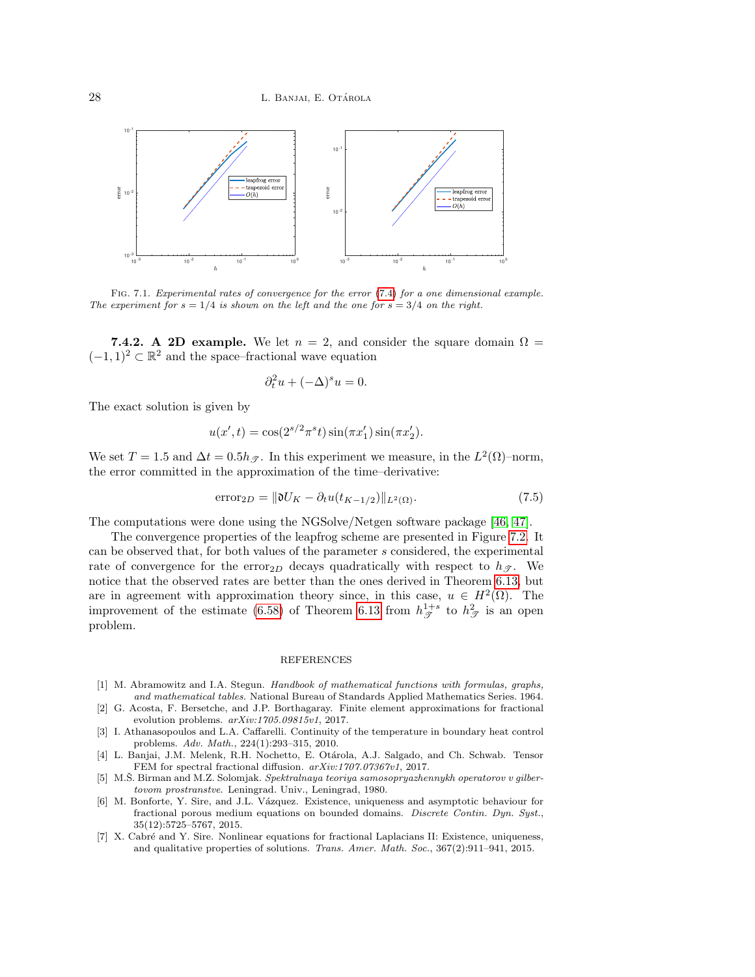

<span id="page-27-7"></span>FIG. 7.1. Experimental rates of convergence for the error [\(7.4\)](#page-26-0) for a one dimensional example. The experiment for  $s = 1/4$  is shown on the left and the one for  $s = 3/4$  on the right.

**7.4.2.** A 2D example. We let  $n = 2$ , and consider the square domain  $\Omega =$  $(-1, 1)^2 \subset \mathbb{R}^2$  and the space–fractional wave equation

$$
\partial_t^2 u + (-\Delta)^s u = 0.
$$

The exact solution is given by

$$
u(x',t) = \cos(2^{s/2}\pi^s t)\sin(\pi x'_1)\sin(\pi x'_2).
$$

We set  $T = 1.5$  and  $\Delta t = 0.5 h_{\mathcal{T}}$ . In this experiment we measure, in the  $L^2(\Omega)$ -norm, the error committed in the approximation of the time–derivative:

<span id="page-27-8"></span>
$$
\text{error}_{2D} = \|\mathfrak{d}U_K - \partial_t u(t_{K-1/2})\|_{L^2(\Omega)}.\tag{7.5}
$$

The computations were done using the NGSolve/Netgen software package [\[46,](#page-29-25) [47\]](#page-29-26).

The convergence properties of the leapfrog scheme are presented in Figure [7.2.](#page-28-18) It can be observed that, for both values of the parameter s considered, the experimental rate of convergence for the error<sub>2D</sub> decays quadratically with respect to  $h_{\mathscr{T}}$ . We notice that the observed rates are better than the ones derived in Theorem [6.13,](#page-21-2) but are in agreement with approximation theory since, in this case,  $u \in H^2(\Omega)$ . The improvement of the estimate [\(6.58\)](#page-21-3) of Theorem [6.13](#page-21-2) from  $h_{\mathcal{F}}^{1+s}$  to  $h_{\mathcal{F}}^2$  is an open problem.

#### REFERENCES

- <span id="page-27-6"></span>[1] M. Abramowitz and I.A. Stegun. Handbook of mathematical functions with formulas, graphs, and mathematical tables. National Bureau of Standards Applied Mathematics Series. 1964.
- <span id="page-27-3"></span>[2] G. Acosta, F. Bersetche, and J.P. Borthagaray. Finite element approximations for fractional evolution problems. arXiv:1705.09815v1, 2017.
- <span id="page-27-2"></span>[3] I. Athanasopoulos and L.A. Caffarelli. Continuity of the temperature in boundary heat control problems. Adv. Math., 224(1):293–315, 2010.
- <span id="page-27-1"></span>[4] L. Banjai, J.M. Melenk, R.H. Nochetto, E. Otárola, A.J. Salgado, and Ch. Schwab. Tensor FEM for spectral fractional diffusion.  $arXiv:1707.07367v1$ , 2017.
- <span id="page-27-4"></span>[5] M.S. Birman and M.Z. Solomjak. Spektralnaya teoriya samosopryazhennykh operatorov v gilbertovom prostranstve. Leningrad. Univ., Leningrad, 1980.
- <span id="page-27-5"></span>[6] M. Bonforte, Y. Sire, and J.L. Vázquez. Existence, uniqueness and asymptotic behaviour for fractional porous medium equations on bounded domains. Discrete Contin. Dyn. Syst., 35(12):5725–5767, 2015.
- <span id="page-27-0"></span>[7] X. Cabré and Y. Sire. Nonlinear equations for fractional Laplacians II: Existence, uniqueness, and qualitative properties of solutions. Trans. Amer. Math. Soc., 367(2):911–941, 2015.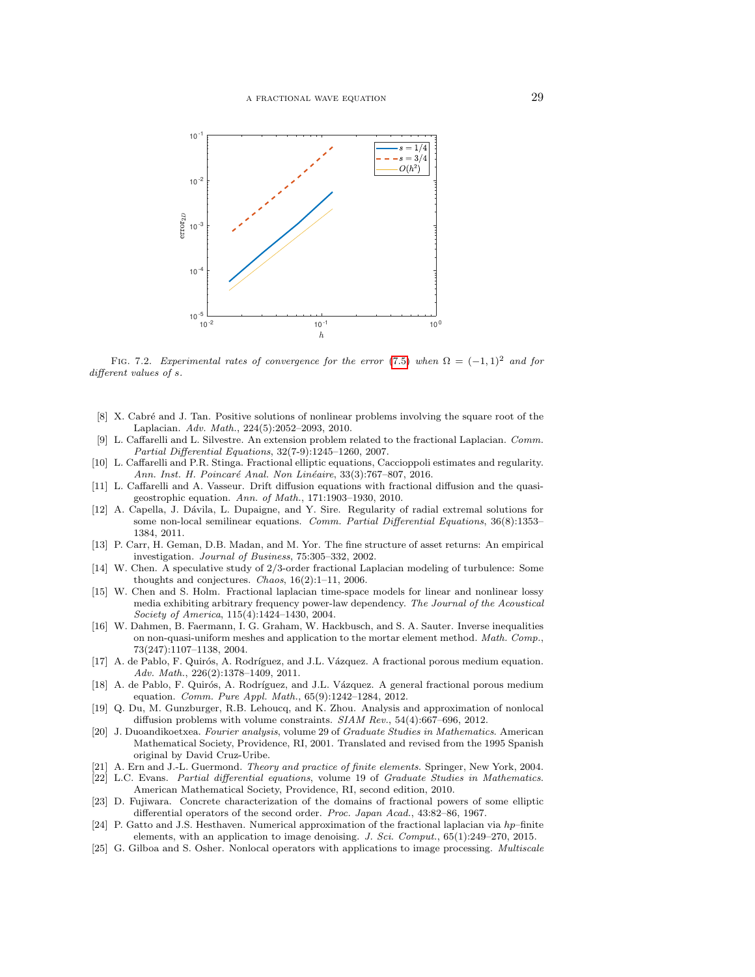

<span id="page-28-18"></span>FIG. 7.2. Experimental rates of convergence for the error [\(7.5\)](#page-27-8) when  $\Omega = (-1,1)^2$  and for different values of s.

- <span id="page-28-7"></span>[8] X. Cabré and J. Tan. Positive solutions of nonlinear problems involving the square root of the Laplacian. Adv. Math., 224(5):2052–2093, 2010.
- <span id="page-28-8"></span>[9] L. Caffarelli and L. Silvestre. An extension problem related to the fractional Laplacian. Comm. Partial Differential Equations, 32(7-9):1245–1260, 2007.
- <span id="page-28-12"></span>[10] L. Caffarelli and P.R. Stinga. Fractional elliptic equations, Caccioppoli estimates and regularity. Ann. Inst. H. Poincaré Anal. Non Linéaire, 33(3):767-807, 2016.
- <span id="page-28-2"></span>[11] L. Caffarelli and A. Vasseur. Drift diffusion equations with fractional diffusion and the quasigeostrophic equation. Ann. of Math., 171:1903–1930, 2010.
- <span id="page-28-9"></span>[12] A. Capella, J. Dávila, L. Dupaigne, and Y. Sire. Regularity of radial extremal solutions for some non-local semilinear equations. Comm. Partial Differential Equations, 36(8):1353-1384, 2011.
- <span id="page-28-0"></span>[13] P. Carr, H. Geman, D.B. Madan, and M. Yor. The fine structure of asset returns: An empirical investigation. Journal of Business, 75:305–332, 2002.
- <span id="page-28-1"></span>[14] W. Chen. A speculative study of 2/3-order fractional Laplacian modeling of turbulence: Some thoughts and conjectures. Chaos, 16(2):1–11, 2006.
- <span id="page-28-3"></span>[15] W. Chen and S. Holm. Fractional laplacian time-space models for linear and nonlinear lossy media exhibiting arbitrary frequency power-law dependency. The Journal of the Acoustical Society of America, 115(4):1424–1430, 2004.
- <span id="page-28-17"></span>[16] W. Dahmen, B. Faermann, I. G. Graham, W. Hackbusch, and S. A. Sauter. Inverse inequalities on non-quasi-uniform meshes and application to the mortar element method. Math. Comp., 73(247):1107–1138, 2004.
- <span id="page-28-10"></span>[17] A. de Pablo, F. Quirós, A. Rodríguez, and J.L. Vázquez. A fractional porous medium equation. Adv. Math., 226(2):1378–1409, 2011.
- <span id="page-28-11"></span>[18] A. de Pablo, F. Quirós, A. Rodríguez, and J.L. Vázquez. A general fractional porous medium equation. Comm. Pure Appl. Math., 65(9):1242–1284, 2012.
- <span id="page-28-4"></span>[19] Q. Du, M. Gunzburger, R.B. Lehoucq, and K. Zhou. Analysis and approximation of nonlocal diffusion problems with volume constraints. SIAM Rev., 54(4):667–696, 2012.
- <span id="page-28-14"></span>[20] J. Duoandikoetxea. Fourier analysis, volume 29 of Graduate Studies in Mathematics. American Mathematical Society, Providence, RI, 2001. Translated and revised from the 1995 Spanish original by David Cruz-Uribe.
- <span id="page-28-16"></span>[21] A. Ern and J.-L. Guermond. Theory and practice of finite elements. Springer, New York, 2004.
- <span id="page-28-15"></span>[22] L.C. Evans. Partial differential equations, volume 19 of Graduate Studies in Mathematics. American Mathematical Society, Providence, RI, second edition, 2010.
- <span id="page-28-13"></span>[23] D. Fujiwara. Concrete characterization of the domains of fractional powers of some elliptic differential operators of the second order. Proc. Japan Acad., 43:82–86, 1967.
- <span id="page-28-6"></span>[24] P. Gatto and J.S. Hesthaven. Numerical approximation of the fractional laplacian via hp–finite elements, with an application to image denoising. J. Sci. Comput.,  $65(1):249-270$ ,  $2015$ .
- <span id="page-28-5"></span>[25] G. Gilboa and S. Osher. Nonlocal operators with applications to image processing. *Multiscale*